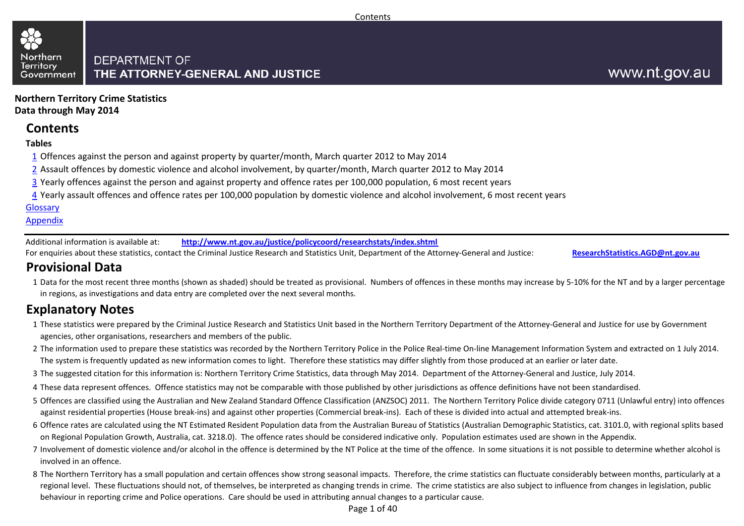#### Northern **DEPARTMENT OF Territory** THE ATTORNEY-GENERAL AND JUSTICE Government

**Northern Territory Crime StatisticsData through May 2014**

### **Contents**

#### **Tables**

- $1\overline{1}$  Offences against the person and against property by quarter/month, March quarter 2012 to May 2014
- 2 Assault offences by domestic violence and alcohol involvement, by quarter/month, March quarter 2012 to May 2014
- <u>3</u> Yearly offences against the person and against property and offence rates per 100,000 population, 6 most recent years
- <u>4</u> Yearly assault offences and offence rates per 100,000 population by domestic violence and alcohol involvement, 6 most recent years

#### Glossary

#### Appendix

Additional information is available at:**http://www.nt.gov.au/justice/policycoord/researchstats/index.shtml**

For enquiries about these statistics, contact the Criminal Justice Research and Statistics Unit, Department of the Attorney-General and Justice:

**ResearchStatistics.AGD@nt.gov.au**

### **Provisional Data**

1 Data for the most recent three months (shown as shaded) should be treated as provisional. Numbers of offences in these months may increase by 5-10% for the NT and by a larger percentage in regions, as investigations and data entry are completed over the next several months.

### **Explanatory Notes**

- 1These statistics were prepared by the Criminal Justice Research and Statistics Unit based in the Northern Territory Department of the Attorney-General and Justice for use by Government agencies, other organisations, researchers and members of the public.
- 2The information used to prepare these statistics was recorded by the Northern Territory Police in the Police Real-time On-line Management Information System and extracted on 1 July 2014. The system is frequently updated as new information comes to light. Therefore these statistics may differ slightly from those produced at an earlier or later date.
- 3The suggested citation for this information is: Northern Territory Crime Statistics, data through May 2014. Department of the Attorney-General and Justice, July 2014.
- 4These data represent offences. Offence statistics may not be comparable with those published by other jurisdictions as offence definitions have not been standardised.
- 5 Offences are classified using the Australian and New Zealand Standard Offence Classification (ANZSOC) 2011. The Northern Territory Police divide category 0711 (Unlawful entry) into offences against residential properties (House break-ins) and against other properties (Commercial break-ins). Each of these is divided into actual and attempted break-ins.
- 6 Offence rates are calculated using the NT Estimated Resident Population data from the Australian Bureau of Statistics (Australian Demographic Statistics, cat. 3101.0, with regional splits based on Regional Population Growth, Australia, cat. 3218.0). The offence rates should be considered indicative only. Population estimates used are shown in the Appendix.
- 7 Involvement of domestic violence and/or alcohol in the offence is determined by the NT Police at the time of the offence. In some situations it is not possible to determine whether alcohol is involved in an offence.
- 8 The Northern Territory has a small population and certain offences show strong seasonal impacts. Therefore, the crime statistics can fluctuate considerably between months, particularly at a regional level. These fluctuations should not, of themselves, be interpreted as changing trends in crime. The crime statistics are also subject to influence from changes in legislation, public behaviour in reporting crime and Police operations. Care should be used in attributing annual changes to a particular cause.

Page 1 of 40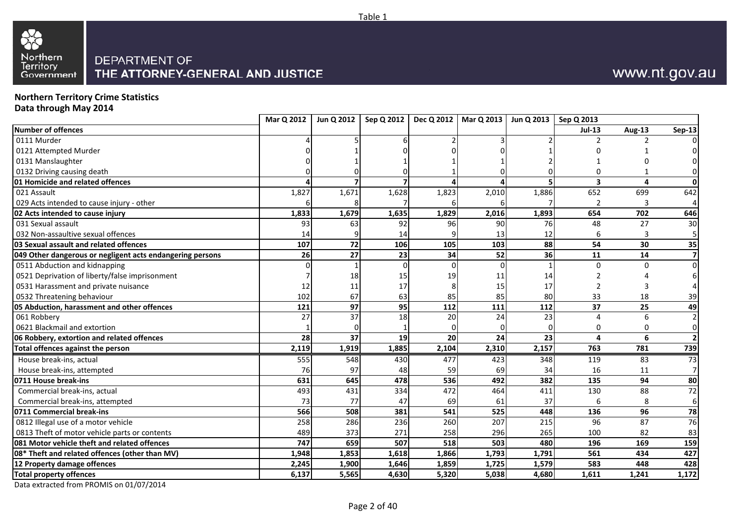



# **Northern Territory Crime Statistics Data through May 2014**

|                                                           | Mar Q 2012 | Jun Q 2012      | Sep Q 2012 | Dec Q 2012 | Mar Q 2013   Jun Q 2013   Sep Q 2013 |       |               |        |                         |
|-----------------------------------------------------------|------------|-----------------|------------|------------|--------------------------------------|-------|---------------|--------|-------------------------|
| <b>Number of offences</b>                                 |            |                 |            |            |                                      |       | <b>Jul-13</b> | Aug-13 | Sep-13                  |
| 0111 Murder                                               |            |                 |            |            |                                      |       |               | 2      |                         |
| 0121 Attempted Murder                                     |            |                 |            |            |                                      |       |               |        |                         |
| 0131 Manslaughter                                         |            |                 |            |            |                                      |       |               |        |                         |
| 0132 Driving causing death                                |            |                 |            |            |                                      |       |               |        |                         |
| 01 Homicide and related offences                          |            |                 |            |            |                                      |       | 3             | 4      | 0                       |
| 021 Assault                                               | 1,827      | 1,671           | 1,628      | 1,823      | 2,010                                | 1,886 | 652           | 699    | 642                     |
| 029 Acts intended to cause injury - other                 |            |                 |            |            |                                      |       | $\mathcal{P}$ | 3      | $\overline{4}$          |
| 02 Acts intended to cause injury                          | 1,833      | 1,679           | 1,635      | 1,829      | 2,016                                | 1,893 | 654           | 702    | 646                     |
| 031 Sexual assault                                        | 93         | 63              | 92         | 96         | 90                                   | 76    | 48            | 27     | 30                      |
| 032 Non-assaultive sexual offences                        | 14         |                 | 14         |            | 13                                   | 12    | 6             | 3      | 5                       |
| 03 Sexual assault and related offences                    | 107        | 72              | 106        | 105        | 103                                  | 88    | 54            | 30     | 35                      |
| 049 Other dangerous or negligent acts endangering persons | 26         | 27              | 23         | 34         | 52                                   | 36    | 11            | 14     | $\overline{\mathbf{z}}$ |
| 0511 Abduction and kidnapping                             |            |                 |            | O          |                                      |       | 0             | 0      | 0                       |
| 0521 Deprivation of liberty/false imprisonment            |            | 18              | 15         | 19         | 11                                   | 14    |               |        |                         |
| 0531 Harassment and private nuisance                      | 12         | 11              | 17         |            | 15                                   | 17    |               | 3      |                         |
| 0532 Threatening behaviour                                | 102        | 67              | 63         | 85         | 85                                   | 80    | 33            | 18     | 39                      |
| 05 Abduction, harassment and other offences               | 121        | 97              | 95         | 112        | 111                                  | 112   | 37            | 25     | 49                      |
| 061 Robbery                                               | 27         | $\overline{37}$ | 18         | 20         | 24                                   | 23    | $\Lambda$     | 6      | $\overline{2}$          |
| 0621 Blackmail and extortion                              |            |                 |            |            |                                      | n     | 0             | 0      | 0                       |
| 06 Robbery, extortion and related offences                | 28         | 37              | 19         | 20         | 24                                   | 23    | 4             | 6      | $\overline{2}$          |
| Total offences against the person                         | 2,119      | 1,919           | 1,885      | 2,104      | 2,310                                | 2,157 | 763           | 781    | 739                     |
| House break-ins, actual                                   | 555        | 548             | 430        | 477        | 423                                  | 348   | 119           | 83     | 73                      |
| House break-ins, attempted                                | 76         | 97              | 48         | 59         | 69                                   | 34    | 16            | 11     | 7                       |
| 0711 House break-ins                                      | 631        | 645             | 478        | 536        | 492                                  | 382   | 135           | 94     | 80                      |
| Commercial break-ins, actual                              | 493        | 431             | 334        | 472        | 464                                  | 411   | 130           | 88     | 72                      |
| Commercial break-ins, attempted                           | 73         | 77              | 47         | 69         | 61                                   | 37    | 6             | 8      | 6                       |
| 0711 Commercial break-ins                                 | 566        | 508             | 381        | 541        | 525                                  | 448   | 136           | 96     | 78                      |
| 0812 Illegal use of a motor vehicle                       | 258        | 286             | 236        | 260        | 207                                  | 215   | 96            | 87     | 76                      |
| 0813 Theft of motor vehicle parts or contents             | 489        | 373             | 271        | 258        | 296                                  | 265   | 100           | 82     | 83                      |
| 081 Motor vehicle theft and related offences              | 747        | 659             | 507        | 518        | 503                                  | 480   | 196           | 169    | 159                     |
| 08* Theft and related offences (other than MV)            | 1,948      | 1,853           | 1,618      | 1,866      | 1,793                                | 1,791 | 561           | 434    | 427                     |
| 12 Property damage offences                               | 2,245      | 1,900           | 1,646      | 1,859      | 1,725                                | 1,579 | 583           | 448    | 428                     |
| <b>Total property offences</b>                            | 6,137      | 5,565           | 4,630      | 5,320      | 5,038                                | 4,680 | 1,611         | 1,241  | 1,172                   |
|                                                           |            |                 |            |            |                                      |       |               |        |                         |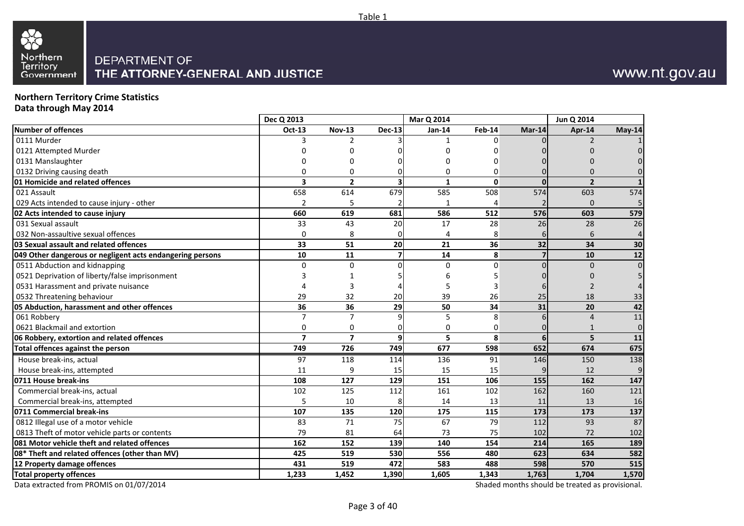

#### **Northern Territory Crime StatisticsData through May 2014**

|                                                           | Dec Q 2013     |                         |                         | Mar Q 2014   |        |              | Jun Q 2014     |                |
|-----------------------------------------------------------|----------------|-------------------------|-------------------------|--------------|--------|--------------|----------------|----------------|
| <b>Number of offences</b>                                 | Oct-13         | <b>Nov-13</b>           | <b>Dec-13</b>           | Jan-14       | Feb-14 | Mar-14       | Apr-14         | May-14         |
| 0111 Murder                                               |                |                         |                         |              | n      |              | 2              |                |
| 0121 Attempted Murder                                     |                |                         |                         |              |        |              |                |                |
| 0131 Manslaughter                                         |                |                         |                         | O            |        |              |                |                |
| 0132 Driving causing death                                | $\Omega$       | 0                       |                         | $\Omega$     | U      |              | በ              |                |
| 01 Homicide and related offences                          | 3              | $\overline{2}$          | 3                       | $\mathbf{1}$ | 0      | $\Omega$     | $\overline{2}$ |                |
| 021 Assault                                               | 658            | 614                     | 679                     | 585          | 508    | 574          | 603            | 574            |
| 029 Acts intended to cause injury - other                 | $\overline{2}$ |                         |                         |              | 4      |              | $\mathbf 0$    |                |
| 02 Acts intended to cause injury                          | 660            | 619                     | 681                     | 586          | 512    | 576          | 603            | 579            |
| 031 Sexual assault                                        | 33             | 43                      | 20                      | 17           | 28     | 26           | 28             | 26             |
| 032 Non-assaultive sexual offences                        | 0              | 8                       | 0                       | 4            | 8      | $\mathbf{6}$ | 6              | 4              |
| 03 Sexual assault and related offences                    | 33             | 51                      | 20                      | 21           | 36     | 32           | 34             | 30             |
| 049 Other dangerous or negligent acts endangering persons | 10             | 11                      | $\overline{\mathbf{z}}$ | 14           | 8      |              | 10             | 12             |
| 0511 Abduction and kidnapping                             | $\Omega$       | $\Omega$                | $\Omega$                | $\Omega$     | U      | U            | $\Omega$       | $\Omega$       |
| 0521 Deprivation of liberty/false imprisonment            |                |                         |                         |              |        |              |                |                |
| 0531 Harassment and private nuisance                      |                | 3                       |                         |              |        |              |                |                |
| 0532 Threatening behaviour                                | 29             | 32                      | 20                      | 39           | 26     | 25           | 18             | 33             |
| 05 Abduction, harassment and other offences               | 36             | 36                      | 29                      | 50           | 34     | 31           | 20             | 42             |
| 061 Robbery                                               | $\overline{7}$ | 7                       | 9                       | 5            | 8      |              | $\overline{4}$ | 11             |
| 0621 Blackmail and extortion                              | 0              | 0                       |                         | 0            | 0      |              |                | $\overline{0}$ |
| 06 Robbery, extortion and related offences                | $\overline{7}$ | $\overline{\mathbf{z}}$ | 9                       | 5            | 8      | 6            | 5              | 11             |
| Total offences against the person                         | 749            | 726                     | 749                     | 677          | 598    | 652          | 674            | 675            |
| House break-ins, actual                                   | 97             | 118                     | 114                     | 136          | 91     | 146          | 150            | 138            |
| House break-ins, attempted                                | 11             | 9                       | 15                      | 15           | 15     |              | 12             | 9              |
| 0711 House break-ins                                      | 108            | 127                     | 129                     | 151          | 106    | 155          | 162            | 147            |
| Commercial break-ins, actual                              | 102            | 125                     | 112                     | 161          | 102    | 162          | 160            | 121            |
| Commercial break-ins, attempted                           | 5              | 10                      | 8                       | 14           | 13     | 11           | 13             | 16             |
| 0711 Commercial break-ins                                 | 107            | 135                     | 120                     | 175          | 115    | 173          | 173            | 137            |
| 0812 Illegal use of a motor vehicle                       | 83             | 71                      | 75                      | 67           | 79     | 112          | 93             | 87             |
| 0813 Theft of motor vehicle parts or contents             | 79             | 81                      | 64                      | 73           | 75     | 102          | 72             | 102            |
| 081 Motor vehicle theft and related offences              | 162            | 152                     | 139                     | 140          | 154    | 214          | 165            | 189            |
| 08* Theft and related offences (other than MV)            | 425            | 519                     | 530                     | 556          | 480    | 623          | 634            | 582            |
| 12 Property damage offences                               | 431            | 519                     | 472                     | 583          | 488    | 598          | 570            | 515            |
| <b>Total property offences</b>                            | 1,233          | 1,452                   | 1,390                   | 1,605        | 1,343  | 1,763        | 1,704          | 1,570          |

Table 1

Data extracted from PROMIS on 01/07/2014

Shaded months should be treated as provisional.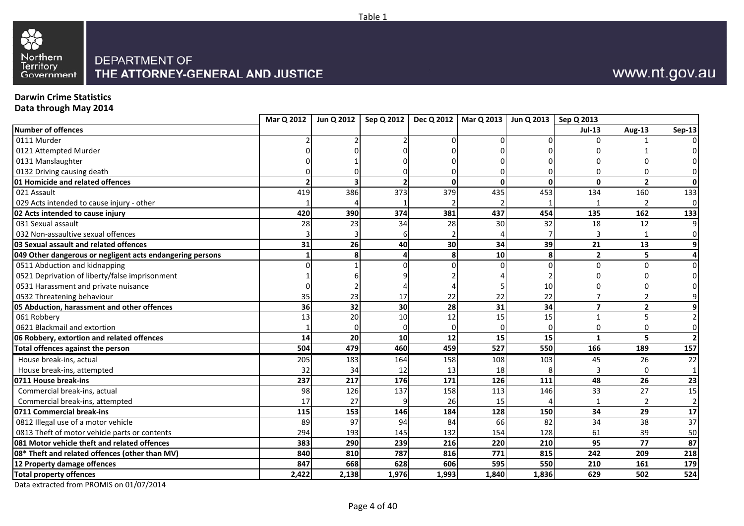

#### **Darwin Crime Statistics**

**Data through May 2014**

| Number of offences<br>0111 Murder<br>0121 Attempted Murder<br>0131 Manslaughter<br>0132 Driving causing death<br>01 Homicide and related offences |       |                         |       |                 |                 |                 | <b>Jul-13</b>  | Aug-13          | <b>Sep-13</b>  |
|---------------------------------------------------------------------------------------------------------------------------------------------------|-------|-------------------------|-------|-----------------|-----------------|-----------------|----------------|-----------------|----------------|
|                                                                                                                                                   |       |                         |       |                 |                 |                 |                |                 |                |
|                                                                                                                                                   |       |                         |       |                 |                 |                 |                |                 |                |
|                                                                                                                                                   |       |                         |       |                 |                 |                 |                |                 |                |
|                                                                                                                                                   |       |                         |       |                 |                 |                 |                |                 |                |
|                                                                                                                                                   |       |                         |       |                 |                 |                 |                |                 | $\Omega$       |
|                                                                                                                                                   |       | $\overline{\mathbf{z}}$ |       | $\mathbf{0}$    | $\mathbf{0}$    | $\mathbf{0}$    | $\mathbf{0}$   | $\overline{2}$  | 0              |
| 021 Assault                                                                                                                                       | 419   | 386                     | 373   | 379             | 435             | 453             | 134            | 160             | 133            |
| 029 Acts intended to cause injury - other                                                                                                         |       |                         |       |                 |                 |                 |                | $\overline{2}$  | $\overline{0}$ |
| 02 Acts intended to cause injury                                                                                                                  | 420   | 390                     | 374   | 381             | 437             | 454             | 135            | 162             | 133            |
| 031 Sexual assault                                                                                                                                | 28    | 23                      | 34    | 28              | 30              | 32              | 18             | 12              | 9              |
| 032 Non-assaultive sexual offences                                                                                                                |       |                         |       |                 |                 |                 |                |                 | $\overline{0}$ |
| 03 Sexual assault and related offences                                                                                                            | 31    | 26                      | 40    | 30 <sup>1</sup> | 34              | 39              | 21             | 13              | 9              |
| 049 Other dangerous or negligent acts endangering persons                                                                                         |       | 8                       |       | 8               | 10 <sub>1</sub> | 8               | $\overline{2}$ | 5               | $\overline{4}$ |
| 0511 Abduction and kidnapping                                                                                                                     |       |                         |       |                 |                 | $\Omega$        |                |                 | $\overline{0}$ |
| 0521 Deprivation of liberty/false imprisonment                                                                                                    |       |                         |       |                 |                 |                 |                |                 | $\overline{0}$ |
| 0531 Harassment and private nuisance                                                                                                              |       |                         |       |                 |                 | 10              |                |                 |                |
| 0532 Threatening behaviour                                                                                                                        | 35    | 23                      | 17    | 22              | 22              | 22              |                |                 | 9              |
| 05 Abduction, harassment and other offences                                                                                                       | 36    | 32                      | 30    | 28              | 31              | 34              | $\overline{7}$ | $\overline{2}$  | 9              |
| 061 Robbery                                                                                                                                       | 13    | 20                      | 10    | 12              | 15              | 15              | 1              | 5               | $\overline{2}$ |
| 0621 Blackmail and extortion                                                                                                                      |       |                         |       | $\Omega$        |                 |                 | $\Omega$       | $\Omega$        | $\overline{0}$ |
| 06 Robbery, extortion and related offences                                                                                                        | 14    | 20                      | 10    | 12              | 15              | 15              | 1              | 5               | 2 <sup>1</sup> |
| Total offences against the person                                                                                                                 | 504   | 479                     | 460   | 459             | 527             | 550             | 166            | 189             | 157            |
| House break-ins, actual                                                                                                                           | 205   | 183                     | 164   | 158             | 108             | 103             | 45             | 26              | 22             |
| House break-ins, attempted                                                                                                                        | 32    | 34                      | 12    | 13              | 18              |                 |                |                 |                |
| 0711 House break-ins                                                                                                                              | 237   | 217                     | 176   | $\frac{1}{171}$ | 126             | 111             | 48             | 26              | 23             |
| Commercial break-ins, actual                                                                                                                      | 98    | 126                     | 137   | 158             | 113             | 146             | 33             | 27              | 15             |
| Commercial break-ins, attempted                                                                                                                   | 17    | 27                      |       | 26              | 15              |                 |                | 2               | $\overline{2}$ |
| 0711 Commercial break-ins                                                                                                                         | 115   | 153                     | 146   | 184             | 128             | 150             | 34             | 29              | 17             |
| 0812 Illegal use of a motor vehicle                                                                                                               | 89    | 97                      | 94    | 84              | 66              | $\overline{82}$ | 34             | $\overline{38}$ | 37             |
| 0813 Theft of motor vehicle parts or contents                                                                                                     | 294   | 193                     | 145   | 132             | 154             | 128             | 61             | 39              | 50             |
| 081 Motor vehicle theft and related offences                                                                                                      | 383   | 290                     | 239   | 216             | 220             | 210             | 95             | 77              | 87             |
| 08* Theft and related offences (other than MV)                                                                                                    | 840   | 810                     | 787   | 816             | 771             | 815             | 242            | 209             | 218            |
| 12 Property damage offences                                                                                                                       | 847   | 668                     | 628   | 606             | 595             | 550             | 210            | 161             | 179            |
| <b>Total property offences</b>                                                                                                                    | 2,422 | 2,138                   | 1,976 | 1,993           | 1,840           | 1,836           | 629            | 502             | 524            |

Table 1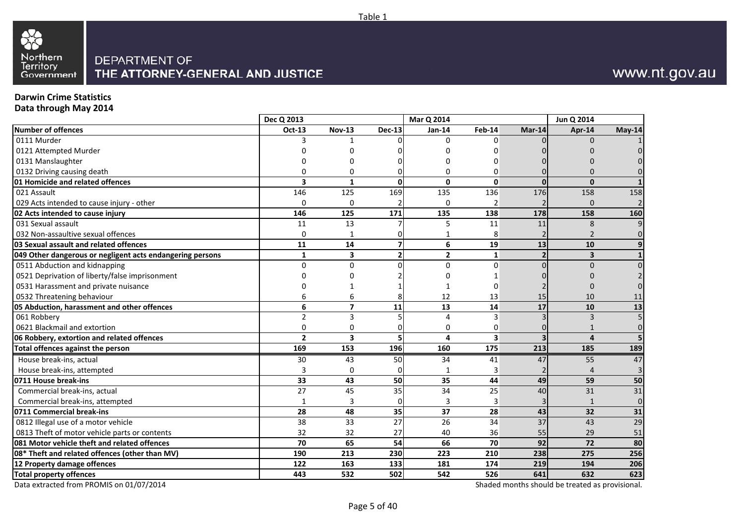

#### **Darwin Crime Statistics**

**Data through May 2014**

|                                                           | Dec Q 2013     |                         |               | Mar Q 2014      |                         |                          | Jun Q 2014              |                 |
|-----------------------------------------------------------|----------------|-------------------------|---------------|-----------------|-------------------------|--------------------------|-------------------------|-----------------|
| Number of offences                                        | Oct-13         | <b>Nov-13</b>           | <b>Dec-13</b> | Jan-14          | <b>Feb-14</b>           | Mar-14                   | Apr-14                  | May-14          |
| 0111 Murder                                               | 3              |                         |               | $\Omega$        | $\Omega$                |                          | $\Omega$                |                 |
| 0121 Attempted Murder                                     |                |                         |               |                 |                         |                          |                         |                 |
| 0131 Manslaughter                                         | n              | n                       |               | n               | n                       |                          |                         |                 |
| 0132 Driving causing death                                | 0              | 0                       |               | 0               | $\Omega$                |                          |                         |                 |
| 01 Homicide and related offences                          | 3              | $\mathbf{1}$            | $\Omega$      | $\Omega$        | $\Omega$                | $\Omega$                 | $\mathbf{0}$            |                 |
| 021 Assault                                               | 146            | 125                     | 169           | 135             | 136                     | 176                      | 158                     | 158             |
| 029 Acts intended to cause injury - other                 | 0              | $\mathbf 0$             |               | 0               | $\overline{2}$          |                          | $\Omega$                |                 |
| 02 Acts intended to cause injury                          | 146            | 125                     | 171           | 135             | 138                     | 178                      | 158                     | 160             |
| 031 Sexual assault                                        | 11             | 13                      |               | 5               | 11                      | 11                       | 8                       |                 |
| 032 Non-assaultive sexual offences                        | 0              | 1                       |               |                 | 8                       |                          | $\overline{2}$          |                 |
| 03 Sexual assault and related offences                    | 11             | 14                      |               | 6               | 19                      | 13                       | 10                      |                 |
| 049 Other dangerous or negligent acts endangering persons | $\mathbf{1}$   | $\overline{\mathbf{3}}$ |               | $\overline{2}$  | $\mathbf{1}$            | $\overline{\phantom{a}}$ | $\overline{\mathbf{3}}$ |                 |
| 0511 Abduction and kidnapping                             | $\Omega$       | $\mathbf 0$             |               | $\Omega$        | $\Omega$                |                          | $\Omega$                |                 |
| 0521 Deprivation of liberty/false imprisonment            |                | n                       |               | n               |                         |                          |                         |                 |
| 0531 Harassment and private nuisance                      |                | 1                       |               |                 | $\Omega$                |                          |                         |                 |
| 0532 Threatening behaviour                                | 6              | 6                       |               | 12              | 13                      | 15                       | 10                      | 11              |
| 05 Abduction, harassment and other offences               | 6              | $\overline{\mathbf{z}}$ | 11            | 13              | 14                      | 17                       | 10                      | 13              |
| 061 Robbery                                               | $\overline{2}$ | 3                       |               | 4               | 3                       |                          | 3                       |                 |
| 0621 Blackmail and extortion                              | 0              | $\mathbf 0$             |               | 0               | $\Omega$                |                          | 1                       |                 |
| 06 Robbery, extortion and related offences                | $\overline{2}$ | $\overline{\mathbf{3}}$ |               | 4               | $\overline{\mathbf{3}}$ | $\overline{\mathbf{z}}$  | $\overline{4}$          |                 |
| Total offences against the person                         | 169            | 153                     | 196           | 160             | 175                     | 213                      | 185                     | 189             |
| House break-ins, actual                                   | 30             | 43                      | 50            | 34              | 41                      | 47                       | 55                      | $\overline{47}$ |
| House break-ins, attempted                                | 3              | 0                       |               |                 | 3                       |                          |                         |                 |
| 0711 House break-ins                                      | 33             | 43                      | 50            | $\overline{35}$ | 44                      | 49                       | 59                      | 50              |
| Commercial break-ins, actual                              | 27             | 45                      | 35            | 34              | 25                      | 40                       | 31                      | 31              |
| Commercial break-ins, attempted                           | 1              | 3                       | n             | 3               | 3                       |                          | $\mathbf{1}$            | $\Omega$        |
| 0711 Commercial break-ins                                 | 28             | 48                      | 35            | 37              | 28                      | 43                       | 32                      | 31              |
| 0812 Illegal use of a motor vehicle                       | 38             | 33                      | 27            | 26              | 34                      | 37                       | 43                      | 29              |
| 0813 Theft of motor vehicle parts or contents             | 32             | 32                      | 27            | 40              | 36                      | 55                       | 29                      | 51              |
| 081 Motor vehicle theft and related offences              | 70             | 65                      | 54            | 66              | 70                      | 92                       | 72                      | 80              |
| 08* Theft and related offences (other than MV)            | 190            | 213                     | 230           | 223             | 210                     | 238                      | 275                     | 256             |
| 12 Property damage offences                               | 122            | 163                     | 133           | 181             | 174                     | 219                      | 194                     | 206             |
| <b>Total property offences</b>                            | 443            | 532                     | 502           | 542             | 526                     | 641                      | 632                     | 623             |

Data extracted from PROMIS on 01/07/2014

Shaded months should be treated as provisional.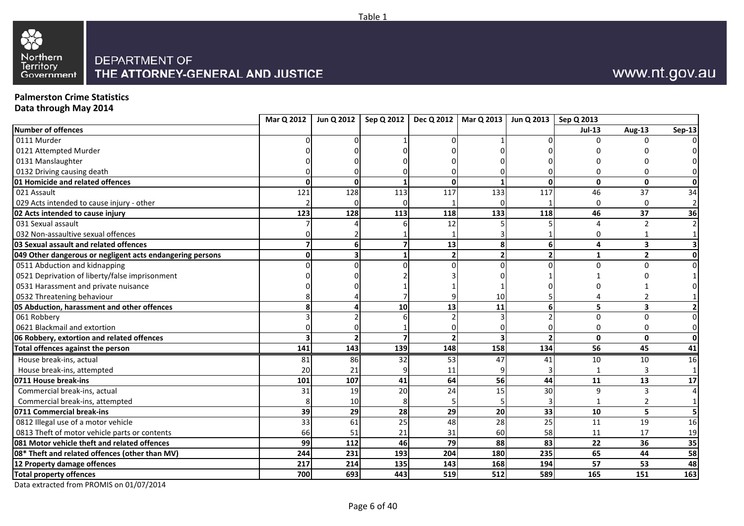



**Palmerston Crime Statistics**

**Data through May 2014**

| <b>Jul-13</b><br>Aug-13<br><b>Sep-13</b><br>U<br>$\Omega$<br>$\Omega$<br>$\mathbf{0}$<br>$\mathbf{0}$<br>0<br>ŋ<br>$\Omega$<br>$\frac{128}{x}$<br>$\frac{117}{117}$<br>121<br>113<br>117<br>133<br>46<br>37<br>34<br>$\overline{2}$<br>$\Omega$<br>$\Omega$<br>128<br>118<br>123<br>113<br>118<br>133<br>46<br>37<br>36<br>12<br>$\overline{2}$<br>$\overline{2}$<br>$\Delta$<br>$1\vert$<br>0<br>13<br>8<br>6<br>3<br>6<br>4<br>$\overline{\mathbf{3}}$<br>$\overline{2}$<br>$\overline{2}$<br>$\mathbf{0}$<br>O<br>1<br>$\overline{0}$<br>0<br>$\Omega$<br>10<br>13<br>11<br>5<br>10<br>6<br>$\overline{\mathbf{3}}$<br>$\mathbf{2}$<br>$\overline{0}$<br>$\Omega$<br>0<br>$\overline{0}$<br>$\Omega$<br>$\overline{\phantom{a}}$<br>$\mathbf{0}$<br>$\mathbf{0}$<br>0<br>141<br>143<br>148<br>158<br>139<br>134<br>56<br>45<br>41<br>House break-ins, actual<br>81<br>86<br>32<br>53<br>47<br>41<br>10<br>10<br>16<br>20<br>21<br>House break-ins, attempted<br>$1\vert$<br>11<br>56<br>107<br>64<br>13<br>101<br>41<br>44<br>11<br>17<br>30<br>20<br>24<br>15<br>Commercial break-ins, actual<br>19<br>9<br>31<br>3<br>$\overline{4}$<br>Commercial break-ins, attempted<br>10<br>$1\vert$<br>29<br>29<br>39<br>20<br>33<br>28<br>10<br>5<br>5 <sub>l</sub><br>$\overline{28}$<br>25<br>61<br>33<br>25<br>48<br>11<br>19<br>16<br>58<br>66<br>51<br>21<br>31<br>60<br>11<br>17<br>19<br>112<br>79<br>88<br>99<br>46<br>83<br>22<br>36<br>35<br>204<br>180<br>235<br>65<br>44<br>244<br>231<br>193<br>58<br>217<br>135<br>143<br>168<br>194<br>57<br>53<br>214<br>48<br>512<br>700<br>693<br>443<br>519<br>589<br>165<br>163<br>151 |                                                           | Mar Q 2012 | Jun Q 2012 |  | Sep Q 2012   Dec Q 2012   Mar Q 2013   Jun Q 2013   Sep Q 2013 |  |  |
|----------------------------------------------------------------------------------------------------------------------------------------------------------------------------------------------------------------------------------------------------------------------------------------------------------------------------------------------------------------------------------------------------------------------------------------------------------------------------------------------------------------------------------------------------------------------------------------------------------------------------------------------------------------------------------------------------------------------------------------------------------------------------------------------------------------------------------------------------------------------------------------------------------------------------------------------------------------------------------------------------------------------------------------------------------------------------------------------------------------------------------------------------------------------------------------------------------------------------------------------------------------------------------------------------------------------------------------------------------------------------------------------------------------------------------------------------------------------------------------------------------------------------------------------------------------------------------------------------------------------------------------|-----------------------------------------------------------|------------|------------|--|----------------------------------------------------------------|--|--|
|                                                                                                                                                                                                                                                                                                                                                                                                                                                                                                                                                                                                                                                                                                                                                                                                                                                                                                                                                                                                                                                                                                                                                                                                                                                                                                                                                                                                                                                                                                                                                                                                                                        | Number of offences                                        |            |            |  |                                                                |  |  |
|                                                                                                                                                                                                                                                                                                                                                                                                                                                                                                                                                                                                                                                                                                                                                                                                                                                                                                                                                                                                                                                                                                                                                                                                                                                                                                                                                                                                                                                                                                                                                                                                                                        | 0111 Murder                                               |            |            |  |                                                                |  |  |
|                                                                                                                                                                                                                                                                                                                                                                                                                                                                                                                                                                                                                                                                                                                                                                                                                                                                                                                                                                                                                                                                                                                                                                                                                                                                                                                                                                                                                                                                                                                                                                                                                                        | 0121 Attempted Murder                                     |            |            |  |                                                                |  |  |
|                                                                                                                                                                                                                                                                                                                                                                                                                                                                                                                                                                                                                                                                                                                                                                                                                                                                                                                                                                                                                                                                                                                                                                                                                                                                                                                                                                                                                                                                                                                                                                                                                                        | 0131 Manslaughter                                         |            |            |  |                                                                |  |  |
|                                                                                                                                                                                                                                                                                                                                                                                                                                                                                                                                                                                                                                                                                                                                                                                                                                                                                                                                                                                                                                                                                                                                                                                                                                                                                                                                                                                                                                                                                                                                                                                                                                        | 0132 Driving causing death                                |            |            |  |                                                                |  |  |
|                                                                                                                                                                                                                                                                                                                                                                                                                                                                                                                                                                                                                                                                                                                                                                                                                                                                                                                                                                                                                                                                                                                                                                                                                                                                                                                                                                                                                                                                                                                                                                                                                                        | 01 Homicide and related offences                          |            |            |  |                                                                |  |  |
|                                                                                                                                                                                                                                                                                                                                                                                                                                                                                                                                                                                                                                                                                                                                                                                                                                                                                                                                                                                                                                                                                                                                                                                                                                                                                                                                                                                                                                                                                                                                                                                                                                        | 021 Assault                                               |            |            |  |                                                                |  |  |
|                                                                                                                                                                                                                                                                                                                                                                                                                                                                                                                                                                                                                                                                                                                                                                                                                                                                                                                                                                                                                                                                                                                                                                                                                                                                                                                                                                                                                                                                                                                                                                                                                                        | 029 Acts intended to cause injury - other                 |            |            |  |                                                                |  |  |
|                                                                                                                                                                                                                                                                                                                                                                                                                                                                                                                                                                                                                                                                                                                                                                                                                                                                                                                                                                                                                                                                                                                                                                                                                                                                                                                                                                                                                                                                                                                                                                                                                                        | 02 Acts intended to cause injury                          |            |            |  |                                                                |  |  |
|                                                                                                                                                                                                                                                                                                                                                                                                                                                                                                                                                                                                                                                                                                                                                                                                                                                                                                                                                                                                                                                                                                                                                                                                                                                                                                                                                                                                                                                                                                                                                                                                                                        | 031 Sexual assault                                        |            |            |  |                                                                |  |  |
|                                                                                                                                                                                                                                                                                                                                                                                                                                                                                                                                                                                                                                                                                                                                                                                                                                                                                                                                                                                                                                                                                                                                                                                                                                                                                                                                                                                                                                                                                                                                                                                                                                        | 032 Non-assaultive sexual offences                        |            |            |  |                                                                |  |  |
|                                                                                                                                                                                                                                                                                                                                                                                                                                                                                                                                                                                                                                                                                                                                                                                                                                                                                                                                                                                                                                                                                                                                                                                                                                                                                                                                                                                                                                                                                                                                                                                                                                        | 03 Sexual assault and related offences                    |            |            |  |                                                                |  |  |
|                                                                                                                                                                                                                                                                                                                                                                                                                                                                                                                                                                                                                                                                                                                                                                                                                                                                                                                                                                                                                                                                                                                                                                                                                                                                                                                                                                                                                                                                                                                                                                                                                                        | 049 Other dangerous or negligent acts endangering persons |            |            |  |                                                                |  |  |
|                                                                                                                                                                                                                                                                                                                                                                                                                                                                                                                                                                                                                                                                                                                                                                                                                                                                                                                                                                                                                                                                                                                                                                                                                                                                                                                                                                                                                                                                                                                                                                                                                                        | 0511 Abduction and kidnapping                             |            |            |  |                                                                |  |  |
|                                                                                                                                                                                                                                                                                                                                                                                                                                                                                                                                                                                                                                                                                                                                                                                                                                                                                                                                                                                                                                                                                                                                                                                                                                                                                                                                                                                                                                                                                                                                                                                                                                        | 0521 Deprivation of liberty/false imprisonment            |            |            |  |                                                                |  |  |
|                                                                                                                                                                                                                                                                                                                                                                                                                                                                                                                                                                                                                                                                                                                                                                                                                                                                                                                                                                                                                                                                                                                                                                                                                                                                                                                                                                                                                                                                                                                                                                                                                                        | 0531 Harassment and private nuisance                      |            |            |  |                                                                |  |  |
|                                                                                                                                                                                                                                                                                                                                                                                                                                                                                                                                                                                                                                                                                                                                                                                                                                                                                                                                                                                                                                                                                                                                                                                                                                                                                                                                                                                                                                                                                                                                                                                                                                        | 0532 Threatening behaviour                                |            |            |  |                                                                |  |  |
|                                                                                                                                                                                                                                                                                                                                                                                                                                                                                                                                                                                                                                                                                                                                                                                                                                                                                                                                                                                                                                                                                                                                                                                                                                                                                                                                                                                                                                                                                                                                                                                                                                        | 05 Abduction, harassment and other offences               |            |            |  |                                                                |  |  |
|                                                                                                                                                                                                                                                                                                                                                                                                                                                                                                                                                                                                                                                                                                                                                                                                                                                                                                                                                                                                                                                                                                                                                                                                                                                                                                                                                                                                                                                                                                                                                                                                                                        | 061 Robbery                                               |            |            |  |                                                                |  |  |
|                                                                                                                                                                                                                                                                                                                                                                                                                                                                                                                                                                                                                                                                                                                                                                                                                                                                                                                                                                                                                                                                                                                                                                                                                                                                                                                                                                                                                                                                                                                                                                                                                                        | 0621 Blackmail and extortion                              |            |            |  |                                                                |  |  |
|                                                                                                                                                                                                                                                                                                                                                                                                                                                                                                                                                                                                                                                                                                                                                                                                                                                                                                                                                                                                                                                                                                                                                                                                                                                                                                                                                                                                                                                                                                                                                                                                                                        | 06 Robbery, extortion and related offences                |            |            |  |                                                                |  |  |
|                                                                                                                                                                                                                                                                                                                                                                                                                                                                                                                                                                                                                                                                                                                                                                                                                                                                                                                                                                                                                                                                                                                                                                                                                                                                                                                                                                                                                                                                                                                                                                                                                                        | Total offences against the person                         |            |            |  |                                                                |  |  |
|                                                                                                                                                                                                                                                                                                                                                                                                                                                                                                                                                                                                                                                                                                                                                                                                                                                                                                                                                                                                                                                                                                                                                                                                                                                                                                                                                                                                                                                                                                                                                                                                                                        |                                                           |            |            |  |                                                                |  |  |
|                                                                                                                                                                                                                                                                                                                                                                                                                                                                                                                                                                                                                                                                                                                                                                                                                                                                                                                                                                                                                                                                                                                                                                                                                                                                                                                                                                                                                                                                                                                                                                                                                                        |                                                           |            |            |  |                                                                |  |  |
|                                                                                                                                                                                                                                                                                                                                                                                                                                                                                                                                                                                                                                                                                                                                                                                                                                                                                                                                                                                                                                                                                                                                                                                                                                                                                                                                                                                                                                                                                                                                                                                                                                        | 0711 House break-ins                                      |            |            |  |                                                                |  |  |
|                                                                                                                                                                                                                                                                                                                                                                                                                                                                                                                                                                                                                                                                                                                                                                                                                                                                                                                                                                                                                                                                                                                                                                                                                                                                                                                                                                                                                                                                                                                                                                                                                                        |                                                           |            |            |  |                                                                |  |  |
|                                                                                                                                                                                                                                                                                                                                                                                                                                                                                                                                                                                                                                                                                                                                                                                                                                                                                                                                                                                                                                                                                                                                                                                                                                                                                                                                                                                                                                                                                                                                                                                                                                        |                                                           |            |            |  |                                                                |  |  |
|                                                                                                                                                                                                                                                                                                                                                                                                                                                                                                                                                                                                                                                                                                                                                                                                                                                                                                                                                                                                                                                                                                                                                                                                                                                                                                                                                                                                                                                                                                                                                                                                                                        | 0711 Commercial break-ins                                 |            |            |  |                                                                |  |  |
|                                                                                                                                                                                                                                                                                                                                                                                                                                                                                                                                                                                                                                                                                                                                                                                                                                                                                                                                                                                                                                                                                                                                                                                                                                                                                                                                                                                                                                                                                                                                                                                                                                        | 0812 Illegal use of a motor vehicle                       |            |            |  |                                                                |  |  |
|                                                                                                                                                                                                                                                                                                                                                                                                                                                                                                                                                                                                                                                                                                                                                                                                                                                                                                                                                                                                                                                                                                                                                                                                                                                                                                                                                                                                                                                                                                                                                                                                                                        | 0813 Theft of motor vehicle parts or contents             |            |            |  |                                                                |  |  |
|                                                                                                                                                                                                                                                                                                                                                                                                                                                                                                                                                                                                                                                                                                                                                                                                                                                                                                                                                                                                                                                                                                                                                                                                                                                                                                                                                                                                                                                                                                                                                                                                                                        | 081 Motor vehicle theft and related offences              |            |            |  |                                                                |  |  |
|                                                                                                                                                                                                                                                                                                                                                                                                                                                                                                                                                                                                                                                                                                                                                                                                                                                                                                                                                                                                                                                                                                                                                                                                                                                                                                                                                                                                                                                                                                                                                                                                                                        | 08* Theft and related offences (other than MV)            |            |            |  |                                                                |  |  |
|                                                                                                                                                                                                                                                                                                                                                                                                                                                                                                                                                                                                                                                                                                                                                                                                                                                                                                                                                                                                                                                                                                                                                                                                                                                                                                                                                                                                                                                                                                                                                                                                                                        | 12 Property damage offences                               |            |            |  |                                                                |  |  |
|                                                                                                                                                                                                                                                                                                                                                                                                                                                                                                                                                                                                                                                                                                                                                                                                                                                                                                                                                                                                                                                                                                                                                                                                                                                                                                                                                                                                                                                                                                                                                                                                                                        | <b>Total property offences</b>                            |            |            |  |                                                                |  |  |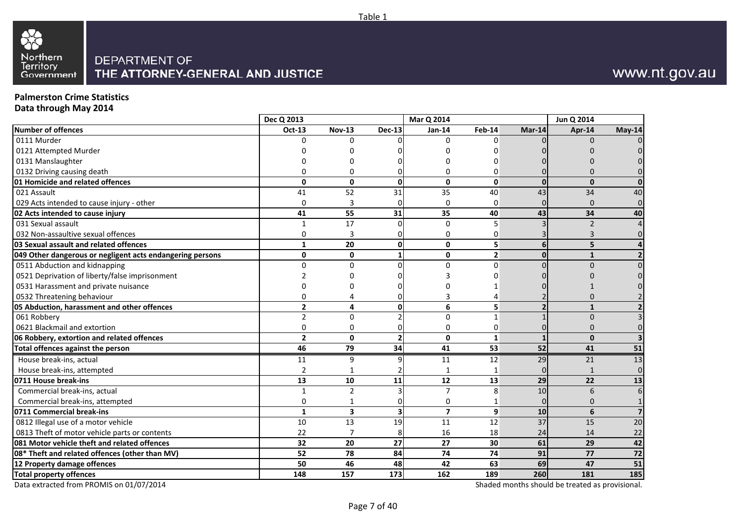

#### **Palmerston Crime Statistics**

**Data through May 2014**

|                                                           | Dec Q 2013              |                |               | Mar Q 2014              |                       |              | Jun Q 2014     |                 |
|-----------------------------------------------------------|-------------------------|----------------|---------------|-------------------------|-----------------------|--------------|----------------|-----------------|
| Number of offences                                        | Oct-13                  | <b>Nov-13</b>  | <b>Dec-13</b> | <b>Jan-14</b>           | Feb-14                | Mar-14       | Apr-14         | May-14          |
| 0111 Murder                                               | $\Omega$                | 0              |               | $\Omega$                | $\Omega$              |              | $\Omega$       |                 |
| 0121 Attempted Murder                                     |                         |                |               |                         |                       |              |                |                 |
| 0131 Manslaughter                                         |                         | n              |               | n                       |                       |              |                |                 |
| 0132 Driving causing death                                | 0                       | $\Omega$       | <sup>0</sup>  | 0                       | 0                     |              | n              |                 |
| 01 Homicide and related offences                          | $\mathbf{0}$            | $\mathbf{0}$   | $\Omega$      | 0                       | $\mathbf 0$           | $\Omega$     | $\mathbf{0}$   |                 |
| 021 Assault                                               | 41                      | 52             | 31            | 35                      | 40                    | 43           | 34             | 40              |
| 029 Acts intended to cause injury - other                 | $\Omega$                | 3              | 0             | 0                       | $\Omega$              |              | 0              |                 |
| 02 Acts intended to cause injury                          | 41                      | 55             | 31            | 35                      | 40                    | 43           | 34             | 40              |
| 031 Sexual assault                                        | $\mathbf{1}$            | 17             |               | $\Omega$                | 5                     |              | $\overline{2}$ |                 |
| 032 Non-assaultive sexual offences                        | 0                       | 3              |               | 0                       | 0                     |              | 3              |                 |
| 03 Sexual assault and related offences                    | $\mathbf{1}$            | 20             | $\mathbf{0}$  | $\mathbf{0}$            | 5                     | 6            | 5              |                 |
| 049 Other dangerous or negligent acts endangering persons | $\mathbf{0}$            | $\mathbf{0}$   |               | 0                       | 2 <sup>1</sup>        | O            | $\mathbf{1}$   |                 |
| 0511 Abduction and kidnapping                             | $\Omega$                | $\Omega$       | <sup>n</sup>  | $\Omega$                | $\Omega$              |              | $\Omega$       |                 |
| 0521 Deprivation of liberty/false imprisonment            |                         |                |               |                         |                       |              |                |                 |
| 0531 Harassment and private nuisance                      |                         |                |               |                         |                       |              |                |                 |
| 0532 Threatening behaviour                                | $\Omega$                | 4              | <sup>0</sup>  | 3                       |                       |              | n              |                 |
| 05 Abduction, harassment and other offences               | $\overline{\mathbf{2}}$ | 4              | $\Omega$      | 6                       | 5                     |              | $\mathbf{1}$   |                 |
| 061 Robbery                                               | $\overline{2}$          | $\Omega$       |               | $\Omega$                | $\mathbf{1}$          |              | $\Omega$       |                 |
| 0621 Blackmail and extortion                              | $\mathbf 0$             | $\mathbf 0$    | <sup>n</sup>  | 0                       | 0                     |              | 0              |                 |
| 06 Robbery, extortion and related offences                | $\overline{\mathbf{2}}$ | $\mathbf{0}$   |               | $\Omega$                | $\mathbf{1}$          |              | $\Omega$       |                 |
| Total offences against the person                         | 46                      | 79             | 34            | 41                      | $\overline{53}$       | 52           | 41             | $\overline{51}$ |
| House break-ins, actual                                   | 11                      | 9              | $\mathbf{q}$  | 11                      | 12                    | 29           | 21             | 13              |
| House break-ins, attempted                                | $\overline{2}$          | $\mathbf{1}$   |               | $\mathbf{1}$            | 1                     | <sup>0</sup> | $\mathbf{1}$   | $\Omega$        |
| 0711 House break-ins                                      | 13                      | 10             | 11            | 12                      | 13                    | 29           | 22             | 13              |
| Commercial break-ins, actual                              | $\mathbf{1}$            | $\overline{2}$ |               | $\overline{7}$          | $\mathsf{\mathsf{R}}$ | 10           | 6              | 6               |
| Commercial break-ins, attempted                           | 0                       | 1              |               | 0                       |                       |              | 0              |                 |
| 0711 Commercial break-ins                                 | $\mathbf{1}$            | 3              | 3             | $\overline{\mathbf{z}}$ | $\mathbf{9}$          | 10           | 6              |                 |
| 0812 Illegal use of a motor vehicle                       | $10\,$                  | 13             | 19            | 11                      | 12                    | 37           | 15             | 20              |
| 0813 Theft of motor vehicle parts or contents             | 22                      | $\overline{7}$ |               | 16                      | 18                    | 24           | 14             | 22              |
| 081 Motor vehicle theft and related offences              | 32                      | 20             | 27            | 27                      | 30                    | 61           | 29             | 42              |
| 08* Theft and related offences (other than MV)            | 52                      | 78             | 84            | 74                      | 74                    | 91           | 77             | 72              |
| 12 Property damage offences                               | 50                      | 46             | 48            | 42                      | 63                    | 69           | 47             | 51              |
| <b>Total property offences</b>                            | 148                     | 157            | 173           | 162                     | 189                   | 260          | 181            | 185             |

Data extracted from PROMIS on 01/07/2014

Shaded months should be treated as provisional.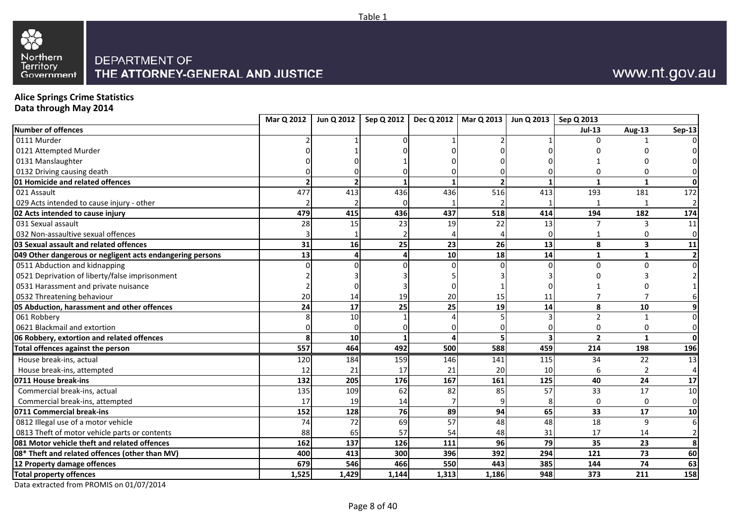



**Alice Springs Crime Statistics Data through May 2014**

|                                                           | Mar Q 2012 | Jun Q 2012      |            |       | Sep Q 2012   Dec Q 2012   Mar Q 2013   Jun Q 2013   Sep Q 2013 |                |                |                         |                |
|-----------------------------------------------------------|------------|-----------------|------------|-------|----------------------------------------------------------------|----------------|----------------|-------------------------|----------------|
| Number of offences                                        |            |                 |            |       |                                                                |                | <b>Jul-13</b>  | Aug-13                  | <b>Sep-13</b>  |
| 0111 Murder                                               |            |                 |            |       |                                                                |                |                |                         |                |
| 0121 Attempted Murder                                     |            |                 |            |       |                                                                |                |                |                         |                |
| 0131 Manslaughter                                         |            |                 |            |       |                                                                |                |                |                         |                |
| 0132 Driving causing death                                |            |                 |            |       |                                                                |                |                |                         | $\overline{0}$ |
| 01 Homicide and related offences                          |            | $\overline{2}$  |            |       |                                                                |                | $\mathbf{1}$   | $\mathbf{1}$            | 0              |
| 021 Assault                                               | 477        | 413             | 436        | 436   | 516                                                            | 413            | 193            | 181                     | 172            |
| 029 Acts intended to cause injury - other                 |            |                 |            |       |                                                                |                |                |                         | $\overline{2}$ |
| 02 Acts intended to cause injury                          | 479        | 415             | 436        | 437   | 518                                                            | 414            | 194            | 182                     | 174            |
| 031 Sexual assault                                        | 28         | 15              | 23         | 19    | $\overline{22}$                                                | 13             |                | 3                       | 11             |
| 032 Non-assaultive sexual offences                        |            |                 |            |       |                                                                |                |                | 0                       | $\overline{0}$ |
| 03 Sexual assault and related offences                    | 31         | 16              | 25         | 23    | 26                                                             | $\frac{1}{13}$ | 8              | $\overline{\mathbf{3}}$ | 11             |
| 049 Other dangerous or negligent acts endangering persons | 13         | Δ               |            | 10    | 18                                                             | 14             | $\mathbf{1}$   | $\mathbf{1}$            | $\mathbf{2}$   |
| 0511 Abduction and kidnapping                             |            |                 |            |       |                                                                |                | U              | U                       | $\overline{0}$ |
| 0521 Deprivation of liberty/false imprisonment            |            |                 |            |       |                                                                |                |                |                         | $\overline{2}$ |
| 0531 Harassment and private nuisance                      |            |                 |            |       |                                                                |                |                |                         |                |
| 0532 Threatening behaviour                                | 20         | 14              | 19         | 20    | 15                                                             | 11             |                |                         |                |
| 05 Abduction, harassment and other offences               | 24         | $\overline{17}$ | 25         | 25    | 19                                                             | 14             | 8              | 10                      | 9              |
| 061 Robbery                                               |            | 10              |            |       |                                                                |                | $\overline{2}$ |                         | $\overline{0}$ |
| 0621 Blackmail and extortion                              |            |                 |            |       |                                                                |                | ŋ              | $\Omega$                | $\overline{0}$ |
| 06 Robbery, extortion and related offences                | 8          | 10 <sup>1</sup> |            |       |                                                                |                | $\overline{2}$ | $\mathbf{1}$            | $\mathbf{0}$   |
| Total offences against the person                         | 557        | 464             | 492        | 500   | 588                                                            | 459            | 214            | 198                     | 196            |
| House break-ins, actual                                   | 120        | 184             | 159        | 146   | 141                                                            | 115            | 34             | 22                      | 13             |
| House break-ins, attempted                                | 12         | 21              | 17         | 21    | 20                                                             | 10             |                |                         | 4              |
| 0711 House break-ins                                      | 132        | 205             | <b>176</b> | 167   | 161                                                            | 125            | 40             | 24                      | 17             |
| Commercial break-ins, actual                              | 135        | 109             | 62         | 82    | 85                                                             | 57             | 33             | 17                      | 10             |
| Commercial break-ins, attempted                           | 17         | 19              | 14         |       |                                                                |                | $\Omega$       | $\Omega$                | $\overline{0}$ |
| 0711 Commercial break-ins                                 | 152        | 128             | 76         | 89    | 94                                                             | 65             | 33             | 17                      | 10             |
| 0812 Illegal use of a motor vehicle                       | 74         | 72              | 69         | 57    | 48                                                             | 48             | 18             | 9                       | $6 \mid$       |
| 0813 Theft of motor vehicle parts or contents             | 88         | 65              | 57         | 54    | 48                                                             | 31             | 17             | 14                      | $\overline{2}$ |
| 081 Motor vehicle theft and related offences              | 162        | 137             | 126        | 111   | 96                                                             | 79             | 35             | 23                      | 8              |
| 08* Theft and related offences (other than MV)            | 400        | 413             | 300        | 396   | 392                                                            | 294            | 121            | 73                      | 60             |
| 12 Property damage offences                               | 679        | 546             | 466        | 550   | 443                                                            | 385            | 144            | 74                      | 63             |
| <b>Total property offences</b>                            | 1,525      | 1,429           | 1,144      | 1,313 | 1,186                                                          | 948            | 373            | 211                     | 158            |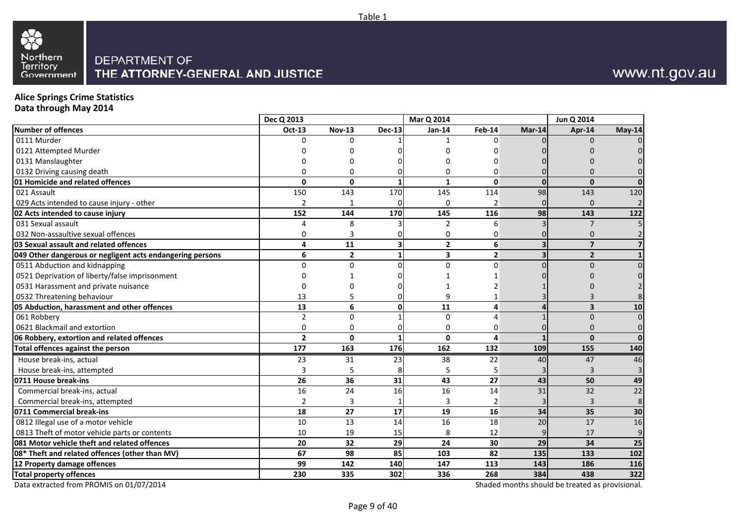

#### **Alice Springs Crime Statistics**

**Data through May 2014**

|                                                           | Dec Q 2013     |                |                         | Mar Q 2014     |                |          | Jun Q 2014              |                 |
|-----------------------------------------------------------|----------------|----------------|-------------------------|----------------|----------------|----------|-------------------------|-----------------|
| Number of offences                                        | Oct-13         | <b>Nov-13</b>  | <b>Dec-13</b>           | <b>Jan-14</b>  | Feb-14         | Mar-14   | Apr-14                  | May-14          |
| 0111 Murder                                               | O              | <sup>0</sup>   |                         |                | $\Omega$       |          | 0                       |                 |
| 0121 Attempted Murder                                     |                |                |                         |                |                |          |                         |                 |
| 0131 Manslaughter                                         |                | U              |                         | U              | n              |          |                         |                 |
| 0132 Driving causing death                                | 0              | $\Omega$       |                         | 0              | $\Omega$       |          |                         |                 |
| 01 Homicide and related offences                          | $\mathbf 0$    | $\Omega$       |                         | $\mathbf{1}$   | $\Omega$       | $\Omega$ | $\mathbf{0}$            |                 |
| 021 Assault                                               | 150            | 143            | 170                     | 145            | 114            | 98       | 143                     | 120             |
| 029 Acts intended to cause injury - other                 | $\mathfrak{p}$ |                |                         | $\Omega$       | $\overline{2}$ |          | $\Omega$                |                 |
| 02 Acts intended to cause injury                          | 152            | 144            | 170                     | 145            | 116            | 98       | 143                     | 122             |
| 031 Sexual assault                                        | 4              | 8              |                         | $\overline{2}$ | 6              |          | $\overline{7}$          |                 |
| 032 Non-assaultive sexual offences                        | 0              | 3              |                         | 0              | 0              |          | 0                       |                 |
| 03 Sexual assault and related offences                    | 4              | 11             | $\overline{\mathbf{3}}$ | $\overline{2}$ | 6              |          | $\overline{7}$          |                 |
| 049 Other dangerous or negligent acts endangering persons | 6              | $\overline{2}$ | 1                       | 3              | $\overline{2}$ |          | $\overline{2}$          |                 |
| 0511 Abduction and kidnapping                             | $\Omega$       | $\Omega$       |                         | $\Omega$       | $\Omega$       |          | $\Omega$                |                 |
| 0521 Deprivation of liberty/false imprisonment            |                |                |                         |                |                |          |                         |                 |
| 0531 Harassment and private nuisance                      | 0              |                |                         |                |                |          |                         |                 |
| 0532 Threatening behaviour                                | 13             | 5              | ΩI                      | q              |                |          |                         |                 |
| 05 Abduction, harassment and other offences               | 13             | 6              | $\mathbf{0}$            | 11             | 4              |          | $\overline{\mathbf{3}}$ | 10              |
| 061 Robbery                                               | $\overline{2}$ | $\Omega$       |                         | $\Omega$       | $\Lambda$      |          | $\overline{0}$          |                 |
| 0621 Blackmail and extortion                              | $\Omega$       | $\Omega$       |                         | 0              | $\Omega$       |          | 0                       |                 |
| 06 Robbery, extortion and related offences                | $\overline{2}$ | $\mathbf 0$    |                         | 0              | $\overline{a}$ |          | $\mathbf{0}$            |                 |
| Total offences against the person                         | 177            | 163            | 176                     | 162            | 132            | 109      | 155                     | 140             |
| House break-ins, actual                                   | 23             | 31             | 23                      | 38             | 22             | 40       | 47                      | 46              |
| House break-ins, attempted                                | 3              | 5              |                         | 5              | 5              |          | 3                       |                 |
| 0711 House break-ins                                      | 26             | 36             | 31                      | 43             | 27             | 43       | 50                      | 49              |
| Commercial break-ins, actual                              | 16             | 24             | 16                      | 16             | 14             | 31       | 32                      | $\overline{22}$ |
| Commercial break-ins, attempted                           | $\overline{2}$ | 3              |                         | 3              | $\overline{2}$ |          | 3                       | 8               |
| 0711 Commercial break-ins                                 | 18             | 27             | 17                      | 19             | 16             | 34       | 35                      | 30              |
| 0812 Illegal use of a motor vehicle                       | 10             | 13             | 14                      | 16             | 18             | 20       | 17                      | 16              |
| 0813 Theft of motor vehicle parts or contents             | 10             | 19             | 15                      | 8              | 12             |          | 17                      | 9               |
| 081 Motor vehicle theft and related offences              | 20             | 32             | 29                      | 24             | 30             | 29       | 34                      | 25              |
| 08* Theft and related offences (other than MV)            | 67             | 98             | 85                      | 103            | 82             | 135      | 133                     | 102             |
| 12 Property damage offences                               | 99             | 142            | 140                     | 147            | 113            | 143      | 186                     | 116             |
| <b>Total property offences</b>                            | 230            | 335            | 302                     | 336            | 268            | 384      | 438                     | 322             |

Data extracted from PROMIS on 01/07/2014

Shaded months should be treated as provisional.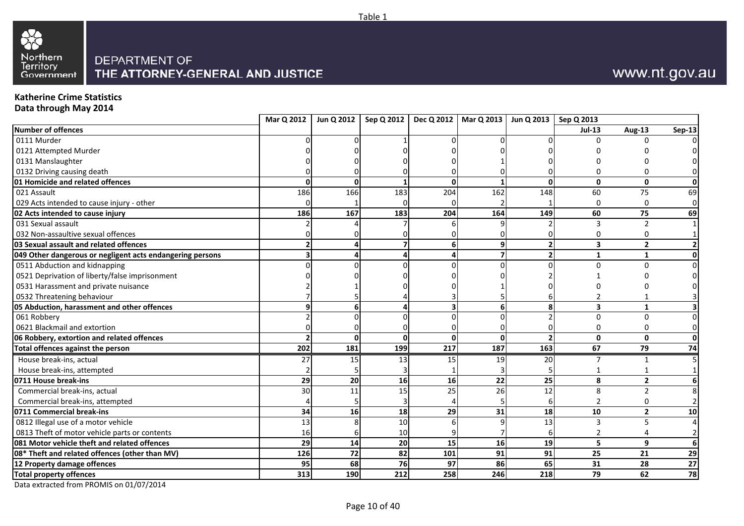



#### **Katherine Crime Statistics**

**Data through May 2014**

|                                                           | Mar Q 2012 |                 | Jun Q 2012   Sep Q 2012   Dec Q 2012   Mar Q 2013   Jun Q 2013   Sep Q 2013 |              |                 |                          |                |                |                |
|-----------------------------------------------------------|------------|-----------------|-----------------------------------------------------------------------------|--------------|-----------------|--------------------------|----------------|----------------|----------------|
| Number of offences                                        |            |                 |                                                                             |              |                 |                          | <b>Jul-13</b>  | Aug-13         | $Sep-13$       |
| 0111 Murder                                               |            |                 |                                                                             |              |                 |                          |                |                |                |
| 0121 Attempted Murder                                     |            |                 |                                                                             |              |                 |                          |                |                |                |
| 0131 Manslaughter                                         |            |                 |                                                                             |              |                 |                          |                |                |                |
| 0132 Driving causing death                                |            |                 |                                                                             |              |                 |                          |                |                | $\Omega$       |
| 01 Homicide and related offences                          | O          | $\Omega$        |                                                                             | $\Omega$     |                 | $\Omega$                 | $\mathbf{0}$   | $\mathbf{0}$   | οI             |
| 021 Assault                                               | 186        | 166             | 183                                                                         | 204          | 162             | 148                      | 60             | 75             | 69             |
| 029 Acts intended to cause injury - other                 |            |                 |                                                                             |              |                 |                          | ∩              | $\Omega$       | $\overline{0}$ |
| 02 Acts intended to cause injury                          | 186        | 167             | 183                                                                         | 204          | 164             | 149                      | 60             | 75             | 69             |
| 031 Sexual assault                                        |            |                 |                                                                             |              |                 |                          | 3              | $\overline{2}$ |                |
| 032 Non-assaultive sexual offences                        |            |                 |                                                                             |              |                 |                          |                | 0              |                |
| 03 Sexual assault and related offences                    |            |                 |                                                                             | 6            | 9               | $\overline{2}$           | 3              | $\overline{2}$ |                |
| 049 Other dangerous or negligent acts endangering persons |            |                 |                                                                             |              | 7               | $\overline{\phantom{a}}$ | $\mathbf{1}$   | 1              | 0              |
| 0511 Abduction and kidnapping                             |            |                 |                                                                             |              |                 |                          |                | $\Omega$       | $\Omega$       |
| 0521 Deprivation of liberty/false imprisonment            |            |                 |                                                                             |              |                 |                          |                |                |                |
| 0531 Harassment and private nuisance                      |            |                 |                                                                             |              |                 |                          |                |                |                |
| 0532 Threatening behaviour                                |            |                 |                                                                             |              |                 |                          |                |                |                |
| 05 Abduction, harassment and other offences               |            |                 |                                                                             |              |                 | 8                        | 3              |                |                |
| 061 Robbery                                               |            |                 |                                                                             |              |                 |                          | $\Omega$       | $\Omega$       | $\Omega$       |
| 0621 Blackmail and extortion                              |            |                 |                                                                             |              |                 |                          |                | n              | $\Omega$       |
| 06 Robbery, extortion and related offences                |            | $\Omega$        | ŋ                                                                           | $\mathbf{0}$ | $\Omega$        |                          | $\mathbf{0}$   | $\mathbf{0}$   | οI             |
| Total offences against the person                         | 202        | 181             | 199                                                                         | 217          | 187             | 163                      | 67             | 79             | 74             |
| House break-ins, actual                                   | 27         | 15              | 13                                                                          | 15           | 19              | 20                       |                |                |                |
| House break-ins, attempted                                |            |                 |                                                                             |              |                 |                          |                |                |                |
| 0711 House break-ins                                      | 29         | 20              | 16                                                                          | 16           | 22              | 25                       | 8              | $\overline{2}$ |                |
| Commercial break-ins, actual                              | 30         | 11              | 15                                                                          | 25           | $\overline{26}$ | 12                       | 8              | $\mathcal{P}$  |                |
| Commercial break-ins, attempted                           |            |                 |                                                                             |              |                 | 6                        | $\overline{2}$ | $\Omega$       |                |
| 0711 Commercial break-ins                                 | 34         | 16              | 18                                                                          | 29           | 31              | 18                       | 10             | $\overline{2}$ | 10             |
| 0812 Illegal use of a motor vehicle                       | 13         |                 | 10                                                                          |              |                 | 13                       | 3              | 5              | $\overline{4}$ |
| 0813 Theft of motor vehicle parts or contents             | 16         |                 | 10                                                                          |              |                 |                          | $\mathfrak{p}$ |                | $\overline{2}$ |
| 081 Motor vehicle theft and related offences              | 29         | 14              | 20                                                                          | 15           | 16              | 19                       | 5              | 9              | $6 \mid$       |
| 08* Theft and related offences (other than MV)            | 126        | $\overline{72}$ | 82                                                                          | 101          | 91              | 91                       | 25             | 21             | 29             |
| 12 Property damage offences                               | 95         | 68              | 76                                                                          | 97           | 86              | 65                       | 31             | 28             | 27             |
| <b>Total property offences</b>                            | 313        | 190             | 212                                                                         | 258          | 246             | 218                      | 79             | 62             | 78             |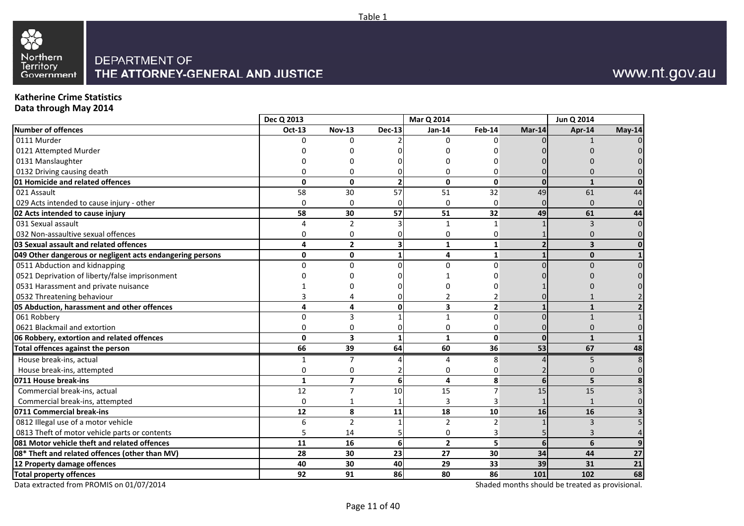

## www.nt.gov.au

#### **Katherine Crime StatisticsData through May 2014**

| Data tilibugii ividy 2014                                 |                |                         |                          |                 |                 |                |                         |                |
|-----------------------------------------------------------|----------------|-------------------------|--------------------------|-----------------|-----------------|----------------|-------------------------|----------------|
|                                                           | Dec Q 2013     |                         |                          | Mar Q 2014      |                 |                | Jun Q 2014              |                |
| Number of offences                                        | <b>Oct-13</b>  | <b>Nov-13</b>           | <b>Dec-13</b>            | Jan-14          | <b>Feb-14</b>   | $Mar-14$       | Apr-14                  | May-14         |
| 0111 Murder                                               | n              | 0                       |                          | n               | <sup>0</sup>    |                |                         | $\Omega$       |
| 0121 Attempted Murder                                     |                |                         |                          |                 |                 |                |                         |                |
| 0131 Manslaughter                                         |                |                         |                          |                 |                 |                |                         |                |
| 0132 Driving causing death                                |                | 0                       |                          |                 | ი               |                |                         |                |
| 01 Homicide and related offences                          | $\Omega$       | $\Omega$                | $\overline{\phantom{a}}$ | $\Omega$        | $\Omega$        | $\Omega$       | $\mathbf{1}$            | $\Omega$       |
| 021 Assault                                               | 58             | 30                      | 57                       | 51              | 32              | 49             | 61                      | 44             |
| 029 Acts intended to cause injury - other                 | $\overline{0}$ | 0                       |                          | $\Omega$        | $\mathbf 0$     |                | $\Omega$                | $\overline{0}$ |
| 02 Acts intended to cause injury                          | 58             | $\overline{30}$         | $\overline{57}$          | $\overline{51}$ | $\overline{32}$ | 49             | 61                      | 44             |
| 031 Sexual assault                                        | 4              | $\overline{2}$          |                          | 1               | $\mathbf{1}$    |                | 3                       | $\Omega$       |
| 032 Non-assaultive sexual offences                        | 0              | 0                       |                          | 0               | 0               |                | 0                       | $\Omega$       |
| 03 Sexual assault and related offences                    | 4              | $\mathbf{2}$            |                          | 1               | 1               |                | $\overline{\mathbf{3}}$ | $\mathbf{0}$   |
| 049 Other dangerous or negligent acts endangering persons | $\mathbf 0$    | 0                       |                          | 4               | $\mathbf{1}$    |                | $\mathbf{0}$            | $\mathbf{1}$   |
| 0511 Abduction and kidnapping                             | $\Omega$       | $\Omega$                |                          | $\Omega$        | $\Omega$        |                | $\Omega$                | $\Omega$       |
| 0521 Deprivation of liberty/false imprisonment            |                | U                       |                          |                 |                 |                |                         |                |
| 0531 Harassment and private nuisance                      |                |                         |                          |                 |                 |                |                         |                |
| 0532 Threatening behaviour                                |                | 4                       |                          | $\mathcal{P}$   |                 |                |                         |                |
| 05 Abduction, harassment and other offences               | 4              | 4                       | O١                       | 3               | $\overline{2}$  |                | $\mathbf{1}$            |                |
| 061 Robbery                                               | $\Omega$       | 3                       |                          | $\mathbf{1}$    | $\Omega$        |                | $\mathbf{1}$            |                |
| 0621 Blackmail and extortion                              | $\Omega$       | 0                       | ი                        | $\Omega$        | 0               |                | $\Omega$                |                |
| 06 Robbery, extortion and related offences                | $\mathbf 0$    | $\overline{\mathbf{3}}$ |                          | $\mathbf{1}$    | $\mathbf 0$     | $\Omega$       | $\mathbf{1}$            |                |
| Total offences against the person                         | 66             | 39                      | 64                       | 60              | 36              | 53             | 67                      | 48             |
| House break-ins, actual                                   | $\mathbf{1}$   | $\overline{7}$          |                          | 4               | 8               |                | 5                       |                |
| House break-ins, attempted                                | 0              | 0                       |                          | 0               | 0               |                | $\Omega$                | n              |
| 0711 House break-ins                                      | $\mathbf{1}$   | $\overline{7}$          | 6                        | 4               | 8               | 6 <sup>1</sup> | 5                       |                |
| Commercial break-ins, actual                              | 12             | $\overline{7}$          | 10                       | 15              | $\overline{7}$  | 15             | 15                      |                |
| Commercial break-ins, attempted                           | 0              | 1                       |                          | 3               | 3               |                |                         |                |
| 0711 Commercial break-ins                                 | 12             | 8                       | 11                       | 18              | 10              | 16             | 16                      |                |
| 0812 Illegal use of a motor vehicle                       | 6              | $\overline{2}$          |                          | $\overline{2}$  | $\overline{2}$  |                | 3                       |                |
| 0813 Theft of motor vehicle parts or contents             | 5              | 14                      |                          | 0               | 3               |                | 3                       |                |
| 081 Motor vehicle theft and related offences              | 11             | 16                      | 6                        | $\overline{2}$  | 5               | 6              | 6                       | 9              |
| 08* Theft and related offences (other than MV)            | 28             | 30                      | 23 <sup>1</sup>          | 27              | 30              | 34             | 44                      | 27             |
| 12 Property damage offences                               | 40             | 30                      | 40                       | 29              | 33              | 39             | 31                      | 21             |
| <b>Total property offences</b>                            | 92             | 91                      | 86                       | 80              | 86              | 101            | 102                     | 68             |

Data extracted from PROMIS on 01/07/2014

Shaded months should be treated as provisional.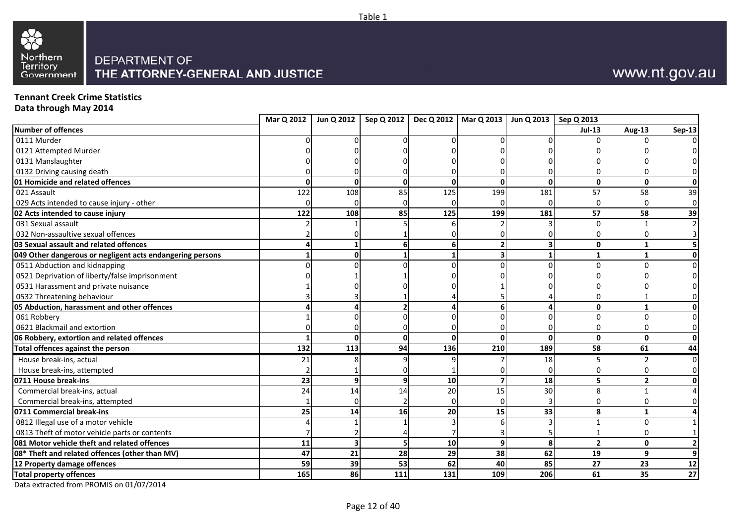



**Tennant Creek Crime Statistics**

**Data through May 2014**

|                                                           | Mar Q 2012 | Jun Q 2012   |              |     | Sep Q 2012   Dec Q 2012   Mar Q 2013   Jun Q 2013   Sep Q 2013 |          |               |                |                |
|-----------------------------------------------------------|------------|--------------|--------------|-----|----------------------------------------------------------------|----------|---------------|----------------|----------------|
| Number of offences                                        |            |              |              |     |                                                                |          | <b>Jul-13</b> | Aug-13         | <b>Sep-13</b>  |
| 0111 Murder                                               |            |              |              |     |                                                                |          |               |                |                |
| 0121 Attempted Murder                                     |            |              |              |     |                                                                |          |               |                |                |
| 0131 Manslaughter                                         |            |              |              |     |                                                                |          |               |                |                |
| 0132 Driving causing death                                |            |              |              |     |                                                                |          |               |                | $\Omega$       |
| 01 Homicide and related offences                          |            | U            | <sup>0</sup> | O   |                                                                | $\Omega$ | $\mathbf{0}$  | $\mathbf{0}$   | 0              |
| 021 Assault                                               | 122        | 108          | 85           | 125 | 199                                                            | 181      | 57            | 58             | 39             |
| 029 Acts intended to cause injury - other                 |            |              |              |     |                                                                |          |               | $\Omega$       | $\overline{0}$ |
| 02 Acts intended to cause injury                          | 122        | 108          | 85           | 125 | 199                                                            | 181      | 57            | 58             | 39             |
| 031 Sexual assault                                        |            |              |              |     |                                                                |          | <sup>0</sup>  |                |                |
| 032 Non-assaultive sexual offences                        |            |              |              |     |                                                                |          |               |                |                |
| 03 Sexual assault and related offences                    |            |              | 6            | 6   |                                                                |          | $\mathbf{0}$  | 1              |                |
| 049 Other dangerous or negligent acts endangering persons |            | U            |              |     |                                                                |          | $\mathbf{1}$  | 1              | οI             |
| 0511 Abduction and kidnapping                             |            |              |              |     |                                                                |          |               |                | $\Omega$       |
| 0521 Deprivation of liberty/false imprisonment            |            |              |              |     |                                                                |          |               |                |                |
| 0531 Harassment and private nuisance                      |            |              |              |     |                                                                |          |               |                |                |
| 0532 Threatening behaviour                                |            |              |              |     |                                                                |          |               |                |                |
| 05 Abduction, harassment and other offences               |            |              |              |     |                                                                |          | $\mathbf{0}$  | 1              | Οl             |
| 061 Robbery                                               |            |              |              |     |                                                                |          | $\Omega$      | $\Omega$       | $\overline{0}$ |
| 0621 Blackmail and extortion                              |            |              |              |     |                                                                |          |               | O              | $\overline{0}$ |
| 06 Robbery, extortion and related offences                |            | <sup>0</sup> | <sup>n</sup> | ŋ   |                                                                | $\Omega$ | $\mathbf{0}$  | $\mathbf{0}$   | 0              |
| Total offences against the person                         | 132        | 113          | 94           | 136 | 210                                                            | 189      | 58            | 61             | 44             |
| House break-ins, actual                                   | 21         |              |              |     |                                                                | 18       |               |                | $\Omega$       |
| House break-ins, attempted                                |            |              |              |     |                                                                |          |               |                | $\Omega$       |
| 0711 House break-ins                                      | 23         | 9            | 9            | 10  |                                                                | 18       | 5             | $\overline{2}$ | 01             |
| Commercial break-ins, actual                              | 24         | 14           | 14           | 20  | 15                                                             | 30       | 8             |                |                |
| Commercial break-ins, attempted                           |            |              |              |     |                                                                |          | $\Omega$      | 0              | $\Omega$       |
| 0711 Commercial break-ins                                 | 25         | 14           | 16           | 20  | 15                                                             | 33       | 8             | $\mathbf{1}$   |                |
| 0812 Illegal use of a motor vehicle                       |            |              |              |     |                                                                |          |               | $\Omega$       |                |
| 0813 Theft of motor vehicle parts or contents             |            |              |              |     |                                                                |          |               | $\Omega$       |                |
| 081 Motor vehicle theft and related offences              | 11         |              |              | 10  |                                                                | 8        | $\mathbf{2}$  | $\mathbf{0}$   |                |
| 08* Theft and related offences (other than MV)            | 47         | 21           | 28           | 29  | 38                                                             | 62       | 19            | 9              | 91             |
| 12 Property damage offences                               | 59         | 39           | 53           | 62  | 40                                                             | 85       | 27            | 23             | 12             |
| <b>Total property offences</b>                            | 165        | 86           | 111          | 131 | 109                                                            | 206      | 61            | 35             | 27             |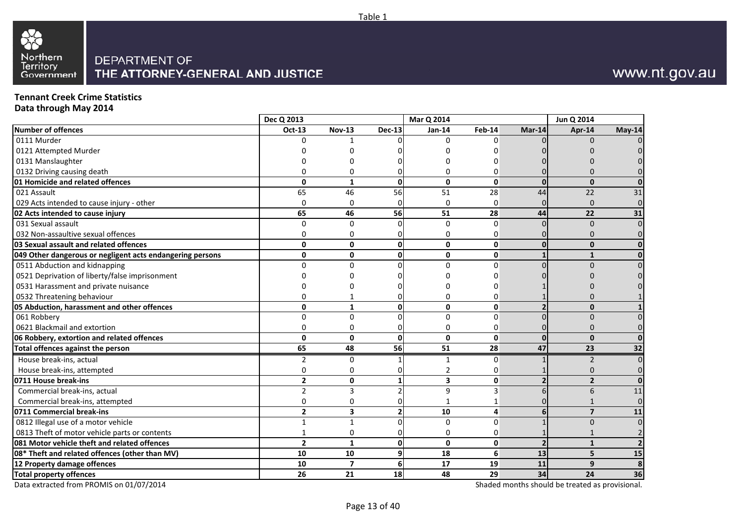

### **Tennant Creek Crime Statistics**

**Data through May 2014**

|                                                           | Dec Q 2013              |                |               | Mar Q 2014    |                         |          | Jun Q 2014     |        |
|-----------------------------------------------------------|-------------------------|----------------|---------------|---------------|-------------------------|----------|----------------|--------|
| Number of offences                                        | Oct-13                  | <b>Nov-13</b>  | <b>Dec-13</b> | <b>Jan-14</b> | Feb-14                  | Mar-14   | Apr-14         | May-14 |
| 0111 Murder                                               | O                       |                |               | 0             | U                       |          | 0              |        |
| 0121 Attempted Murder                                     |                         |                |               |               |                         |          |                |        |
| 0131 Manslaughter                                         |                         |                |               |               |                         |          |                |        |
| 0132 Driving causing death                                | O                       | 0              |               | ი             | n                       |          |                |        |
| 01 Homicide and related offences                          | 0                       | $\mathbf{1}$   | <sup>0</sup>  | $\mathbf{0}$  | $\mathbf 0$             | $\Omega$ | $\Omega$       |        |
| 021 Assault                                               | 65                      | 46             | 56            | 51            | 28                      | 44       | 22             | 31     |
| 029 Acts intended to cause injury - other                 | $\Omega$                | 0              |               | $\Omega$      | $\Omega$                |          | $\Omega$       |        |
| 02 Acts intended to cause injury                          | 65                      | 46             | 56            | 51            | 28                      | 44       | 22             | 31     |
| 031 Sexual assault                                        | 0                       | $\mathbf 0$    |               | $\Omega$      | $\Omega$                |          | $\mathbf{0}$   |        |
| 032 Non-assaultive sexual offences                        | 0                       | 0              |               | 0             | O                       |          | 0              |        |
| 03 Sexual assault and related offences                    | 0                       | $\mathbf 0$    | Λ             | 0             | $\mathbf 0$             |          | $\mathbf{0}$   |        |
| 049 Other dangerous or negligent acts endangering persons | 0                       | $\mathbf 0$    | U             | $\mathbf{0}$  | $\mathbf 0$             |          | $\mathbf{1}$   |        |
| 0511 Abduction and kidnapping                             | $\Omega$                | $\Omega$       |               | $\Omega$      | $\Omega$                |          | $\Omega$       |        |
| 0521 Deprivation of liberty/false imprisonment            |                         | n              |               |               |                         |          |                |        |
| 0531 Harassment and private nuisance                      |                         |                |               |               |                         |          |                |        |
| 0532 Threatening behaviour                                | 0                       |                |               | 0             | 0                       |          |                |        |
| 05 Abduction, harassment and other offences               | 0                       | $\mathbf{1}$   |               | 0             | $\mathbf 0$             |          | $\mathbf{0}$   |        |
| 061 Robbery                                               | 0                       | $\Omega$       |               | 0             | $\Omega$                |          | $\Omega$       |        |
| 0621 Blackmail and extortion                              | 0                       | $\Omega$       |               | 0             | 0                       |          | 0              |        |
| 06 Robbery, extortion and related offences                | 0                       | $\mathbf{0}$   | <sup>n</sup>  | $\mathbf 0$   | $\mathbf 0$             | ŋ        | $\mathbf{0}$   |        |
| <b>Total offences against the person</b>                  | 65                      | 48             | 56            | 51            | 28                      | 47       | 23             | 32     |
| House break-ins, actual                                   | 2                       | $\mathbf 0$    |               | $\mathbf{1}$  | $\Omega$                |          | 2              |        |
| House break-ins, attempted                                | $\Omega$                | $\mathbf 0$    |               | 2             | 0                       |          | 0              |        |
| 0711 House break-ins                                      | $\mathbf{2}$            | $\mathbf 0$    |               | 3             | $\mathbf 0$             |          | $\overline{2}$ |        |
| Commercial break-ins, actual                              | $\overline{2}$          | $\overline{3}$ |               | 9             | $\overline{\mathbf{a}}$ |          | 6              | 11     |
| Commercial break-ins, attempted                           | 0                       | $\mathbf 0$    |               |               |                         |          |                |        |
| 0711 Commercial break-ins                                 | $\overline{\mathbf{c}}$ | 3              |               | 10            | $\overline{\mathbf{4}}$ |          | $\overline{7}$ | 11     |
| 0812 Illegal use of a motor vehicle                       | $\mathbf{1}$            | $\mathbf{1}$   |               | $\Omega$      | $\Omega$                |          | $\Omega$       |        |
| 0813 Theft of motor vehicle parts or contents             | $\mathbf{1}$            | $\mathbf 0$    |               | 0             | $\Omega$                |          |                |        |
| 081 Motor vehicle theft and related offences              | $\overline{\mathbf{2}}$ | $\mathbf{1}$   | U             | $\mathbf{0}$  | $\mathbf 0$             |          | $\mathbf{1}$   |        |
| 08* Theft and related offences (other than MV)            | 10                      | 10             |               | 18            | 6                       | 13       | 5              | 15     |
| 12 Property damage offences                               | 10                      | $\overline{7}$ |               | 17            | 19                      | 11       | 9              | 8      |
| <b>Total property offences</b>                            | 26                      | 21             | 18            | 48            | 29                      | 34       | 24             | 36     |

Data extracted from PROMIS on 01/07/2014

Shaded months should be treated as provisional.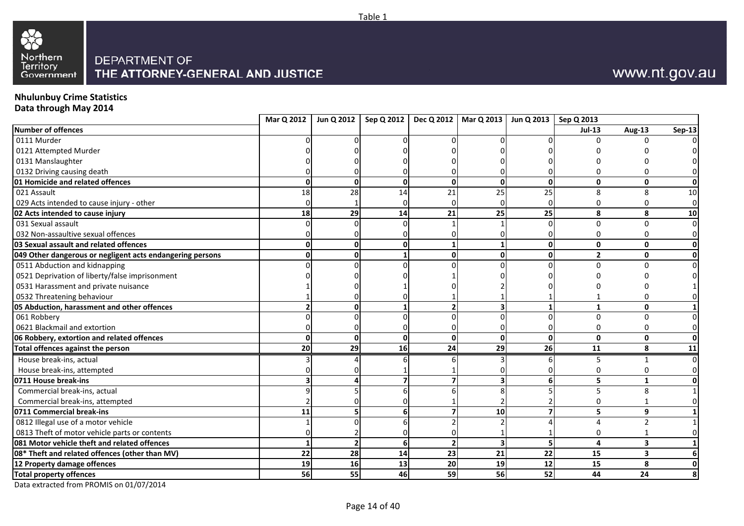



# **Nhulunbuy Crime Statistics Data through May 2014**

|                                                           |              |                | Mar Q 2012   Jun Q 2012   Sep Q 2012   Dec Q 2012   Mar Q 2013   Jun Q 2013   Sep Q 2013 |                          |              |             |                |                          |                |
|-----------------------------------------------------------|--------------|----------------|------------------------------------------------------------------------------------------|--------------------------|--------------|-------------|----------------|--------------------------|----------------|
| Number of offences                                        |              |                |                                                                                          |                          |              |             | <b>Jul-13</b>  | Aug-13                   | <b>Sep-13</b>  |
| 0111 Murder                                               |              |                |                                                                                          |                          |              |             |                |                          |                |
| 0121 Attempted Murder                                     |              |                |                                                                                          |                          |              |             |                |                          |                |
| 0131 Manslaughter                                         |              |                |                                                                                          |                          |              |             |                |                          |                |
| 0132 Driving causing death                                |              |                |                                                                                          |                          |              |             |                |                          | $\Omega$       |
| 01 Homicide and related offences                          | <sup>0</sup> | $\mathbf{0}$   | U                                                                                        | $\mathbf 0$              | οl           | $\mathbf 0$ | $\mathbf{0}$   | 0                        | οI             |
| 021 Assault                                               | 18           | 28             | 14                                                                                       | 21                       | 25           | 25          | 8              | 8                        | 10             |
| 029 Acts intended to cause injury - other                 | <sup>0</sup> |                |                                                                                          | U                        |              |             | U              | O                        | $\overline{0}$ |
| 02 Acts intended to cause injury                          | 18           | 29             | 14                                                                                       | 21                       | 25           | 25          | 8              | 8                        | 10             |
| 031 Sexual assault                                        |              |                |                                                                                          |                          |              |             | $\Omega$       | $\Omega$                 | $\overline{0}$ |
| 032 Non-assaultive sexual offences                        |              |                |                                                                                          |                          |              |             |                | n                        | $\overline{0}$ |
| 03 Sexual assault and related offences                    | 0            | $\Omega$       |                                                                                          |                          |              | $\mathbf 0$ | $\mathbf{0}$   | $\mathbf{0}$             | 0              |
| 049 Other dangerous or negligent acts endangering persons | $\Omega$     | $\Omega$       |                                                                                          | $\mathbf 0$              | 0            | $\Omega$    | $\overline{2}$ | $\mathbf{0}$             | 0              |
| 0511 Abduction and kidnapping                             |              |                |                                                                                          |                          |              |             |                |                          | $\Omega$       |
| 0521 Deprivation of liberty/false imprisonment            |              |                |                                                                                          |                          |              |             |                |                          |                |
| 0531 Harassment and private nuisance                      |              |                |                                                                                          |                          |              |             |                |                          |                |
| 0532 Threatening behaviour                                |              |                |                                                                                          |                          |              |             |                |                          |                |
| 05 Abduction, harassment and other offences               |              |                |                                                                                          | $\overline{2}$           |              |             | $\mathbf{1}$   | $\mathbf{0}$             |                |
| 061 Robbery                                               |              |                |                                                                                          |                          |              |             | $\Omega$       | n                        | $\Omega$       |
| 0621 Blackmail and extortion                              |              |                |                                                                                          |                          |              |             |                | n                        | $\Omega$       |
| 06 Robbery, extortion and related offences                | $\mathbf{0}$ | $\mathbf{0}$   | ŋ                                                                                        | $\mathbf{0}$             | <sub>0</sub> | $\Omega$    | $\mathbf{0}$   | $\mathbf{0}$             | οI             |
| Total offences against the person                         | 20           | 29             | 16                                                                                       | 24                       | 29           | 26          | 11             | 8                        | 11             |
| House break-ins, actual                                   |              |                |                                                                                          |                          |              |             |                |                          | $\overline{0}$ |
| House break-ins, attempted                                |              |                |                                                                                          |                          |              |             |                |                          |                |
| 0711 House break-ins                                      |              |                |                                                                                          |                          |              | 6           | 5              | 1                        |                |
| Commercial break-ins, actual                              |              |                |                                                                                          |                          |              |             | 5              | Я                        |                |
| Commercial break-ins, attempted                           |              |                |                                                                                          |                          |              |             |                |                          | $\Omega$       |
| 0711 Commercial break-ins                                 | 11           |                |                                                                                          | 7                        | 10           |             | 5              | 9                        |                |
| 0812 Illegal use of a motor vehicle                       |              |                |                                                                                          |                          |              |             |                | $\overline{\phantom{0}}$ |                |
| 0813 Theft of motor vehicle parts or contents             |              |                |                                                                                          |                          |              |             |                |                          |                |
| 081 Motor vehicle theft and related offences              |              | $\overline{2}$ | 6                                                                                        | $\overline{\phantom{a}}$ |              | 5           | 4              | $\overline{\mathbf{3}}$  |                |
| 08* Theft and related offences (other than MV)            | 22           | 28             | 14                                                                                       | 23                       | 21           | 22          | 15             | $\overline{\mathbf{3}}$  | 6              |
| 12 Property damage offences                               | 19           | 16             | 13                                                                                       | 20                       | 19           | 12          | 15             | 8                        | Οl             |
| <b>Total property offences</b>                            | 56           | 55             | 46                                                                                       | 59                       | 56           | 52          | 44             | 24                       | 8              |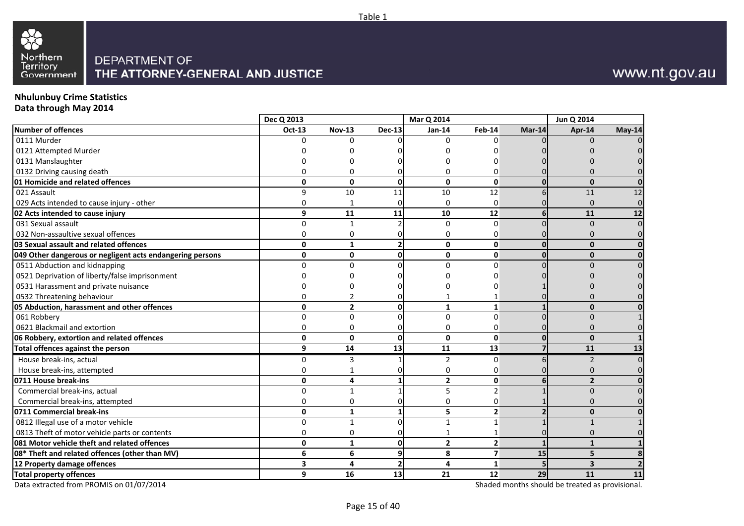

### **Nhulunbuy Crime Statistics**

**Data through May 2014**

|                                                           | Dec Q 2013    |                |                | Mar Q 2014              |                         |          | Jun Q 2014              |        |
|-----------------------------------------------------------|---------------|----------------|----------------|-------------------------|-------------------------|----------|-------------------------|--------|
| <b>Number of offences</b>                                 | <b>Oct-13</b> | <b>Nov-13</b>  | <b>Dec-13</b>  | Jan-14                  | Feb-14                  | $Mar-14$ | Apr-14                  | May-14 |
| 0111 Murder                                               | ŋ             | <sup>n</sup>   |                | <sup>0</sup>            | n                       |          | n                       |        |
| 0121 Attempted Murder                                     |               |                |                |                         |                         |          |                         |        |
| 0131 Manslaughter                                         |               |                |                |                         |                         |          |                         |        |
| 0132 Driving causing death                                |               | 0              |                | O                       | 0                       |          |                         |        |
| 01 Homicide and related offences                          | $\mathbf 0$   | 0              | $\Omega$       | $\mathbf{0}$            | $\mathbf{0}$            | $\Omega$ | $\mathbf{0}$            |        |
| 021 Assault                                               | 9             | 10             | 11             | 10                      | 12                      |          | 11                      | 12     |
| 029 Acts intended to cause injury - other                 | 0             | 1              |                | $\Omega$                | $\Omega$                |          | $\Omega$                |        |
| 02 Acts intended to cause injury                          | 9             | 11             | 11             | 10                      | 12                      |          | 11                      | 12     |
| 031 Sexual assault                                        | 0             | 1              |                | $\mathbf 0$             | $\Omega$                |          | $\mathbf{0}$            |        |
| 032 Non-assaultive sexual offences                        | $\mathbf 0$   | 0              |                | $\Omega$                | 0                       |          | $\Omega$                |        |
| 03 Sexual assault and related offences                    | $\mathbf 0$   | $\mathbf{1}$   | $\overline{2}$ | $\mathbf{0}$            | $\mathbf 0$             |          | $\Omega$                |        |
| 049 Other dangerous or negligent acts endangering persons | $\mathbf 0$   | $\mathbf 0$    | $\mathbf{0}$   | $\mathbf 0$             | $\mathbf 0$             |          | $\bf{0}$                | n      |
| 0511 Abduction and kidnapping                             | $\Omega$      | $\Omega$       |                | $\Omega$                | $\Omega$                |          | $\Omega$                |        |
| 0521 Deprivation of liberty/false imprisonment            |               |                |                |                         |                         |          |                         |        |
| 0531 Harassment and private nuisance                      |               |                |                |                         |                         |          |                         |        |
| 0532 Threatening behaviour                                | ŋ             |                |                |                         |                         |          |                         |        |
| 05 Abduction, harassment and other offences               | $\mathbf 0$   | $\overline{2}$ | $\Omega$       | $\mathbf{1}$            | $\mathbf{1}$            |          | $\mathbf{0}$            |        |
| 061 Robbery                                               | $\Omega$      | $\Omega$       |                | $\Omega$                | $\Omega$                |          | $\Omega$                |        |
| 0621 Blackmail and extortion                              | $\mathbf 0$   | 0              |                | $\mathbf 0$             | 0                       |          | $\Omega$                |        |
| 06 Robbery, extortion and related offences                | $\mathbf 0$   | 0              | $\Omega$       | $\mathbf{0}$            | $\mathbf 0$             |          | $\mathbf{0}$            |        |
| <b>Total offences against the person</b>                  | 9             | 14             | 13             | 11                      | 13                      |          | 11                      | 13     |
| House break-ins, actual                                   | 0             | 3              |                | $\overline{2}$          | U                       |          | $\overline{2}$          |        |
| House break-ins, attempted                                | 0             |                |                | 0                       | ი                       |          | 0                       |        |
| 0711 House break-ins                                      | $\mathbf 0$   | 4              |                | $\overline{2}$          | $\mathbf 0$             |          | $\overline{2}$          |        |
| Commercial break-ins, actual                              | 0             | $\mathbf{1}$   |                | 5                       | $\overline{2}$          |          | $\Omega$                |        |
| Commercial break-ins, attempted                           | 0             | 0              | n              | $\Omega$                | 0                       |          | $\Omega$                |        |
| 0711 Commercial break-ins                                 | $\mathbf 0$   | $\mathbf{1}$   |                | 5                       | $\overline{2}$          |          | $\bf{0}$                |        |
| 0812 Illegal use of a motor vehicle                       | 0             | $\mathbf{1}$   |                | 1                       |                         |          | $\mathbf{1}$            |        |
| 0813 Theft of motor vehicle parts or contents             | $\Omega$      | 0              |                |                         |                         |          |                         |        |
| 081 Motor vehicle theft and related offences              | $\mathbf 0$   | $\mathbf{1}$   | $\Omega$       | $\overline{\mathbf{c}}$ | $\overline{\mathbf{2}}$ |          | $\mathbf{1}$            |        |
| 08* Theft and related offences (other than MV)            | 6             | 6              | 9              | 8                       | $\overline{\mathbf{z}}$ | 15       | 5                       |        |
| 12 Property damage offences                               | 3             | 4              |                | 4                       | 1                       |          | $\overline{\mathbf{3}}$ |        |
| <b>Total property offences</b>                            | 9             | 16             | 13             | 21                      | 12                      | 29       | 11                      | 11     |

Data extracted from PROMIS on 01/07/2014

Shaded months should be treated as provisional.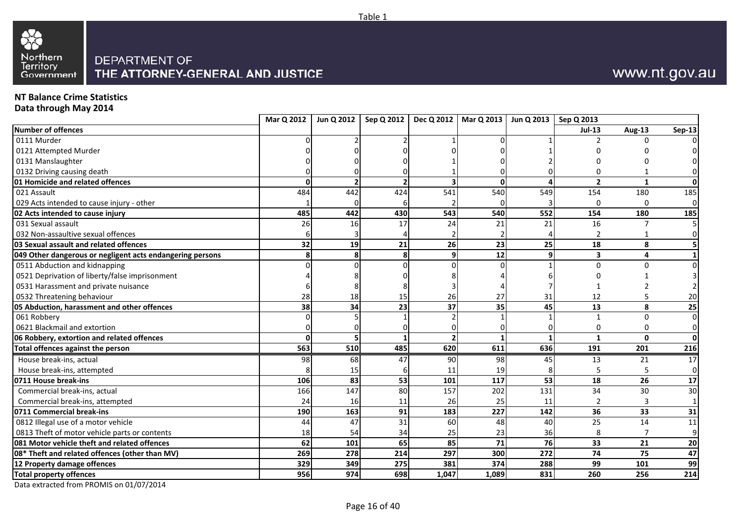



### **NT Balance Crime Statistics**

**Data through May 2014**

|                                                           | Mar Q 2012 | Jun Q 2012               |     |                | Sep Q 2012   Dec Q 2012   Mar Q 2013   Jun Q 2013   Sep Q 2013 |                        |                         |                |                         |
|-----------------------------------------------------------|------------|--------------------------|-----|----------------|----------------------------------------------------------------|------------------------|-------------------------|----------------|-------------------------|
| Number of offences                                        |            |                          |     |                |                                                                |                        | <b>Jul-13</b>           | Aug-13         | <b>Sep-13</b>           |
| 0111 Murder                                               |            |                          |     |                |                                                                |                        |                         |                |                         |
| 0121 Attempted Murder                                     |            |                          |     |                |                                                                |                        |                         |                |                         |
| 0131 Manslaughter                                         |            |                          |     |                |                                                                |                        |                         |                |                         |
| 0132 Driving causing death                                |            |                          |     |                |                                                                |                        |                         |                | $\Omega$                |
| 01 Homicide and related offences                          | $\Omega$   | $\overline{\phantom{a}}$ |     |                | $\mathbf{0}$                                                   | $\boldsymbol{\Lambda}$ | $\overline{2}$          | $\mathbf{1}$   | $\mathbf{0}$            |
| 021 Assault                                               | 484        | 442                      | 424 | 541            | 540                                                            | 549                    | 154                     | 180            | 185                     |
| 029 Acts intended to cause injury - other                 |            |                          |     |                |                                                                |                        | $\Omega$                | $\Omega$       | $\overline{0}$          |
| 02 Acts intended to cause injury                          | 485        | 442                      | 430 | 543            | 540                                                            | 552                    | 154                     | 180            | 185                     |
| 031 Sexual assault                                        | 26         | 16                       | 17  | 24             | 21                                                             | 21                     | 16                      |                | 5 <sub>l</sub>          |
| 032 Non-assaultive sexual offences                        | 6          |                          |     |                |                                                                |                        |                         |                | $\overline{0}$          |
| <b>03 Sexual assault and related offences</b>             | 32         | 19                       | 21  | 26             | 23                                                             | 25                     | 18                      | 8              | 5 <sub>l</sub>          |
| 049 Other dangerous or negligent acts endangering persons | 8          | 8                        |     | $\mathbf{9}$   | 12                                                             | 9                      | $\overline{\mathbf{3}}$ | 4              | $1\vert$                |
| 0511 Abduction and kidnapping                             |            |                          |     |                |                                                                |                        | $\Omega$                |                | $\overline{0}$          |
| 0521 Deprivation of liberty/false imprisonment            |            |                          |     |                |                                                                |                        |                         |                | $\overline{\mathbf{3}}$ |
| 0531 Harassment and private nuisance                      |            |                          |     |                |                                                                |                        |                         |                | $\overline{2}$          |
| 0532 Threatening behaviour                                | 28         | 18                       | 15  | 26             | 27                                                             | 31                     | 12                      |                | 20                      |
| 05 Abduction, harassment and other offences               | 38         | 34                       | 23  | 37             | $\overline{35}$                                                | 45                     | 13                      | 8              | 25                      |
| 061 Robbery                                               |            |                          |     |                |                                                                |                        | 1                       | $\Omega$       | $\overline{0}$          |
| 0621 Blackmail and extortion                              |            |                          |     | ŋ              |                                                                |                        | $\Omega$                | 0              | $\overline{0}$          |
| 06 Robbery, extortion and related offences                | $\Omega$   |                          |     | $\overline{2}$ |                                                                |                        | $\mathbf{1}$            | $\mathbf{0}$   | $\mathbf{0}$            |
| Total offences against the person                         | 563        | 510                      | 485 | 620            | 611                                                            | 636                    | 191                     | 201            | 216                     |
| House break-ins, actual                                   | 98         | 68                       | 47  | 90             | 98                                                             | 45                     | 13                      | 21             | 17                      |
| House break-ins, attempted                                |            | 15                       |     | 11             | 19                                                             |                        |                         | 5              | $\overline{0}$          |
| 0711 House break-ins                                      | <b>106</b> | 83                       | 53  | 101            | 117                                                            | 53                     | 18                      | 26             | 17                      |
| Commercial break-ins, actual                              | 166        | 147                      | 80  | 157            | 202                                                            | 131                    | 34                      | 30             | 30                      |
| Commercial break-ins, attempted                           | 24         | 16                       | 11  | 26             | 25                                                             | 11                     | $\mathcal{P}$           | 3              | $1\vert$                |
| 0711 Commercial break-ins                                 | 190        | 163                      | 91  | 183            | 227                                                            | 142                    | 36                      | 33             | 31                      |
| 0812 Illegal use of a motor vehicle                       | 44         | 47                       | 31  | 60             | 48                                                             | 40                     | 25                      | 14             | 11                      |
| 0813 Theft of motor vehicle parts or contents             | 18         | 54                       | 34  | 25             | 23                                                             | 36                     | 8                       | $\overline{7}$ | $\overline{9}$          |
| 081 Motor vehicle theft and related offences              | 62         | 101                      | 65  | 85             | 71                                                             | 76                     | 33                      | 21             | 20                      |
| 08* Theft and related offences (other than MV)            | 269        | 278                      | 214 | 297            | 300                                                            | $\overline{272}$       | 74                      | 75             | 47                      |
| 12 Property damage offences                               | 329        | 349                      | 275 | 381            | 374                                                            | 288                    | 99                      | 101            | 99                      |
| <b>Total property offences</b>                            | 956        | 974                      | 698 | 1,047          | 1,089                                                          | 831                    | 260                     | 256            | 214                     |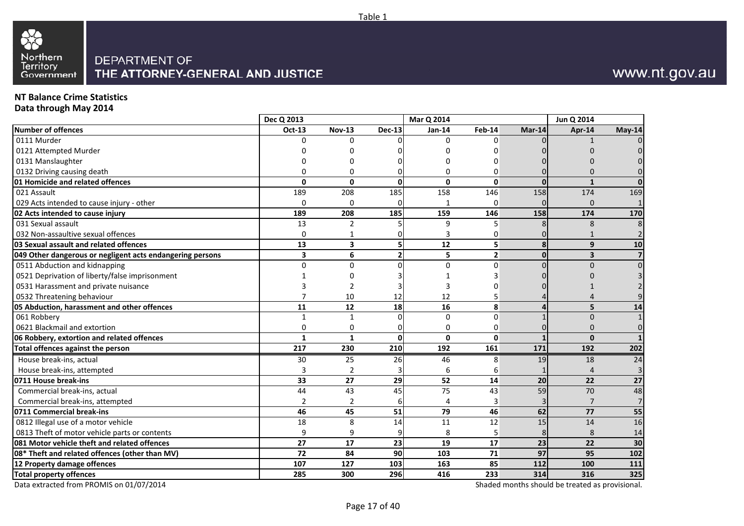

### **NT Balance Crime Statistics**

**Data through May 2014**

|                                                           | Dec Q 2013              |                 |               | Mar Q 2014      |                |          | Jun Q 2014              |                 |
|-----------------------------------------------------------|-------------------------|-----------------|---------------|-----------------|----------------|----------|-------------------------|-----------------|
| Number of offences                                        | Oct-13                  | <b>Nov-13</b>   | <b>Dec-13</b> | <b>Jan-14</b>   | Feb-14         | Mar-14   | Apr-14                  | May-14          |
| 0111 Murder                                               | 0                       | U               |               | 0               | $\Omega$       |          |                         |                 |
| 0121 Attempted Murder                                     |                         |                 |               |                 |                |          |                         |                 |
| 0131 Manslaughter                                         |                         |                 |               |                 | n              |          |                         |                 |
| 0132 Driving causing death                                | 0                       | $\Omega$        |               | 0               | 0              |          |                         |                 |
| 01 Homicide and related offences                          | $\Omega$                | $\Omega$        | <sup>0</sup>  | $\Omega$        | $\mathbf{0}$   | $\Omega$ | $\mathbf{1}$            |                 |
| 021 Assault                                               | 189                     | 208             | 185           | 158             | 146            | 158      | 174                     | 169             |
| 029 Acts intended to cause injury - other                 | $\Omega$                | $\Omega$        |               |                 | $\Omega$       |          | $\Omega$                |                 |
| 02 Acts intended to cause injury                          | 189                     | 208             | 185           | 159             | 146            | 158      | 174                     | 170             |
| 031 Sexual assault                                        | 13                      | $\overline{2}$  |               | 9               | 5              |          | 8                       |                 |
| 032 Non-assaultive sexual offences                        | 0                       | 1               |               |                 | 0              |          | 1                       |                 |
| 03 Sexual assault and related offences                    | 13                      | 3               |               | 12              | 5              | 8        | 9                       | 10              |
| 049 Other dangerous or negligent acts endangering persons | $\overline{\mathbf{3}}$ | 6               |               | 5               | 2 <sup>1</sup> | $\Omega$ | $\overline{\mathbf{3}}$ |                 |
| 0511 Abduction and kidnapping                             | 0                       | $\Omega$        |               | $\Omega$        | $\Omega$       |          | $\Omega$                |                 |
| 0521 Deprivation of liberty/false imprisonment            |                         |                 |               |                 |                |          |                         |                 |
| 0531 Harassment and private nuisance                      |                         |                 |               |                 |                |          |                         |                 |
| 0532 Threatening behaviour                                | 7                       | 10              | 12            | 12              | 5              |          |                         |                 |
| 05 Abduction, harassment and other offences               | 11                      | 12              | 18            | 16              | 8              |          | 5                       | 14              |
| 061 Robbery                                               | $\mathbf{1}$            | $\mathbf{1}$    |               | $\mathbf 0$     | $\Omega$       |          | $\mathbf{0}$            |                 |
| 0621 Blackmail and extortion                              | 0                       | 0               |               | 0               | 0              |          | $\Omega$                |                 |
| 06 Robbery, extortion and related offences                | $\mathbf{1}$            | $\mathbf{1}$    | <sup>0</sup>  | $\mathbf{0}$    | 0              |          | $\mathbf{0}$            |                 |
| Total offences against the person                         | 217                     | 230             | 210           | 192             | 161            | 171      | 192                     | 202             |
| House break-ins, actual                                   | 30                      | 25              | 26            | 46              | 8              | 19       | 18                      | $\overline{24}$ |
| House break-ins, attempted                                | 3                       | $\overline{2}$  |               | 6               | 6              |          |                         |                 |
| 0711 House break-ins                                      | 33                      | $\overline{27}$ | 29            | $\overline{52}$ | 14             | 20       | 22                      | 27              |
| Commercial break-ins, actual                              | 44                      | 43              | 45            | 75              | 43             | 59       | 70                      | 48              |
| Commercial break-ins, attempted                           | $\overline{2}$          | $\overline{2}$  |               | 4               | 3              |          | 7                       |                 |
| 0711 Commercial break-ins                                 | 46                      | 45              | 51            | 79              | 46             | 62       | 77                      | 55              |
| 0812 Illegal use of a motor vehicle                       | 18                      | 8               | 14            | 11              | 12             | 15       | 14                      | 16              |
| 0813 Theft of motor vehicle parts or contents             | 9                       | 9               |               | 8               | 5              | 8        | 8                       | 14              |
| 081 Motor vehicle theft and related offences              | 27                      | 17              | 23            | 19              | 17             | 23       | 22                      | 30              |
| 08* Theft and related offences (other than MV)            | 72                      | 84              | 90            | 103             | 71             | 97       | 95                      | 102             |
| 12 Property damage offences                               | 107                     | 127             | 103           | 163             | 85             | 112      | 100                     | 111             |
| <b>Total property offences</b>                            | 285                     | 300             | 296           | 416             | 233            | 314      | 316                     | 325             |

Data extracted from PROMIS on 01/07/2014

Shaded months should be treated as provisional.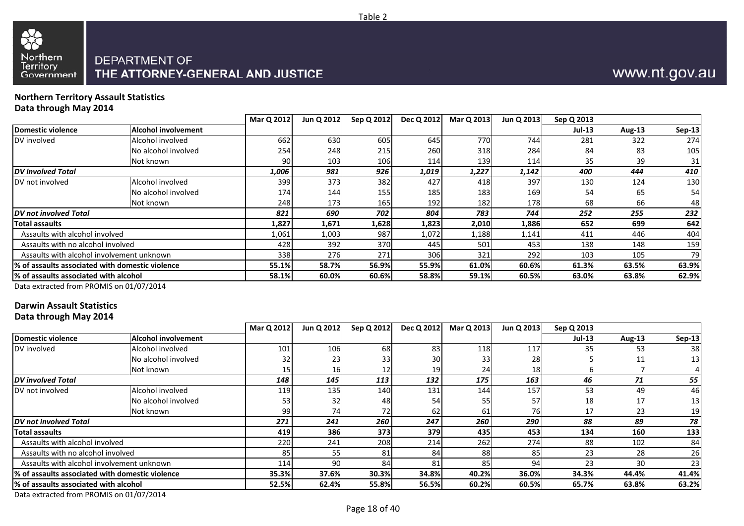



# THE ATTORNEY-GENERAL AND JUSTICE

#### **Northern Territory Assault StatisticsData through May 2014**

|                                                  |                            | Mar Q 2012 | Jun Q 2012       | Sep Q 2012 | Dec Q 2012 | Mar Q 2013 | Jun Q 2013 | Sep Q 2013 |               |               |
|--------------------------------------------------|----------------------------|------------|------------------|------------|------------|------------|------------|------------|---------------|---------------|
| Domestic violence                                | <b>Alcohol involvement</b> |            |                  |            |            |            |            | $Jul-13$   | <b>Aug-13</b> | <b>Sep-13</b> |
| DV involved                                      | Alcohol involved           | 662        | 630              | 605        | 645        | 770        | 744        | 281        | 322           | 274           |
|                                                  | No alcohol involved        | 254        | 248              | 215        | 260        | 318        | 284        | 84         | 83            | 105           |
|                                                  | Not known                  | 90.        | 103 <sub>l</sub> | 106        | 114        | 139        | 114        | 35         | 39            | 31            |
| <b>DV</b> involved Total                         |                            | 1,006      | 981              | 926        | 1,019      | 1,227      | 1,142      | 400        | 444           | 410           |
| DV not involved                                  | Alcohol involved           | 399        | 373              | 382        | 427        | 418        | 397        | 130        | 124           | 130           |
|                                                  | No alcohol involved        | 174        | 144              | 155        | 185        | 183        | 169        | 54         | 65            | 54            |
|                                                  | Not known                  | 248        | 173 I            | 165        | 192        | 182        | 178        | 68         | 66            | 48            |
| DV not involved Total                            |                            | 821        | 690              | 702        | 804        | 783        | 744        | 252        | 255           | 232           |
| <b>Total assaults</b>                            |                            | 1,827      | 1,671            | 1,628      | 1,823      | 2,010      | 1,886      | 652        | 699           | 642           |
| Assaults with alcohol involved                   |                            | 1,061      | 1,003            | 987        | 1,072      | 1,188      | 1,141      | 411        | 446           | 404           |
| Assaults with no alcohol involved                |                            | 428        | 392              | 370        | 445        | 501        | 453        | 138        | 148           | 159           |
| Assaults with alcohol involvement unknown        |                            | 338        | <b>276</b>       | 271        | 306        | 321        | 292        | 103        | 105           | 79            |
| l% of assaults associated with domestic violence |                            | 55.1%      | 58.7%            | 56.9%      | 55.9%      | 61.0%      | 60.6%      | 61.3%      | 63.5%         | 63.9%         |
| % of assaults associated with alcohol            |                            | 58.1%      | 60.0%            | 60.6%      | 58.8%      | 59.1%      | 60.5%      | 63.0%      | 63.8%         | 62.9%         |
|                                                  |                            |            |                  |            |            |            |            |            |               |               |

Data extracted from PROMIS on 01/07/2014

### **Darwin Assault Statistics**

**Data through May 2014**

|                                                  |                            | Mar Q 2012 | Jun Q 2012      | Sep Q 2012 | Dec Q 2012 | Mar Q 2013 | Jun Q 2013 | Sep Q 2013    |        |                 |
|--------------------------------------------------|----------------------------|------------|-----------------|------------|------------|------------|------------|---------------|--------|-----------------|
| Domestic violence                                | <b>Alcohol involvement</b> |            |                 |            |            |            |            | <b>Jul-13</b> | Aug-13 | <b>Sep-13</b>   |
| DV involved                                      | Alcohol involved           | 101        | 106             | 68         | 83         | 118        | 117        | 35            | 53     | 38 <sub>l</sub> |
|                                                  | No alcohol involved        | 32         | 231             | 33         | 30         | 33         | 28         |               | 11     | 13              |
|                                                  | Not known                  |            | 161             | 12         | 19         | 24         | 18         |               |        |                 |
| <b>IDV</b> involved Total                        |                            | 148        | 145             | 113        | 132        | 175        | 163        | 46            | 71     | 55              |
| DV not involved                                  | Alcohol involved           | 119        | 135 <b>I</b>    | 140        | 131        | 144        | 157        | 53            | 49     | 46              |
|                                                  | No alcohol involved        | 53         | 32              | 48         | 54         | 55         | 57         | 18            | 17     | 13 <sub>l</sub> |
|                                                  | Not known                  | 99         | 74I             | 72         | 62         | 61         | 761        | 17            | 23     | 19              |
| <b>DV</b> not involved Total                     |                            | 271        | 241             | 260        | 247        | 260        | 290        | 88            | 89     | 78              |
| <b>Total assaults</b>                            |                            | 419        | <b>3861</b>     | 373        | 379        | 435        | 453        | 134           | 160    | 133             |
| Assaults with alcohol involved                   |                            | 220        | 241             | 208        | 214        | 262        | 274        | 88            | 102    | 84              |
| Assaults with no alcohol involved                |                            | 85         |                 | 81         | 84         | 88         | 85         | 23            | 28     | 26              |
| Assaults with alcohol involvement unknown        |                            | 114        | 90 <sup>1</sup> | 84         | 81         | 85         | 94         | 23            | 30     | 23              |
| 1% of assaults associated with domestic violence |                            | 35.3%      | 37.6%           | 30.3%      | 34.8%      | 40.2%      | 36.0%      | 34.3%         | 44.4%  | 41.4%           |
| 1% of assaults associated with alcohol           |                            | 52.5%      | 62.4%           | 55.8%      | 56.5%      | 60.2%      | 60.5%      | 65.7%         | 63.8%  | 63.2%           |
|                                                  |                            |            |                 |            |            |            |            |               |        |                 |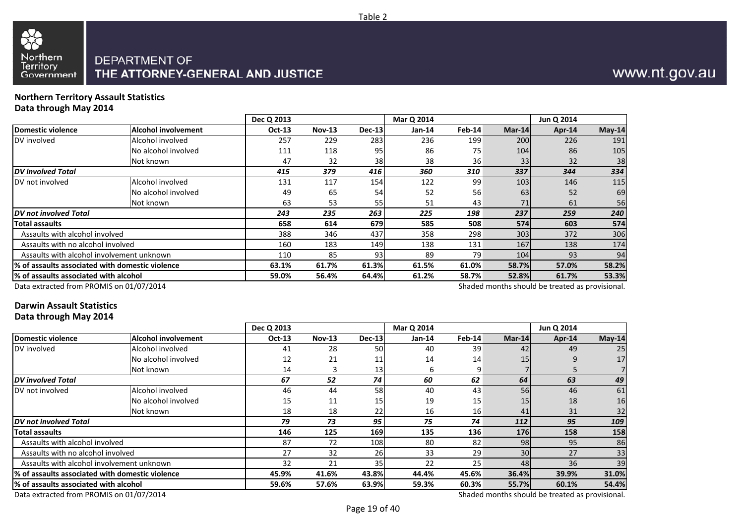

#### **Northern Territory Assault StatisticsData through May 2014**

|                                                                                             |                            | Dec Q 2013    |               |          | Mar Q 2014    |               |        | Jun Q 2014                                      |        |
|---------------------------------------------------------------------------------------------|----------------------------|---------------|---------------|----------|---------------|---------------|--------|-------------------------------------------------|--------|
| Domestic violence                                                                           | <b>Alcohol involvement</b> | <b>Oct-13</b> | <b>Nov-13</b> | $Dec-13$ | <b>Jan-14</b> | <b>Feb-14</b> | Mar-14 | Apr-14                                          | May-14 |
| DV involved                                                                                 | Alcohol involved           | 257           | 229           | 283      | 236           | 199           | 200    | 226                                             | 191    |
|                                                                                             | No alcohol involved        | 111           | 118           | 95       | 86            | 75            | 104    | 86                                              | 105    |
|                                                                                             | Not known                  | 47            | 32            | 38       | 38            | 36            | 33     | 32                                              | 38     |
| <b>DV</b> involved Total                                                                    |                            | 415           | 379           | 416      | 360           | 310           | 337    | 344                                             | 334    |
| DV not involved                                                                             | Alcohol involved           | 131           | 117           | 154      | 122           | 99            | 103    | 146                                             | 115    |
|                                                                                             | No alcohol involved        | 49            | 65            | 54       | 52            | 56            | 63     | 52                                              | 69     |
|                                                                                             | Not known                  | 63            | 53            | 55       | 51            | 43            | 71     | 61                                              | 56     |
| <b>IDV</b> not involved Total                                                               |                            | 243           | 235           | 263      | 225           | 198           | 237    | 259                                             | 240    |
| Total assaults                                                                              |                            | 658           | 614           | 679      | 585           | 508           | 574    | 603                                             | 574    |
| Assaults with alcohol involved                                                              |                            | 388           | 346           | 437      | 358           | 298           | 303    | 372                                             | 306    |
| Assaults with no alcohol involved                                                           |                            | 160           | 183           | 149      | 138           | 131           | 167    | 138                                             | 174    |
| Assaults with alcohol involvement unknown                                                   |                            | 110           | 85            | 93       | 89            | 79            | 104    | 93                                              | 94     |
| 1% of assaults associated with domestic violence                                            |                            | 63.1%         | 61.7%         | 61.3%    | 61.5%         | 61.0%         | 58.7%  | 57.0%                                           | 58.2%  |
| 64.4%<br>% of assaults associated with alcohol<br>52.8%<br>56.4%<br>61.2%<br>58.7%<br>59.0% |                            |               |               |          | 61.7%         | 53.3%         |        |                                                 |        |
| Data extracted from PROMIS on 01/07/2014                                                    |                            |               |               |          |               |               |        | Shaded months should be treated as provisional. |        |

### **Darwin Assault Statistics**

**Data through May 2014**

|                                                 |                            | Dec Q 2013    |               |          | Mar Q 2014 |        |        | Jun Q 2014 |          |
|-------------------------------------------------|----------------------------|---------------|---------------|----------|------------|--------|--------|------------|----------|
| Domestic violence                               | <b>Alcohol involvement</b> | <b>Oct-13</b> | <b>Nov-13</b> | $Dec-13$ | $Jan-14$   | Feb-14 | Mar-14 | Apr-14     | $May-14$ |
| DV involved                                     | Alcohol involved           | 41            | 28            | 50       | 40         | 39     | 42     | 49         | 25       |
|                                                 | No alcohol involved        | 12            | 21            | 11       | 14         | 14     | 15     |            | 17       |
|                                                 | Not known                  | 14            |               | 13       |            | 9      |        |            |          |
| <b>IDV</b> involved Total                       |                            | 67            | 52            | 74       | 60         | 62     | 64     | 63         | 49       |
| DV not involved                                 | Alcohol involved           | 46            | 44            | 58       | 40         | 43     | 56     | 46         | 61       |
|                                                 | No alcohol involved        | 15            | 11            | 15       | 19         | 15     | 15     | 18         | 16       |
|                                                 | Not known                  | 18            | 18            | 22       | 16         | 16     | 41     | 31         | 32       |
| <b>DV</b> not involved Total                    |                            | 79            | 73            | 95       | 75         | 74     | 112    | 95         | 109      |
| Total assaults                                  |                            | 146           | 125           | 169      | 135        | 136    | 176    | 158        | 158      |
| Assaults with alcohol involved                  |                            | 87            | 72            | 108      | 80         | 82     | 98     | 95         | 86       |
| Assaults with no alcohol involved               |                            | 27            | 32            | 26       | 33         | 29     | 30     | 27         | 33       |
| Assaults with alcohol involvement unknown       |                            | 32            | 21            | 35       | 22         | 25     | 48     | 36         | 39       |
| % of assaults associated with domestic violence |                            | 45.9%         | 41.6%         | 43.8%    | 44.4%      | 45.6%  | 36.4%  | 39.9%      | 31.0%    |
| 1% of assaults associated with alcohol          |                            | 59.6%         | 57.6%         | 63.9%    | 59.3%      | 60.3%  | 55.7%  | 60.1%      | 54.4%    |
|                                                 |                            |               |               |          |            |        |        | .          |          |

Data extracted from PROMIS on 01/07/2014

Shaded months should be treated as provisional.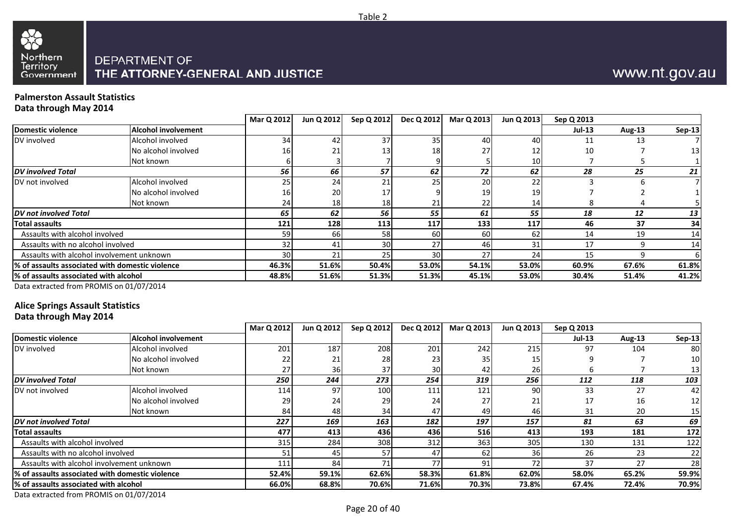

#### **Palmerston Assault StatisticsData through May 2014**

|                                                 |                     | Mar Q 2012      | Jun Q 2012 | Sep Q 2012 | <b>Dec Q 2012</b> | Mar Q 2013 | Jun Q 2013 | Sep Q 2013    |        |        |
|-------------------------------------------------|---------------------|-----------------|------------|------------|-------------------|------------|------------|---------------|--------|--------|
| <b>Domestic violence</b>                        | Alcohol involvement |                 |            |            |                   |            |            | <b>Jul-13</b> | Aug-13 | Sep-13 |
| DV involved                                     | Alcohol involved    | 34 <sub>1</sub> | 42         | 37         | 35                | 40         | 40         |               | 13     |        |
|                                                 | No alcohol involved | 16              | 21         | 13         | 18                | 27         |            | 10            |        | 13     |
|                                                 | Not known           |                 |            |            |                   |            | 10         |               |        |        |
| <b>DV</b> involved Total                        |                     | 56              | 66         | 57         | 62                | 72         | 62         | 28            | 25     | 21     |
| DV not involved                                 | Alcohol involved    |                 | 24         | 21         | 25                | 20         | 22         |               |        |        |
|                                                 | No alcohol involved | 161             | <b>20</b>  | 17         |                   | 19         | 19         |               |        |        |
|                                                 | Not known           | 241             | <b>18</b>  | 18         | 21                | 22         | 14         |               |        |        |
| DV not involved Total                           |                     | 65              | 62         | 56         | 55                | 61         | 55         | 18            | 12     | 13     |
| <b>Total assaults</b>                           |                     | 121             | 128        | 113        | 117               | 133        | 117        | 46            | 37     | 34     |
| Assaults with alcohol involved                  |                     | 59              | 66 I       | 58         | 60                | 60         | 62         | 14            | 19     | 14     |
| Assaults with no alcohol involved               |                     | 32              | 41         | 30         | 27                | 46         |            | 17            |        | 14     |
| Assaults with alcohol involvement unknown       |                     | 30              | 21         | 25         | 30                | 27         | 24         | 15            |        |        |
| % of assaults associated with domestic violence |                     | 46.3%           | 51.6%      | 50.4%      | 53.0%             | 54.1%      | 53.0%      | 60.9%         | 67.6%  | 61.8%  |
| % of assaults associated with alcohol           |                     | 48.8%           | 51.6%      | 51.3%      | 51.3%             | 45.1%      | 53.0%      | 30.4%         | 51.4%  | 41.2%  |
|                                                 |                     |                 |            |            |                   |            |            |               |        |        |

Table 2

Data extracted from PROMIS on 01/07/2014

### **Alice Springs Assault Statistics**

**Data through May 2014**

|                                                  |                            | Mar Q 2012 | Jun Q 2012 | Sep Q 2012 | Dec Q 2012 | Mar Q 2013      | Jun Q 2013 | Sep Q 2013    |        |                 |
|--------------------------------------------------|----------------------------|------------|------------|------------|------------|-----------------|------------|---------------|--------|-----------------|
| Domestic violence                                | <b>Alcohol involvement</b> |            |            |            |            |                 |            | <b>Jul-13</b> | Aug-13 | <b>Sep-13</b>   |
| DV involved                                      | Alcohol involved           | 201        | 187        | 208        | 201        | 242             | 215        | 97            | 104    | 80I             |
|                                                  | No alcohol involved        | 22         | 21         | 28         | 23         | 35 <sub>l</sub> |            |               |        | 10              |
|                                                  | Not known                  | 27         | 36l        | 37         | 30         | 42              | 26         |               |        | 131             |
| <b>IDV</b> involved Total                        |                            | 250        | 244        | 273        | 254        | 319             | 256        | 112           | 118    | 103             |
| DV not involved                                  | Alcohol involved           | 114        | 97         | 100        | 111        | 121             | 90         | 33            | 27     | 42              |
|                                                  | No alcohol involved        | 29         | 24         | 29         | 24         | 27              | 21         | 17            | 16     | 12 <sub>1</sub> |
|                                                  | Not known                  | 84         | 48         | 34         | 47         | 49              | 46         | 31            | 20     | 15 <sub>l</sub> |
| <b>DV</b> not involved Total                     |                            | 227        | 169        | 163        | 182        | 197             | 157        | 81            | 63     | 69              |
| <b>Total assaults</b>                            |                            | 477        | 413        | 436        | 436        | <b>516</b>      | 413        | 193           | 181    | 172             |
| Assaults with alcohol involved                   |                            | 315        | 284        | 308        | 312        | 363             | 305        | 130           | 131    | 122             |
| Assaults with no alcohol involved                |                            |            | 45         | 57         | 47         | 62              | 36         | 26            | 23     | 22              |
| Assaults with alcohol involvement unknown        |                            | 111        | 84         | 71         | 77         | 91              | רד         | 37            | 27     | 28              |
| 1% of assaults associated with domestic violence |                            | 52.4%      | 59.1%      | 62.6%      | 58.3%      | 61.8%           | 62.0%      | 58.0%         | 65.2%  | 59.9%           |
| l% of assaults associated with alcohol           |                            | 66.0%      | 68.8%      | 70.6%      | 71.6%      | 70.3%           | 73.8%      | 67.4%         | 72.4%  | 70.9%           |
|                                                  |                            |            |            |            |            |                 |            |               |        |                 |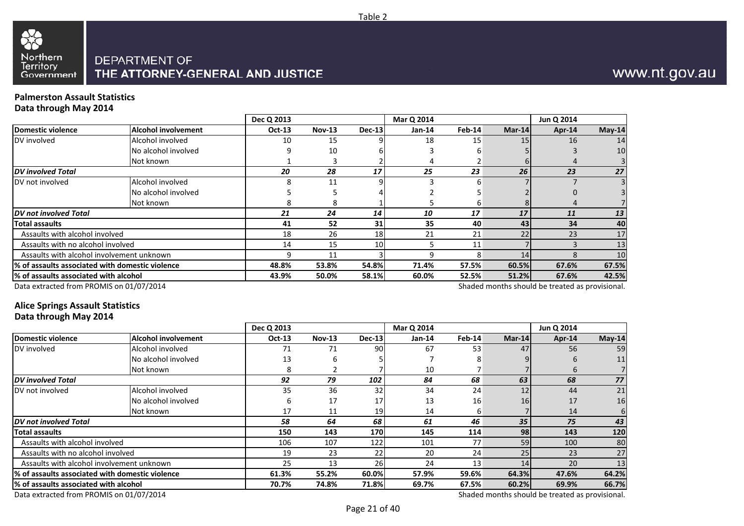

## www.nt.gov.au

#### **Palmerston Assault StatisticsData through May 2014**

|                                                 |                            | Dec Q 2013 |               |          | Mar Q 2014 |          |          | Jun Q 2014                                      |          |
|-------------------------------------------------|----------------------------|------------|---------------|----------|------------|----------|----------|-------------------------------------------------|----------|
| <b>Domestic violence</b>                        | <b>Alcohol involvement</b> | Oct-13     | <b>Nov-13</b> | $Dec-13$ | Jan-14     | $Feb-14$ | $Mar-14$ | Apr-14                                          | $May-14$ |
| DV involved                                     | Alcohol involved           | 10         | 15            |          | 18         | 15       | 15       | 16                                              | 14       |
|                                                 | No alcohol involved        |            | 10            |          |            |          |          |                                                 | 10       |
|                                                 | Not known                  |            |               |          |            |          |          |                                                 |          |
| <b>DV</b> involved Total                        |                            | 20         | 28            | 17       | 25         | 23       | 26       | 23                                              | 27       |
| DV not involved                                 | Alcohol involved           |            | 11            |          |            |          |          |                                                 |          |
|                                                 | No alcohol involved        |            |               |          |            |          |          |                                                 |          |
|                                                 | Not known                  |            | 8             |          |            | b        |          |                                                 |          |
| DV not involved Total                           |                            | 21         | 24            | 14       | 10         | 17       | 17       | 11                                              | 13       |
| Total assaults                                  |                            | 41         | 52            | 31       | 35         | 40       | 43       | 34                                              | 40       |
| Assaults with alcohol involved                  |                            | 18         | 26            | 18       | 21         | 21       | 22       | 23                                              | 17       |
| Assaults with no alcohol involved               |                            | 14         | 15            | 10       |            | 11       |          |                                                 | 13       |
| Assaults with alcohol involvement unknown       |                            | q          | 11            |          |            |          | 14       |                                                 | 10       |
| % of assaults associated with domestic violence |                            | 48.8%      | 53.8%         | 54.8%    | 71.4%      | 57.5%    | 60.5%    | 67.6%                                           | 67.5%    |
| % of assaults associated with alcohol           | 43.9%                      | 50.0%      | 58.1%         | 60.0%    | 52.5%      | 51.2%    | 67.6%    | 42.5%                                           |          |
| Data extracted from PROMIS on 01/07/2014        |                            |            |               |          |            |          |          | Shaded months should be treated as provisional. |          |

### **Alice Springs Assault Statistics**

#### **Data through May 2014**

|                                                  |                            | Dec Q 2013 |               |               | Mar Q 2014 |        |        | Jun Q 2014                                      |                 |
|--------------------------------------------------|----------------------------|------------|---------------|---------------|------------|--------|--------|-------------------------------------------------|-----------------|
| Domestic violence                                | <b>Alcohol involvement</b> | Oct-13     | <b>Nov-13</b> | <b>Dec-13</b> | Jan-14     | Feb-14 | Mar-14 | Apr-14                                          | $May-14$        |
| DV involved                                      | Alcohol involved           | 71         | 71            | 90            | 67         | 53     | 47     | 56                                              | 59              |
|                                                  | No alcohol involved        | 13         |               |               |            |        |        | 6                                               | 11              |
|                                                  | Not known                  |            |               |               | 10         |        |        | $\mathbf b$                                     |                 |
| <b>DV</b> involved Total                         |                            | 92         | 79            | 102           | 84         | 68     | 63     | 68                                              | 77              |
| DV not involved                                  | Alcohol involved           | 35         | 36            | 32            | 34         | 24     | 12     | 44                                              | 21              |
|                                                  | No alcohol involved        | 6          | 17            | 17            | 13         | 16     | 16     | 17                                              | 16              |
|                                                  | Not known                  | 17         | 11            | 19            | 14         | 6      |        | 14                                              |                 |
| DV not involved Total                            |                            | 58         | 64            | 68            | 61         | 46     | 35     | 75                                              | 43              |
| <b>Total assaults</b>                            |                            | 150        | 143           | 170           | 145        | 114    | 98     | 143                                             | 120             |
| Assaults with alcohol involved                   |                            | 106        | 107           | 122           | 101        | 77     | 59     | 100                                             | 80              |
| Assaults with no alcohol involved                |                            | 19         | 23            | 22            | 20         | 24     | 25     | 23                                              | 27              |
| Assaults with alcohol involvement unknown        |                            | 25         | 13            | 26            | 24         | 13     | 14     | 20                                              | 13 <sub>1</sub> |
| 1% of assaults associated with domestic violence |                            | 61.3%      | 55.2%         | 60.0%         | 57.9%      | 59.6%  | 64.3%  | 47.6%                                           | 64.2%           |
| l% of assaults associated with alcohol           |                            | 70.7%      | 74.8%         | 71.8%         | 69.7%      | 67.5%  | 60.2%  | 69.9%                                           | 66.7%           |
| Data extracted from PROMIS on 01/07/2014         |                            |            |               |               |            |        |        | Shaded months should be treated as provisional. |                 |

Data extracted from PROMIS on 01/07/2014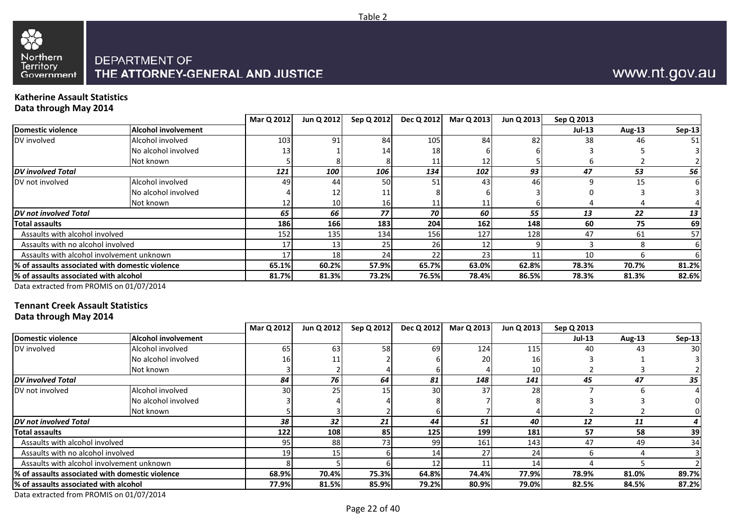

#### **Katherine Assault StatisticsData through May 2014**

|                                                 |                            | Mar Q 2012 | Jun Q 2012      | Sep Q 2012 | Dec Q 2012 | Mar Q 2013 | Jun Q 2013 | Sep Q 2013    |               |               |
|-------------------------------------------------|----------------------------|------------|-----------------|------------|------------|------------|------------|---------------|---------------|---------------|
| Domestic violence                               | <b>Alcohol involvement</b> |            |                 |            |            |            |            | <b>Jul-13</b> | <b>Aug-13</b> | <b>Sep-13</b> |
| DV involved                                     | Alcohol involved           | 103        | 91              | 84         | 105        | 84         | 82         | 38            | 46            | 51            |
|                                                 | No alcohol involved        |            |                 |            | 18         |            |            |               |               |               |
|                                                 | Not known                  |            |                 |            | 11         |            |            |               |               |               |
| <b>DV</b> involved Total                        |                            | 121        | 100             | 106        | 134        | 102        | 93         | 47            | 53            | 56            |
| DV not involved                                 | Alcohol involved           | 49         | 44              | 50         | 51         | 43         | 46         |               | 15            |               |
|                                                 | No alcohol involved        |            |                 |            |            |            |            |               |               |               |
|                                                 | Not known                  |            | 10 <sup>1</sup> | 16         | 11,        |            |            |               |               |               |
| <b>IDV</b> not involved Total                   |                            | 65         | 66              | 77         | 70         | 60         | 55         | 13            | 22            | 13            |
| Total assaults                                  |                            | 186        | <b>166</b>      | 183        | 204        | 162        | 148        | 60            | 75            | 69            |
| Assaults with alcohol involved                  |                            | 152        | 135             | 134        | <b>156</b> | 127        | 128        | 47            | 61            | 57            |
| Assaults with no alcohol involved               |                            | 17         | 13              | 25         | <b>26</b>  |            |            |               |               | ь             |
| Assaults with alcohol involvement unknown       |                            | 17         | 18              | 24         | 22         | 23         |            | 10            |               |               |
| % of assaults associated with domestic violence |                            | 65.1%      | 60.2%           | 57.9%      | 65.7%      | 63.0%      | 62.8%      | 78.3%         | 70.7%         | 81.2%         |
| 1% of assaults associated with alcohol          |                            | 81.7%      | 81.3%           | 73.2%      | 76.5%      | 78.4%      | 86.5%      | 78.3%         | 81.3%         | 82.6%         |
|                                                 |                            |            |                 |            |            |            |            |               |               |               |

Table 2

Data extracted from PROMIS on 01/07/2014

## **Tennant Creek Assault Statistics**

**Data through May 2014**

|                                                 | Mar Q 2012      |            | Sep Q 2012 | Dec Q 2012 |                |       | Sep Q 2013                          |            |                 |
|-------------------------------------------------|-----------------|------------|------------|------------|----------------|-------|-------------------------------------|------------|-----------------|
| <b>Alcohol involvement</b>                      |                 |            |            |            |                |       | <b>Jul-13</b>                       | Aug-13     | Sep-13          |
| Alcohol involved                                | 65              | 63         | 58         | 69         | 124            | 115   | 40                                  | 43         | 30 <sup>1</sup> |
| No alcohol involved                             | 16              |            |            |            | 20             | 16    |                                     |            |                 |
| Not known                                       |                 |            |            |            |                | 10    |                                     |            |                 |
|                                                 | 84              | 76         | 64         | 81         | 148            | 141   | 45                                  | 47         | 35              |
| Alcohol involved                                | 30 <sup>1</sup> | 25I        | 15         | 30         | 37             | 28    |                                     |            |                 |
| No alcohol involved                             |                 |            |            |            |                |       |                                     |            |                 |
| Not known                                       |                 |            |            |            |                |       |                                     |            |                 |
|                                                 | 38              | 32         | 21         | 44         | 51             | 40    | 12                                  | 11         |                 |
|                                                 | 122             | <b>108</b> | 85         | 125        |                | 181   | 57                                  | 58         | 39              |
| Assaults with alcohol involved                  | 95              | 88         | 73         | 99         | 161            | 143   | 47                                  | 49         | 34              |
| Assaults with no alcohol involved               | 19              |            |            | 14         | 27             | 24    |                                     |            |                 |
| Assaults with alcohol involvement unknown       |                 |            |            |            |                |       |                                     |            |                 |
| % of assaults associated with domestic violence | 68.9%           | 70.4%      |            | 64.8%      |                | 77.9% | 78.9%                               | 81.0%      | 89.7%           |
| l% of assaults associated with alcohol          | 77.9%           | 81.5%      |            | 79.2%      |                | 79.0% | 82.5%                               | 84.5%      | 87.2%           |
|                                                 |                 |            |            | Jun Q 2012 | 75.3%<br>85.9% |       | Mar Q 2013<br>199<br>74.4%<br>80.9% | Jun Q 2013 |                 |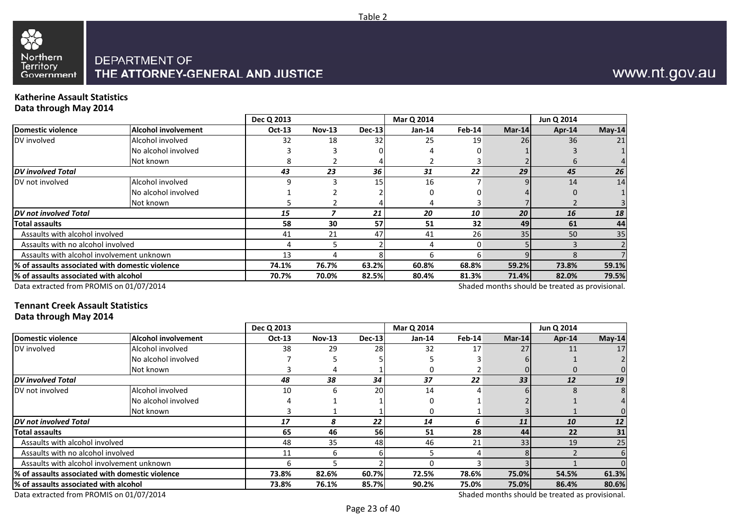

## www.nt.gov.au

#### **Katherine Assault StatisticsData through May 2014**

|                                                  |                     | Dec Q 2013 |               |        | Mar Q 2014    |        |           | Jun Q 2014                                      |          |
|--------------------------------------------------|---------------------|------------|---------------|--------|---------------|--------|-----------|-------------------------------------------------|----------|
| Domestic violence                                | Alcohol involvement | Oct-13     | <b>Nov-13</b> | Dec-13 | <b>Jan-14</b> | Feb-14 | Mar-14    | $Apr-14$                                        | $May-14$ |
| DV involved                                      | Alcohol involved    | 32         | 18            | 32     | 25            | 19     | <b>26</b> | 36                                              | 21       |
|                                                  | No alcohol involved |            |               |        |               |        |           |                                                 |          |
|                                                  | Not known           |            |               |        |               |        |           | b                                               |          |
| <b>DV</b> involved Total                         |                     | 43         | 23            | 36     | 31            | 22     | 29        | 45                                              | 26       |
| DV not involved                                  | Alcohol involved    |            |               | 15     | 16            |        |           | 14                                              | 14       |
|                                                  | No alcohol involved |            |               |        |               |        |           | 0                                               |          |
|                                                  | Not known           |            |               |        |               |        |           |                                                 |          |
| <b>DV</b> not involved Total                     |                     | 15         |               | 21     | 20            | 10     | 20        | 16                                              | 18       |
| Total assaults                                   |                     | 58         | 30            | 57     | 51            | 32     | 49        | 61                                              | 44       |
| Assaults with alcohol involved                   |                     | 41         | 21            | 47     | 41            | 26     | 35        | 50                                              | 35       |
| Assaults with no alcohol involved                |                     |            |               |        |               |        |           |                                                 |          |
| Assaults with alcohol involvement unknown        |                     | 13         |               |        | n             | h      |           |                                                 |          |
| 1% of assaults associated with domestic violence |                     | 74.1%      | 76.7%         | 63.2%  | 60.8%         | 68.8%  | 59.2%     | 73.8%                                           | 59.1%    |
| % of assaults associated with alcohol            |                     | 70.7%      | 70.0%         | 82.5%  | 80.4%         | 81.3%  | 71.4%     | 82.0%                                           | 79.5%    |
| Data extracted from PROMIS on 01/07/2014         |                     |            |               |        |               |        |           | Shaded months should be treated as provisional. |          |

Table 2

Data extracted from PROMIS on 01/07/2014

## **Tennant Creek Assault Statistics**

**Data through May 2014**

|                                                  |                            | Dec Q 2013    |               |               | Mar Q 2014 |        |                 | Jun Q 2014 |          |
|--------------------------------------------------|----------------------------|---------------|---------------|---------------|------------|--------|-----------------|------------|----------|
| Domestic violence                                | <b>Alcohol involvement</b> | <b>Oct-13</b> | <b>Nov-13</b> | <b>Dec-13</b> | $Jan-14$   | Feb-14 | Mar-14          | Apr-14     | $May-14$ |
| DV involved                                      | Alcohol involved           | 38            | 29            | 28            | 32         | 17     | 27              |            | 17       |
|                                                  | No alcohol involved        |               |               |               |            |        |                 |            |          |
|                                                  | Not known                  |               |               |               |            |        |                 |            |          |
| <b>DV</b> involved Total                         |                            | 48            | 38            | 34            | 37         | 22     | 33              | 12         | 19       |
| DV not involved                                  | Alcohol involved           | 10            | h             | 20            | 14         |        |                 |            |          |
|                                                  | No alcohol involved        |               |               |               |            |        |                 |            |          |
|                                                  | Not known                  |               |               |               |            |        |                 |            |          |
| <b>DV</b> not involved Total                     |                            | 17            |               | 22            | 14         | 6      | 11              | 10         | 12       |
| <b>Total assaults</b>                            |                            | 65            | 46            | 56            | 51         | 28     | 44              | 22         | 31       |
| Assaults with alcohol involved                   |                            | 48            | 35            | 48            | 46         | 21     | 33 <sub>1</sub> | 19         | 25       |
| Assaults with no alcohol involved                |                            | 11            | h             |               |            |        |                 |            |          |
| Assaults with alcohol involvement unknown        |                            |               |               |               |            |        |                 |            |          |
| 1% of assaults associated with domestic violence |                            | 73.8%         | 82.6%         | 60.7%         | 72.5%      | 78.6%  | 75.0%           | 54.5%      | 61.3%    |
| l% of assaults associated with alcohol           |                            | 73.8%         | 76.1%         | 85.7%         | 90.2%      | 75.0%  | 75.0%           | 86.4%      | 80.6%    |
|                                                  |                            |               |               |               |            |        |                 |            |          |

Data extracted from PROMIS on 01/07/2014

Shaded months should be treated as provisional.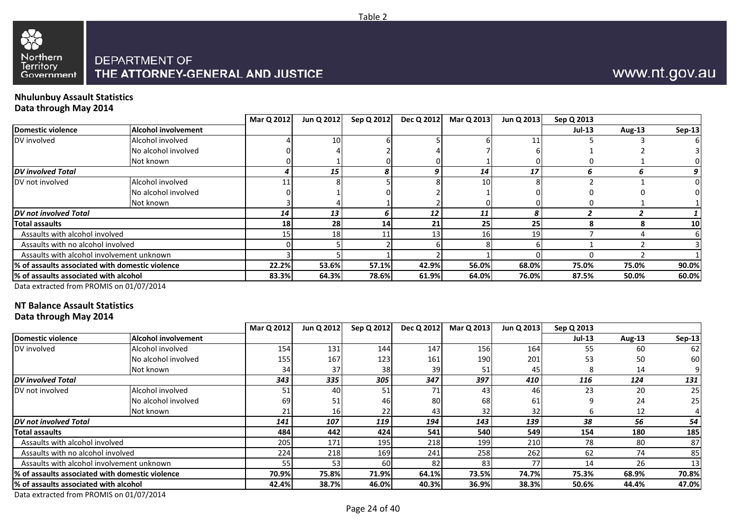



#### **Nhulunbuy Assault StatisticsData through May 2014**

|                                                 |                     | Mar Q 2012 | Jun Q 2012      | Sep Q 2012 | Dec Q 2012 | Mar Q 2013      | Jun Q 2013 | Sep Q 2013    |        |                 |
|-------------------------------------------------|---------------------|------------|-----------------|------------|------------|-----------------|------------|---------------|--------|-----------------|
| Domestic violence                               | Alcohol involvement |            |                 |            |            |                 |            | <b>Jul-13</b> | Aug-13 | <b>Sep-13</b>   |
| DV involved                                     | Alcohol involved    |            | 10 <sup>1</sup> |            |            |                 |            |               |        |                 |
|                                                 | No alcohol involved |            |                 |            |            |                 |            |               |        |                 |
|                                                 | Not known           |            |                 |            |            |                 |            |               |        |                 |
| <b>DV</b> involved Total                        |                     |            | 15              | 8          |            | 14              | 17         |               |        |                 |
| DV not involved                                 | Alcohol involved    |            |                 |            |            | 10 <sup>1</sup> |            |               |        |                 |
|                                                 | No alcohol involved |            |                 |            |            |                 |            |               |        |                 |
|                                                 | Not known           |            |                 |            |            |                 |            |               |        |                 |
| <b>DV</b> not involved Total                    |                     | 14         | 13              |            | 12         | 11              |            |               |        |                 |
| <b>Total assaults</b>                           |                     | <b>18</b>  | <b>28</b>       | 14         | 21         | <b>25</b>       | 25         |               |        | 10 <sub>l</sub> |
| Assaults with alcohol involved                  |                     |            | 18              |            | 13.        | <b>16</b>       | 1 Q        |               |        |                 |
| Assaults with no alcohol involved               |                     |            |                 |            |            |                 |            |               |        |                 |
| Assaults with alcohol involvement unknown       |                     |            |                 |            |            |                 |            |               |        |                 |
| % of assaults associated with domestic violence |                     | 22.2%      | 53.6%           | 57.1%      | 42.9%      | 56.0%           | 68.0%      | 75.0%         | 75.0%  | 90.0%           |
| % of assaults associated with alcohol           |                     | 83.3%      | 64.3%           | 78.6%      | 61.9%      | 64.0%           | 76.0%      | 87.5%         | 50.0%  | 60.0%           |
|                                                 |                     |            |                 |            |            |                 |            |               |        |                 |

Data extracted from PROMIS on 01/07/2014

#### **NT Balance Assault Statistics**

#### **Data through May 2014**

|                                                 |                            | Mar Q 2012 | Jun Q 2012 | Sep Q 2012 | Dec Q 2012 | Mar Q 2013       | Jun Q 2013 | Sep Q 2013 |        |               |
|-------------------------------------------------|----------------------------|------------|------------|------------|------------|------------------|------------|------------|--------|---------------|
| Domestic violence                               | <b>Alcohol involvement</b> |            |            |            |            |                  |            | $Jul-13$   | Aug-13 | <b>Sep-13</b> |
| DV involved                                     | Alcohol involved           | 154        | 131        | 144        | 147        | <b>156</b>       | 164        | 55         | 60     | <b>621</b>    |
|                                                 | No alcohol involved        | 155        | 167        | 123        | 161        | 190 <sub>l</sub> | 201        | 53         | 50     | 60            |
|                                                 | Not known                  | 34         | 37         | 38         | 39         | 51               | 45         |            | 14     |               |
| <b>DV</b> involved Total                        |                            | 343        | 335        | 305        | 347        | 397              | 410        | 116        | 124    | 131           |
| DV not involved                                 | Alcohol involved           | 51         | 40         | 51         | 71         | 43               | 46         | 23         | 20     | 25            |
|                                                 | No alcohol involved        | 69         |            | 46         | 80         | 68I              | 61         |            | 24     | 25            |
|                                                 | Not known                  |            | 161        | 22         | 43         | 32               | 32         |            | 12     |               |
| DV not involved Total                           |                            | 141        | 107        | 119        | 194        | 143              | 139        | 38         | 56     | 54            |
| <b>Total assaults</b>                           |                            | 484        | 442        | 424        | 541        | <b>540</b>       | 549        | 154        | 180    | 185           |
| Assaults with alcohol involved                  |                            | 205        | 171        | 195        | 218        | 199              | 210        | 78         | 80     | 87            |
| Assaults with no alcohol involved               |                            | 224        | 218        | 169        | 241        | 258              | 262        | 62         | 74     | 85            |
| Assaults with alcohol involvement unknown       |                            | 55         | 53         | 60         | 82         | 831              | 77         | 14         | 26     | 13            |
| % of assaults associated with domestic violence |                            | 70.9%      | 75.8%      | 71.9%      | 64.1%      | 73.5%            | 74.7%      | 75.3%      | 68.9%  | 70.8%         |
| l% of assaults associated with alcohol          |                            | 42.4%      | 38.7%      | 46.0%      | 40.3%      | 36.9%            | 38.3%      | 50.6%      | 44.4%  | 47.0%         |
|                                                 |                            |            |            |            |            |                  |            |            |        |               |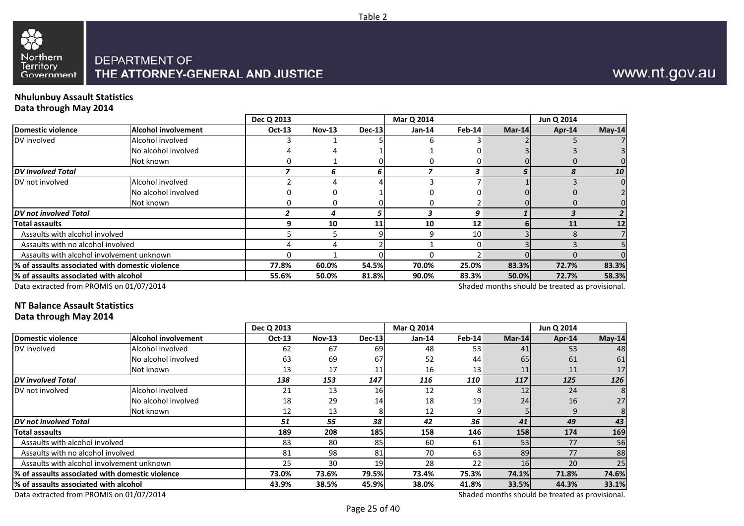

## www.nt.gov.au

#### **Nhulunbuy Assault StatisticsData through May 2014**

|                                                  |                            | Dec Q 2013    |          |        | Mar Q 2014 |                 |                                                 | Jun Q 2014 |          |
|--------------------------------------------------|----------------------------|---------------|----------|--------|------------|-----------------|-------------------------------------------------|------------|----------|
| Domestic violence                                | <b>Alcohol involvement</b> | <b>Oct-13</b> | $Nov-13$ | Dec-13 | Jan-14     | Feb-14          | Mar-14                                          | Apr-14     | $May-14$ |
| DV involved                                      | Alcohol involved           |               |          |        |            |                 |                                                 |            |          |
|                                                  | No alcohol involved        |               |          |        |            |                 |                                                 |            |          |
|                                                  | Not known                  |               |          |        |            |                 |                                                 |            |          |
| <b>DV</b> involved Total                         |                            |               |          | b      |            | 3               |                                                 |            | 10       |
| DV not involved                                  | Alcohol involved           |               |          |        |            |                 |                                                 |            | $\Omega$ |
|                                                  | No alcohol involved        |               |          |        |            |                 |                                                 |            |          |
|                                                  | Not known                  |               | 0        |        |            |                 |                                                 |            |          |
| <b>DV</b> not involved Total                     |                            |               |          |        |            | 9               |                                                 |            |          |
| <b>Total assaults</b>                            |                            | q             | 10       | 11     | 10         | 12              |                                                 | 11         | 12       |
| Assaults with alcohol involved                   |                            |               |          |        |            | 10 <sup>1</sup> |                                                 |            |          |
| Assaults with no alcohol involved                |                            |               |          |        |            |                 |                                                 |            |          |
| Assaults with alcohol involvement unknown        |                            |               |          |        |            |                 |                                                 |            |          |
| 1% of assaults associated with domestic violence |                            | 77.8%         | 60.0%    | 54.5%  | 70.0%      | 25.0%           | 83.3%                                           | 72.7%      | 83.3%    |
| % of assaults associated with alcohol            |                            | 55.6%         | 50.0%    | 81.8%  | 90.0%      | 83.3%           | 50.0%                                           | 72.7%      | 58.3%    |
| Data extracted from PROMIS on 01/07/2014         |                            |               |          |        |            |                 | Shaded months should be treated as provisional. |            |          |

Table 2

Data extracted from PROMIS on 01/07/2014

#### **NT Balance Assault Statistics**

#### **Data through May 2014**

|                                                  |                            | Dec Q 2013 |               |               | Mar Q 2014 |        |        | Jun Q 2014                                      |          |
|--------------------------------------------------|----------------------------|------------|---------------|---------------|------------|--------|--------|-------------------------------------------------|----------|
| Domestic violence                                | <b>Alcohol involvement</b> | Oct-13     | <b>Nov-13</b> | <b>Dec-13</b> | Jan-14     | Feb-14 | Mar-14 | Apr-14                                          | $May-14$ |
| DV involved                                      | Alcohol involved           | 62         | 67            | 69            | 48         | 53     | 41     | 53                                              | 48       |
|                                                  | No alcohol involved        | 63         | 69            | 67            | 52         | 44     | 65     | 61                                              | 61       |
|                                                  | Not known                  | 13         | 17            | 11            | 16         | 13     | 11     | 11                                              | 17       |
| <b>DV</b> involved Total                         |                            | 138        | 153           | 147           | 116        | 110    | 117    | 125                                             | 126      |
| DV not involved                                  | Alcohol involved           | 21         | 13            | 16            | 12         | 8      | 12     | 24                                              | 8        |
|                                                  | No alcohol involved        | 18         | 29            | 14            | 18         | 19     | 24     | 16                                              | 27       |
|                                                  | Not known                  | 12         | 13            |               | 12         |        |        | 9                                               |          |
| DV not involved Total                            |                            | 51         | 55            | 38            | 42         | 36     | 41     | 49                                              | 43       |
| <b>Total assaults</b>                            |                            | 189        | 208           | 185           | 158        | 146    | 158    | 174                                             | 169      |
| Assaults with alcohol involved                   |                            | 83         | 80            | 85            | 60         | 61     | 53     | 77                                              | 56       |
| Assaults with no alcohol involved                |                            | 81         | 98            | 81            | 70         | 63     | 89     | 77                                              | 88       |
| Assaults with alcohol involvement unknown        |                            | 25         | 30            | 19            | 28         | 22     | 16     | 20                                              | 25       |
| 1% of assaults associated with domestic violence |                            | 73.0%      | 73.6%         | 79.5%         | 73.4%      | 75.3%  | 74.1%  | 71.8%                                           | 74.6%    |
| l% of assaults associated with alcohol           |                            | 43.9%      | 38.5%         | 45.9%         | 38.0%      | 41.8%  | 33.5%  | 44.3%                                           | 33.1%    |
| Data extracted from PROMIS on 01/07/2014         |                            |            |               |               |            |        |        | Shaded months should be treated as provisional. |          |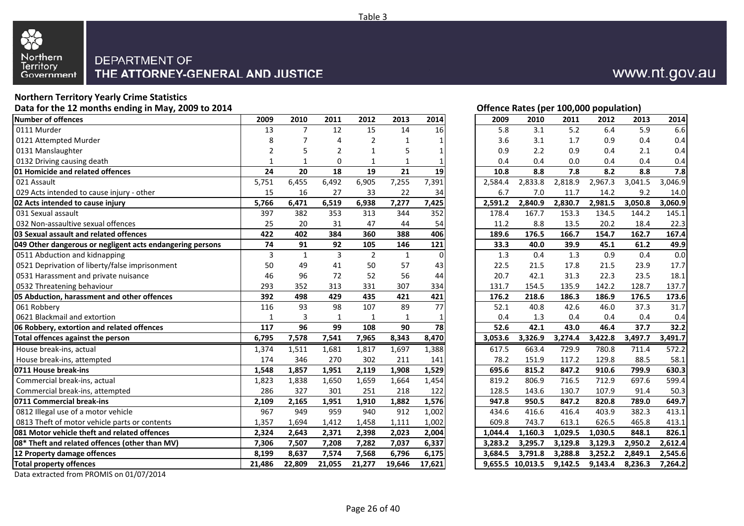

#### **Northern Territory Yearly Crime StatisticsData for the 12 months ending in May, 2009 to 2014**

| <b>Number of offences</b>                                 | 2009         | 2010           | 2011           | 2012           | 2013         | 2014            | 2009    | 2010             | 2011    | 2012    | 2013    | 2014    |
|-----------------------------------------------------------|--------------|----------------|----------------|----------------|--------------|-----------------|---------|------------------|---------|---------|---------|---------|
| 0111 Murder                                               | 13           | $\overline{7}$ | 12             | 15             | 14           | 16              | 5.8     | 3.1              | 5.2     | 6.4     | 5.9     | 6.6     |
| 0121 Attempted Murder                                     | 8            | 7              | 4              | $\overline{2}$ | 1            |                 | 3.6     | 3.1              | 1.7     | 0.9     | 0.4     | 0.4     |
| 0131 Manslaughter                                         | 2            | 5              | $\overline{2}$ | 1              | 5            |                 | 0.9     | 2.2              | 0.9     | 0.4     | 2.1     | 0.4     |
| 0132 Driving causing death                                | $\mathbf{1}$ | $\mathbf{1}$   | $\mathbf 0$    | 1              | $\mathbf{1}$ |                 | 0.4     | 0.4              | 0.0     | 0.4     | 0.4     | 0.4     |
| 01 Homicide and related offences                          | 24           | 20             | 18             | 19             | 21           | 19              | 10.8    | 8.8              | 7.8     | 8.2     | 8.8     | 7.8     |
| 021 Assault                                               | 5,751        | 6,455          | 6,492          | 6,905          | 7,255        | 7,391           | 2,584.4 | 2,833.8          | 2,818.9 | 2,967.3 | 3,041.5 | 3,046.9 |
| 029 Acts intended to cause injury - other                 | 15           | 16             | 27             | 33             | 22           | 34              | 6.7     | 7.0              | 11.7    | 14.2    | 9.2     | 14.0    |
| 02 Acts intended to cause injury                          | 5,766        | 6,471          | 6,519          | 6,938          | 7.277        | 7,425           | 2,591.2 | 2,840.9          | 2,830.7 | 2,981.5 | 3,050.8 | 3,060.9 |
| 031 Sexual assault                                        | 397          | 382            | 353            | 313            | 344          | 352             | 178.4   | 167.7            | 153.3   | 134.5   | 144.2   | 145.1   |
| 032 Non-assaultive sexual offences                        | 25           | 20             | 31             | 47             | 44           | 54              | 11.2    | 8.8              | 13.5    | 20.2    | 18.4    | 22.3    |
| 03 Sexual assault and related offences                    | 422          | 402            | 384            | 360            | 388          | 406             | 189.6   | 176.5            | 166.7   | 154.7   | 162.7   | 167.4   |
| 049 Other dangerous or negligent acts endangering persons | 74           | 91             | 92             | 105            | 146          | 121             | 33.3    | 40.0             | 39.9    | 45.1    | 61.2    | 49.9    |
| 0511 Abduction and kidnapping                             | 3            | $\mathbf{1}$   | 3              | $\overline{2}$ | $\mathbf{1}$ | $\Omega$        | 1.3     | 0.4              | 1.3     | 0.9     | 0.4     | 0.0     |
| 0521 Deprivation of liberty/false imprisonment            | 50           | 49             | 41             | 50             | 57           | 43              | 22.5    | 21.5             | 17.8    | 21.5    | 23.9    | 17.7    |
| 0531 Harassment and private nuisance                      | 46           | 96             | 72             | 52             | 56           | 44              | 20.7    | 42.1             | 31.3    | 22.3    | 23.5    | 18.1    |
| 0532 Threatening behaviour                                | 293          | 352            | 313            | 331            | 307          | 334             | 131.7   | 154.5            | 135.9   | 142.2   | 128.7   | 137.7   |
| 05 Abduction, harassment and other offences               | 392          | 498            | 429            | 435            | 421          | 421             | 176.2   | 218.6            | 186.3   | 186.9   | 176.5   | 173.6   |
| 061 Robbery                                               | 116          | 93             | 98             | 107            | 89           | $\overline{77}$ | 52.1    | 40.8             | 42.6    | 46.0    | 37.3    | 31.7    |
| 0621 Blackmail and extortion                              | $\mathbf{1}$ | 3              | 1              | 1              | 1            |                 | 0.4     | 1.3              | 0.4     | 0.4     | 0.4     | 0.4     |
| 06 Robbery, extortion and related offences                | 117          | 96             | 99             | 108            | 90           | 78              | 52.6    | 42.1             | 43.0    | 46.4    | 37.7    | 32.2    |
| Total offences against the person                         | 6,795        | 7,578          | 7,541          | 7,965          | 8,343        | 8,470           | 3,053.6 | 3,326.9          | 3,274.4 | 3,422.8 | 3,497.7 | 3,491.7 |
| House break-ins, actual                                   | 1,374        | 1,511          | 1,681          | 1,817          | 1,697        | 1,388           | 617.5   | 663.4            | 729.9   | 780.8   | 711.4   | 572.2   |
| House break-ins, attempted                                | 174          | 346            | 270            | 302            | 211          | 141             | 78.2    | 151.9            | 117.2   | 129.8   | 88.5    | 58.1    |
| 0711 House break-ins                                      | 1,548        | 1,857          | 1,951          | 2,119          | 1,908        | 1,529           | 695.6   | 815.2            | 847.2   | 910.6   | 799.9   | 630.3   |
| Commercial break-ins, actual                              | 1,823        | 1,838          | 1,650          | 1,659          | 1,664        | 1,454           | 819.2   | 806.9            | 716.5   | 712.9   | 697.6   | 599.4   |
| Commercial break-ins, attempted                           | 286          | 327            | 301            | 251            | 218          | 122             | 128.5   | 143.6            | 130.7   | 107.9   | 91.4    | 50.3    |
| 0711 Commercial break-ins                                 | 2,109        | 2,165          | 1,951          | 1,910          | 1,882        | 1,576           | 947.8   | 950.5            | 847.2   | 820.8   | 789.0   | 649.7   |
| 0812 Illegal use of a motor vehicle                       | 967          | 949            | 959            | 940            | 912          | 1,002           | 434.6   | 416.6            | 416.4   | 403.9   | 382.3   | 413.1   |
| 0813 Theft of motor vehicle parts or contents             | 1,357        | 1,694          | 1,412          | 1,458          | 1,111        | 1,002           | 609.8   | 743.7            | 613.1   | 626.5   | 465.8   | 413.1   |
| 081 Motor vehicle theft and related offences              | 2,324        | 2,643          | 2,371          | 2,398          | 2,023        | 2,004           | 1,044.4 | 1,160.3          | 1,029.5 | 1,030.5 | 848.1   | 826.1   |
| 08* Theft and related offences (other than MV)            | 7,306        | 7,507          | 7,208          | 7,282          | 7,037        | 6,337           | 3,283.2 | 3,295.7          | 3,129.8 | 3,129.3 | 2,950.2 | 2,612.4 |
| 12 Property damage offences                               | 8,199        | 8,637          | 7,574          | 7,568          | 6.796        | 6,175           | 3.684.5 | 3,791.8          | 3,288.8 | 3,252.2 | 2.849.1 | 2,545.6 |
| <b>Total property offences</b>                            | 21,486       | 22,809         | 21,055         | 21,277         | 19,646       | 17,621          |         | 9,655.5 10,013.5 | 9,142.5 | 9,143.4 | 8,236.3 | 7,264.2 |
| $\frac{1}{2}$                                             |              |                |                |                |              |                 |         |                  |         |         |         |         |

Data extracted from PROMIS on 01/07/2014

**Offence Rates (per 100,000 population)**<br>2009 2010 2011 2012 2013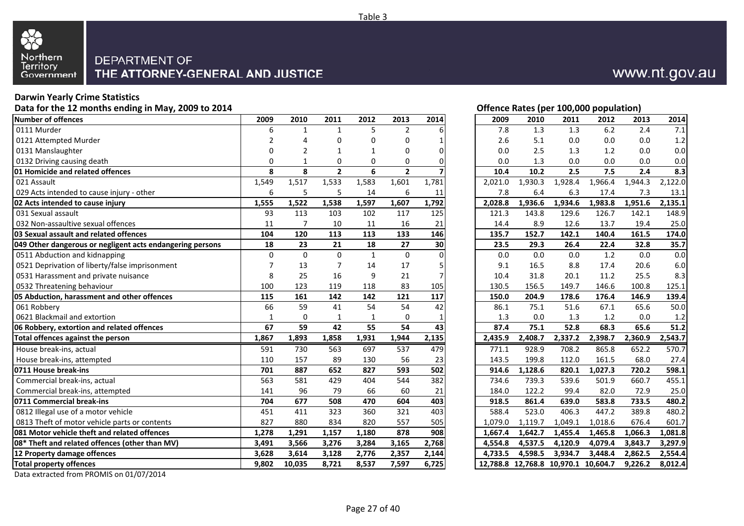

#### **Darwin Yearly Crime Statistics**

**Data for the 12 months ending in May, 2009 to 2014**

| <b>Number of offences</b>                                 | 2009           | 2010           | 2011           | 2012         | 2013           | 2014     | 2009    | 2010    | 2011                                | 2012    | 2013    | 2014    |
|-----------------------------------------------------------|----------------|----------------|----------------|--------------|----------------|----------|---------|---------|-------------------------------------|---------|---------|---------|
| 0111 Murder                                               | 6              | $\mathbf{1}$   | $\mathbf{1}$   | 5            | $\overline{2}$ |          | 7.8     | 1.3     | 1.3                                 | 6.2     | 2.4     | 7.1     |
| 0121 Attempted Murder                                     | $\overline{2}$ | 4              | $\Omega$       | $\Omega$     | 0              |          | 2.6     | 5.1     | 0.0                                 | 0.0     | 0.0     | 1.2     |
| 0131 Manslaughter                                         | 0              | $\overline{2}$ |                | $\mathbf{1}$ | 0              | 01       | 0.0     | 2.5     | 1.3                                 | 1.2     | 0.0     | 0.0     |
| 0132 Driving causing death                                | $\Omega$       | $\mathbf{1}$   | 0              | 0            | 0              |          | 0.0     | 1.3     | 0.0                                 | 0.0     | 0.0     | 0.0     |
| 01 Homicide and related offences                          | 8              | 8              | $\overline{2}$ | 6            | $\mathbf{2}$   |          | 10.4    | 10.2    | 2.5                                 | 7.5     | 2.4     | 8.3     |
| 021 Assault                                               | 1,549          | 1,517          | 1,533          | 1,583        | 1,601          | 1,781    | 2,021.0 | 1,930.3 | 1,928.4                             | 1,966.4 | 1,944.3 | 2,122.0 |
| 029 Acts intended to cause injury - other                 | 6              | 5              | 5              | 14           | 6              | 11       | 7.8     | 6.4     | 6.3                                 | 17.4    | 7.3     | 13.1    |
| 02 Acts intended to cause injury                          | 1,555          | 1,522          | 1,538          | 1,597        | 1,607          | 1,792    | 2,028.8 | 1,936.6 | 1,934.6                             | 1,983.8 | 1,951.6 | 2,135.1 |
| 031 Sexual assault                                        | 93             | 113            | 103            | 102          | 117            | 125      | 121.3   | 143.8   | 129.6                               | 126.7   | 142.1   | 148.9   |
| 032 Non-assaultive sexual offences                        | 11             | $\overline{7}$ | 10             | 11           | 16             | 21       | 14.4    | 8.9     | 12.6                                | 13.7    | 19.4    | 25.0    |
| 03 Sexual assault and related offences                    | 104            | 120            | 113            | 113          | 133            | 146      | 135.7   | 152.7   | 142.1                               | 140.4   | 161.5   | 174.0   |
| 049 Other dangerous or negligent acts endangering persons | 18             | 23             | 21             | 18           | 27             | 30       | 23.5    | 29.3    | 26.4                                | 22.4    | 32.8    | 35.7    |
| 0511 Abduction and kidnapping                             | $\Omega$       | $\mathbf 0$    | $\Omega$       | $\mathbf{1}$ | $\mathbf 0$    | $\Omega$ | 0.0     | 0.0     | 0.0                                 | 1.2     | 0.0     | 0.0     |
| 0521 Deprivation of liberty/false imprisonment            | 7              | 13             | $\overline{7}$ | 14           | 17             |          | 9.1     | 16.5    | 8.8                                 | 17.4    | 20.6    | 6.0     |
| 0531 Harassment and private nuisance                      | 8              | 25             | 16             | 9            | 21             | 7        | 10.4    | 31.8    | 20.1                                | 11.2    | 25.5    | 8.3     |
| 0532 Threatening behaviour                                | 100            | 123            | 119            | 118          | 83             | 105      | 130.5   | 156.5   | 149.7                               | 146.6   | 100.8   | 125.1   |
| 05 Abduction, harassment and other offences               | 115            | 161            | 142            | 142          | 121            | 117      | 150.0   | 204.9   | 178.6                               | 176.4   | 146.9   | 139.4   |
| 061 Robbery                                               | 66             | 59             | 41             | 54           | 54             | 42       | 86.1    | 75.1    | 51.6                                | 67.1    | 65.6    | 50.0    |
| 0621 Blackmail and extortion                              | $\mathbf{1}$   | $\mathbf 0$    | $\mathbf{1}$   | $\mathbf{1}$ | $\mathbf 0$    |          | 1.3     | 0.0     | 1.3                                 | 1.2     | 0.0     | 1.2     |
| 06 Robbery, extortion and related offences                | 67             | 59             | 42             | 55           | 54             | 43       | 87.4    | 75.1    | 52.8                                | 68.3    | 65.6    | 51.2    |
| Total offences against the person                         | 1,867          | 1,893          | 1,858          | 1,931        | 1,944          | 2,135    | 2,435.9 | 2,408.7 | 2,337.2                             | 2,398.7 | 2,360.9 | 2,543.7 |
| House break-ins, actual                                   | 591            | 730            | 563            | 697          | 537            | 479      | 771.1   | 928.9   | 708.2                               | 865.8   | 652.2   | 570.7   |
| House break-ins, attempted                                | 110            | 157            | 89             | 130          | 56             | 23       | 143.5   | 199.8   | 112.0                               | 161.5   | 68.0    | 27.4    |
| 0711 House break-ins                                      | 701            | 887            | 652            | 827          | 593            | 502      | 914.6   | 1,128.6 | 820.1                               | 1,027.3 | 720.2   | 598.1   |
| Commercial break-ins, actual                              | 563            | 581            | 429            | 404          | 544            | 382      | 734.6   | 739.3   | 539.6                               | 501.9   | 660.7   | 455.1   |
| Commercial break-ins, attempted                           | 141            | 96             | 79             | 66           | 60             | 21       | 184.0   | 122.2   | 99.4                                | 82.0    | 72.9    | 25.0    |
| 0711 Commercial break-ins                                 | 704            | 677            | 508            | 470          | 604            | 403      | 918.5   | 861.4   | 639.0                               | 583.8   | 733.5   | 480.2   |
| 0812 Illegal use of a motor vehicle                       | 451            | 411            | 323            | 360          | 321            | 403      | 588.4   | 523.0   | 406.3                               | 447.2   | 389.8   | 480.2   |
| 0813 Theft of motor vehicle parts or contents             | 827            | 880            | 834            | 820          | 557            | 505      | 1,079.0 | 1,119.7 | 1,049.1                             | 1,018.6 | 676.4   | 601.7   |
| 081 Motor vehicle theft and related offences              | 1.278          | 1.291          | 1,157          | 1,180        | 878            | 908      | 1,667.4 | 1,642.7 | 1,455.4                             | 1,465.8 | 1,066.3 | 1,081.8 |
| 08* Theft and related offences (other than MV)            | 3,491          | 3,566          | 3,276          | 3,284        | 3,165          | 2,768    | 4,554.8 | 4,537.5 | 4,120.9                             | 4,079.4 | 3,843.7 | 3,297.9 |
| 12 Property damage offences                               | 3.628          | 3,614          | 3,128          | 2,776        | 2,357          | 2,144    | 4,733.5 | 4,598.5 | 3.934.7                             | 3,448.4 | 2.862.5 | 2,554.4 |
| <b>Total property offences</b>                            | 9,802          | 10,035         | 8,721          | 8,537        | 7,597          | 6,725    |         |         | 12,788.8 12,768.8 10,970.1 10,604.7 |         | 9,226.2 | 8,012.4 |
|                                                           |                |                |                |              |                |          |         |         |                                     |         |         |         |

Data extracted from PROMIS on 01/07/2014

#### **Offence Rates (per 100,000 population)**

| 9                       | 2010             | 2011           | 2012         | 2013           | 2014           | 2009    | 2010                                | 2011    | 2012    | 2013    | 2014    |
|-------------------------|------------------|----------------|--------------|----------------|----------------|---------|-------------------------------------|---------|---------|---------|---------|
| 6                       | $\mathbf{1}$     | $\mathbf{1}$   | 5            | $\overline{2}$ | 6              | 7.8     | 1.3                                 | 1.3     | 6.2     | 2.4     | 7.1     |
| 2                       | 4                | $\pmb{0}$      | $\pmb{0}$    | $\pmb{0}$      | 1              | 2.6     | 5.1                                 | 0.0     | 0.0     | 0.0     | 1.2     |
| 0                       | 2                | $\mathbf{1}$   | 1            | 0              | 0              | 0.0     | 2.5                                 | 1.3     | 1.2     | 0.0     | 0.0     |
| 0                       | 1                | 0              | 0            | 0              | 0              | 0.0     | 1.3                                 | 0.0     | 0.0     | 0.0     | 0.0     |
| 8                       | 8                | $\overline{2}$ | 6            | $\overline{2}$ |                | 10.4    | 10.2                                | 2.5     | 7.5     | 2.4     | 8.3     |
| 9                       | 1,517            | 1,533          | 1,583        | 1,601          | 1,781          | 2,021.0 | 1,930.3                             | 1,928.4 | 1,966.4 | 1,944.3 | 2,122.0 |
| 6                       | 5                | 5              | 14           | 6              | 11             | 7.8     | 6.4                                 | 6.3     | 17.4    | 7.3     | 13.1    |
| 5                       | 1,522            | 1,538          | 1,597        | 1,607          | 1,792          | 2,028.8 | 1,936.6                             | 1,934.6 | 1,983.8 | 1,951.6 | 2,135.1 |
| $\overline{\mathbf{3}}$ | 113              | 103            | 102          | 117            | 125            | 121.3   | 143.8                               | 129.6   | 126.7   | 142.1   | 148.9   |
| 1                       | $\overline{7}$   | 10             | 11           | 16             | 21             | 14.4    | 8.9                                 | 12.6    | 13.7    | 19.4    | 25.0    |
| 4                       | 120              | 113            | 113          | 133            | 146            | 135.7   | 152.7                               | 142.1   | 140.4   | 161.5   | 174.0   |
| 8                       | 23               | 21             | 18           | 27             | 30             | 23.5    | 29.3                                | 26.4    | 22.4    | 32.8    | 35.7    |
| $\overline{0}$          | $\mathbf 0$      | $\pmb{0}$      | $\mathbf 1$  | $\pmb{0}$      | $\pmb{0}$      | 0.0     | 0.0                                 | 0.0     | $1.2$   | 0.0     | 0.0     |
| 7                       | 13               | $\overline{7}$ | 14           | 17             | 5              | 9.1     | 16.5                                | 8.8     | 17.4    | 20.6    | 6.0     |
| 8                       | 25               | 16             | 9            | 21             | $\overline{7}$ | 10.4    | 31.8                                | 20.1    | 11.2    | 25.5    | 8.3     |
| 0                       | 123              | 119            | 118          | 83             | 105            | 130.5   | 156.5                               | 149.7   | 146.6   | 100.8   | 125.1   |
| 5                       | 161              | 142            | 142          | 121            | 117            | 150.0   | 204.9                               | 178.6   | 176.4   | 146.9   | 139.4   |
| $\overline{6}$          | 59               | 41             | 54           | 54             | 42             | 86.1    | 75.1                                | 51.6    | 67.1    | 65.6    | 50.0    |
| $\frac{1}{7}$           | $\boldsymbol{0}$ | $\mathbf{1}$   | $\mathbf{1}$ | $\mathbf 0$    | 1              | 1.3     | 0.0                                 | 1.3     | 1.2     | 0.0     | 1.2     |
|                         | 59               | 42             | 55           | 54             | 43             | 87.4    | 75.1                                | 52.8    | 68.3    | 65.6    | 51.2    |
| 7                       | 1,893            | 1,858          | 1,931        | 1,944          | 2,135          | 2,435.9 | 2,408.7                             | 2,337.2 | 2,398.7 | 2,360.9 | 2,543.7 |
| 1                       | 730              | 563            | 697          | 537            | 479            | 771.1   | 928.9                               | 708.2   | 865.8   | 652.2   | 570.7   |
| 0                       | 157              | 89             | 130          | 56             | 23             | 143.5   | 199.8                               | 112.0   | 161.5   | 68.0    | 27.4    |
| 1                       | 887              | 652            | 827          | 593            | 502            | 914.6   | 1,128.6                             | 820.1   | 1,027.3 | 720.2   | 598.1   |
| $\overline{\mathbf{3}}$ | 581              | 429            | 404          | 544            | 382            | 734.6   | 739.3                               | 539.6   | 501.9   | 660.7   | 455.1   |
| 1                       | 96               | 79             | 66           | 60             | 21             | 184.0   | 122.2                               | 99.4    | 82.0    | 72.9    | 25.0    |
| 4                       | 677              | 508            | 470          | 604            | 403            | 918.5   | 861.4                               | 639.0   | 583.8   | 733.5   | 480.2   |
| $\overline{1}$          | 411              | 323            | 360          | 321            | 403            | 588.4   | 523.0                               | 406.3   | 447.2   | 389.8   | 480.2   |
| 7                       | 880              | 834            | 820          | 557            | 505            | 1,079.0 | 1,119.7                             | 1,049.1 | 1,018.6 | 676.4   | 601.7   |
| 8                       | 1,291            | 1,157          | 1,180        | 878            | 908            | 1,667.4 | 1,642.7                             | 1,455.4 | 1,465.8 | 1,066.3 | 1,081.8 |
| 1                       | 3,566            | 3,276          | 3,284        | 3,165          | 2,768          | 4,554.8 | 4,537.5                             | 4,120.9 | 4,079.4 | 3,843.7 | 3,297.9 |
| 8                       | 3,614            | 3,128          | 2,776        | 2,357          | 2,144          | 4,733.5 | 4,598.5                             | 3,934.7 | 3,448.4 | 2,862.5 | 2,554.4 |
| $\overline{\mathbf{z}}$ | 10,035           | 8,721          | 8,537        | 7,597          | 6,725          |         | 12,788.8 12,768.8 10,970.1 10,604.7 |         |         | 9,226.2 | 8,012.4 |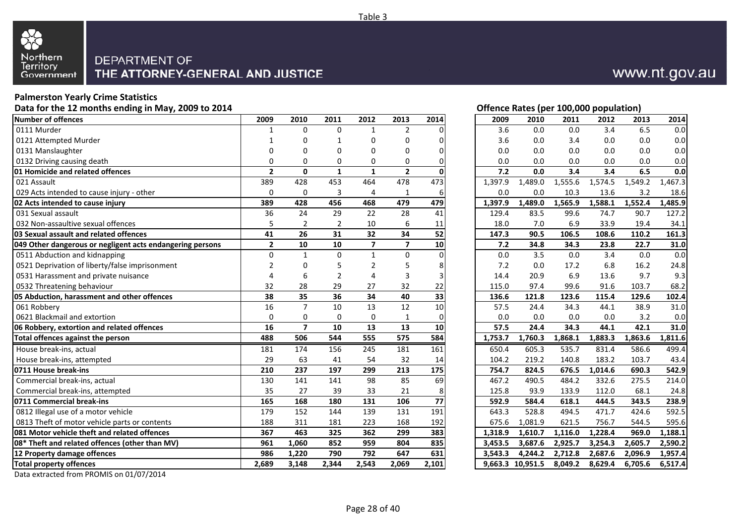

#### **Palmerston Yearly Crime Statistics**

**Data for the 12 months ending in May, 2009 to 2014**

| Number of offences                                        | 2009           | 2010           | 2011            | 2012             | 2013           | 2014            | 2009    | 2010             | 2011    | 2012    | 2013    | 2014    |
|-----------------------------------------------------------|----------------|----------------|-----------------|------------------|----------------|-----------------|---------|------------------|---------|---------|---------|---------|
| 0111 Murder                                               | 1              | $\Omega$       | $\Omega$        | $\mathbf{1}$     | $\overline{2}$ |                 | 3.6     | 0.0              | 0.0     | 3.4     | 6.5     | 0.0     |
| 0121 Attempted Murder                                     |                | 0              | 1               | 0                | 0              | $\Omega$        | 3.6     | 0.0              | 3.4     | 0.0     | 0.0     | 0.0     |
| 0131 Manslaughter                                         |                | 0              | 0               | $\mathbf 0$      | 0              | 0               | 0.0     | 0.0              | 0.0     | 0.0     | 0.0     | 0.0     |
| 0132 Driving causing death                                | $\Omega$       | $\mathbf 0$    | 0               | $\boldsymbol{0}$ | $\mathbf 0$    | $\Omega$        | 0.0     | 0.0              | 0.0     | 0.0     | 0.0     | 0.0     |
| 01 Homicide and related offences                          | $\overline{2}$ | $\mathbf 0$    | ${\bf 1}$       | $\mathbf{1}$     | $\overline{2}$ | $\mathbf{0}$    | $7.2$   | 0.0              | 3.4     | 3.4     | 6.5     | 0.0     |
| 021 Assault                                               | 389            | 428            | 453             | 464              | 478            | 473             | 1,397.9 | 1,489.0          | 1,555.6 | 1,574.5 | 1,549.2 | 1,467.3 |
| 029 Acts intended to cause injury - other                 | 0              | $\pmb{0}$      | 3               | 4                | $\mathbf{1}$   | 6               | 0.0     | 0.0              | 10.3    | 13.6    | 3.2     | 18.6    |
| 02 Acts intended to cause injury                          | 389            | 428            | 456             | 468              | 479            | 479             | 1,397.9 | 1,489.0          | 1,565.9 | 1,588.1 | 1,552.4 | 1,485.9 |
| 031 Sexual assault                                        | 36             | 24             | 29              | 22               | 28             | 41              | 129.4   | 83.5             | 99.6    | 74.7    | 90.7    | 127.2   |
| 032 Non-assaultive sexual offences                        | 5              | $\overline{2}$ | $\overline{2}$  | 10               | 6              | 11              | 18.0    | 7.0              | 6.9     | 33.9    | 19.4    | 34.1    |
| 03 Sexual assault and related offences                    | 41             | 26             | 31              | 32               | 34             | 52              | 147.3   | 90.5             | 106.5   | 108.6   | 110.2   | 161.3   |
| 049 Other dangerous or negligent acts endangering persons | $\mathbf{2}$   | 10             | 10              | $\overline{7}$   | $\overline{7}$ | 10              | 7.2     | 34.8             | 34.3    | 23.8    | 22.7    | 31.0    |
| 0511 Abduction and kidnapping                             | $\Omega$       | $\mathbf{1}$   | $\mathbf 0$     | $\mathbf{1}$     | 0              | $\Omega$        | 0.0     | 3.5              | 0.0     | 3.4     | 0.0     | 0.0     |
| 0521 Deprivation of liberty/false imprisonment            | $\overline{2}$ | $\mathbf 0$    | 5               | $\overline{2}$   | 5              | 8               | 7.2     | 0.0              | 17.2    | 6.8     | 16.2    | 24.8    |
| 0531 Harassment and private nuisance                      |                | 6              | $\overline{2}$  | $\overline{4}$   | 3              |                 | 14.4    | 20.9             | 6.9     | 13.6    | 9.7     | 9.3     |
| 0532 Threatening behaviour                                | 32             | 28             | 29              | 27               | 32             | 22              | 115.0   | 97.4             | 99.6    | 91.6    | 103.7   | 68.2    |
| 05 Abduction, harassment and other offences               | 38             | 35             | $\overline{36}$ | 34               | 40             | $\overline{33}$ | 136.6   | 121.8            | 123.6   | 115.4   | 129.6   | 102.4   |
| 061 Robbery                                               | 16             | $\overline{7}$ | 10              | 13               | 12             | 10              | 57.5    | 24.4             | 34.3    | 44.1    | 38.9    | 31.0    |
| 0621 Blackmail and extortion                              | $\mathbf 0$    | 0              | 0               | $\pmb{0}$        | $\mathbf{1}$   | $\Omega$        | 0.0     | 0.0              | 0.0     | 0.0     | 3.2     | 0.0     |
| 06 Robbery, extortion and related offences                | 16             | $\overline{7}$ | 10              | $\overline{13}$  | 13             | 10              | 57.5    | 24.4             | 34.3    | 44.1    | 42.1    | 31.0    |
| Total offences against the person                         | 488            | 506            | 544             | 555              | 575            | 584             | 1,753.7 | 1,760.3          | 1,868.1 | 1,883.3 | 1,863.6 | 1,811.6 |
| House break-ins, actual                                   | 181            | 174            | 156             | 245              | 181            | 161             | 650.4   | 605.3            | 535.7   | 831.4   | 586.6   | 499.4   |
| House break-ins, attempted                                | 29             | 63             | 41              | 54               | 32             | 14              | 104.2   | 219.2            | 140.8   | 183.2   | 103.7   | 43.4    |
| 0711 House break-ins                                      | 210            | 237            | 197             | 299              | 213            | 175             | 754.7   | 824.5            | 676.5   | 1,014.6 | 690.3   | 542.9   |
| Commercial break-ins, actual                              | 130            | 141            | 141             | 98               | 85             | 69              | 467.2   | 490.5            | 484.2   | 332.6   | 275.5   | 214.0   |
| Commercial break-ins, attempted                           | 35             | 27             | 39              | 33               | 21             | 8               | 125.8   | 93.9             | 133.9   | 112.0   | 68.1    | 24.8    |
| 0711 Commercial break-ins                                 | 165            | 168            | 180             | 131              | 106            | $\overline{77}$ | 592.9   | 584.4            | 618.1   | 444.5   | 343.5   | 238.9   |
| 0812 Illegal use of a motor vehicle                       | 179            | 152            | 144             | 139              | 131            | 191             | 643.3   | 528.8            | 494.5   | 471.7   | 424.6   | 592.5   |
| 0813 Theft of motor vehicle parts or contents             | 188            | 311            | 181             | 223              | 168            | 192             | 675.6   | 1,081.9          | 621.5   | 756.7   | 544.5   | 595.6   |
| <b>1081 Motor vehicle theft and related offences</b>      | 367            | 463            | 325             | 362              | 299            | 383             | 1,318.9 | 1,610.7          | 1,116.0 | 1,228.4 | 969.0   | 1,188.1 |
| 08* Theft and related offences (other than MV)            | 961            | 1,060          | 852             | 959              | 804            | 835             | 3,453.5 | 3,687.6          | 2,925.7 | 3,254.3 | 2,605.7 | 2,590.2 |
| 12 Property damage offences                               | 986            | 1,220          | 790             | 792              | 647            | 631             | 3,543.3 | 4,244.2          | 2,712.8 | 2,687.6 | 2.096.9 | 1,957.4 |
| <b>Total property offences</b>                            | 2,689          | 3,148          | 2,344           | 2,543            | 2,069          | 2,101           |         | 9,663.3 10,951.5 | 8,049.2 | 8,629.4 | 6,705.6 | 6,517.4 |
|                                                           |                |                |                 |                  |                |                 |         |                  |         |         |         |         |

### **Offence Rates (per 100,000 population)**

www.nt.gov.au

| 9                       | 2010           | 2011             | 2012                    | 2013                    | 2014           |  | 2009    | 2010             | 2011    | 2012    | 2013    | 2014    |  |  |  |  |
|-------------------------|----------------|------------------|-------------------------|-------------------------|----------------|--|---------|------------------|---------|---------|---------|---------|--|--|--|--|
| 1                       | $\mathbf 0$    | $\boldsymbol{0}$ | $\mathbf{1}$            | $\overline{2}$          | 0              |  | 3.6     | 0.0              | 0.0     | 3.4     | 6.5     | 0.0     |  |  |  |  |
| 1                       | 0              | 1                | $\mathbf 0$             | 0                       | 0              |  | 3.6     | 0.0              | 3.4     | 0.0     | 0.0     | 0.0     |  |  |  |  |
| 0                       | 0              | 0                | 0                       | 0                       | 0              |  | 0.0     | 0.0              | 0.0     | 0.0     | 0.0     | $0.0\,$ |  |  |  |  |
| 0                       | 0              | $\mathbf 0$      | $\mathbf 0$             | 0                       | 0              |  | 0.0     | 0.0              | 0.0     | 0.0     | 0.0     | 0.0     |  |  |  |  |
| 2                       | $\mathbf 0$    | $\mathbf{1}$     | $\mathbf{1}$            | $\overline{\mathbf{c}}$ | 0              |  | $7.2$   | 0.0              | 3.4     | 3.4     | 6.5     | 0.0     |  |  |  |  |
| 9                       | 428            | 453              | 464                     | 478                     | 473            |  | 1,397.9 | 1,489.0          | 1,555.6 | 1,574.5 | 1,549.2 | 1,467.3 |  |  |  |  |
| 0                       | $\pmb{0}$      | 3                | $\overline{4}$          | $\mathbf{1}$            | 6              |  | 0.0     | 0.0              | 10.3    | 13.6    | 3.2     | 18.6    |  |  |  |  |
| 9                       | 428            | 456              | 468                     | 479                     | 479            |  | 1,397.9 | 1,489.0          | 1,565.9 | 1,588.1 | 1,552.4 | 1,485.9 |  |  |  |  |
| 6                       | 24             | 29               | 22                      | 28                      | 41             |  | 129.4   | 83.5             | 99.6    | 74.7    | 90.7    | 127.2   |  |  |  |  |
| 5                       | $\overline{2}$ | $\overline{2}$   | 10                      | 6                       | 11             |  | 18.0    | 7.0              | 6.9     | 33.9    | 19.4    | 34.1    |  |  |  |  |
| 1                       | 26             | 31               | 32                      | 34                      | 52             |  | 147.3   | 90.5             | 106.5   | 108.6   | 110.2   | 161.3   |  |  |  |  |
| 2                       | ${\bf 10}$     | 10               | $\overline{\mathbf{z}}$ | $\overline{\mathbf{z}}$ | 10             |  | $7.2$   | 34.8             | 34.3    | 23.8    | 22.7    | 31.0    |  |  |  |  |
| 0                       | $\mathbf{1}$   | $\pmb{0}$        | $\mathbf{1}$            | $\mathbf 0$             | $\mathbf{0}$   |  | 0.0     | 3.5              | 0.0     | 3.4     | 0.0     | 0.0     |  |  |  |  |
| 2                       | 0              | 5                | 2                       | 5                       | 8              |  | 7.2     | 0.0              | 17.2    | 6.8     | 16.2    | 24.8    |  |  |  |  |
| 4                       | 6              | $\overline{2}$   | 4                       | 3                       | 3              |  | 14.4    | 20.9             | 6.9     | 13.6    | 9.7     | 9.3     |  |  |  |  |
|                         | 28             | 29               | 27                      | 32                      | 22             |  | 115.0   | 97.4             | 99.6    | 91.6    | 103.7   | 68.2    |  |  |  |  |
| $\frac{2}{8}$           | 35             | 36               | 34                      | 40                      | 33             |  | 136.6   | 121.8            | 123.6   | 115.4   | 129.6   | 102.4   |  |  |  |  |
| 6                       | $\overline{7}$ | 10               | 13                      | 12                      | 10             |  | 57.5    | 24.4             | 34.3    | 44.1    | 38.9    | 31.0    |  |  |  |  |
| 0                       | 0              | $\mathbf 0$      | $\boldsymbol{0}$        | $\mathbf{1}$            | $\mathbf 0$    |  | 0.0     | 0.0              | 0.0     | $0.0\,$ | 3.2     | 0.0     |  |  |  |  |
| 6                       | $\overline{7}$ | 10               | 13                      | 13                      | 10             |  | 57.5    | 24.4             | 34.3    | 44.1    | 42.1    | 31.0    |  |  |  |  |
| 8                       | 506            | 544              | 555                     | 575                     | 584            |  | 1,753.7 | 1,760.3          | 1,868.1 | 1,883.3 | 1,863.6 | 1,811.6 |  |  |  |  |
| 1                       | 174            | 156              | 245                     | 181                     | 161            |  | 650.4   | 605.3            | 535.7   | 831.4   | 586.6   | 499.4   |  |  |  |  |
| 9                       | 63             | 41               | 54                      | 32                      | 14             |  | 104.2   | 219.2            | 140.8   | 183.2   | 103.7   | 43.4    |  |  |  |  |
| 0                       | 237            | 197              | 299                     | 213                     | 175            |  | 754.7   | 824.5            | 676.5   | 1,014.6 | 690.3   | 542.9   |  |  |  |  |
| 0                       | 141            | 141              | 98                      | 85                      | 69             |  | 467.2   | 490.5            | 484.2   | 332.6   | 275.5   | 214.0   |  |  |  |  |
|                         | 27             | 39               | 33                      | 21                      | 8 <sup>1</sup> |  | 125.8   | 93.9             | 133.9   | 112.0   | 68.1    | 24.8    |  |  |  |  |
| $rac{5}{5}$             | 168            | 180              | 131                     | 106                     | 77             |  | 592.9   | 584.4            | 618.1   | 444.5   | 343.5   | 238.9   |  |  |  |  |
| $\overline{9}$          | 152            | 144              | 139                     | 131                     | 191            |  | 643.3   | 528.8            | 494.5   | 471.7   | 424.6   | 592.5   |  |  |  |  |
| 8                       | 311            | 181              | 223                     | 168                     | 192            |  | 675.6   | 1,081.9          | 621.5   | 756.7   | 544.5   | 595.6   |  |  |  |  |
| $\overline{\mathbf{z}}$ | 463            | 325              | 362                     | 299                     | 383            |  | 1,318.9 | 1,610.7          | 1,116.0 | 1,228.4 | 969.0   | 1,188.1 |  |  |  |  |
| 1                       | 1,060          | 852              | 959                     | 804                     | 835            |  | 3,453.5 | 3,687.6          | 2,925.7 | 3,254.3 | 2,605.7 | 2,590.2 |  |  |  |  |
| 6                       | 1,220          | 790              | 792                     | 647                     | 631            |  | 3,543.3 | 4,244.2          | 2,712.8 | 2,687.6 | 2,096.9 | 1,957.4 |  |  |  |  |
| q                       | 3.148          | 2.344            | 2.543                   | 2.069                   | 2.101          |  |         | 9.663.3 10.951.5 | 8.049.2 | 8.629.4 | 6.705.6 | 6.517.4 |  |  |  |  |

Data extracted from PROMIS on 01/07/2014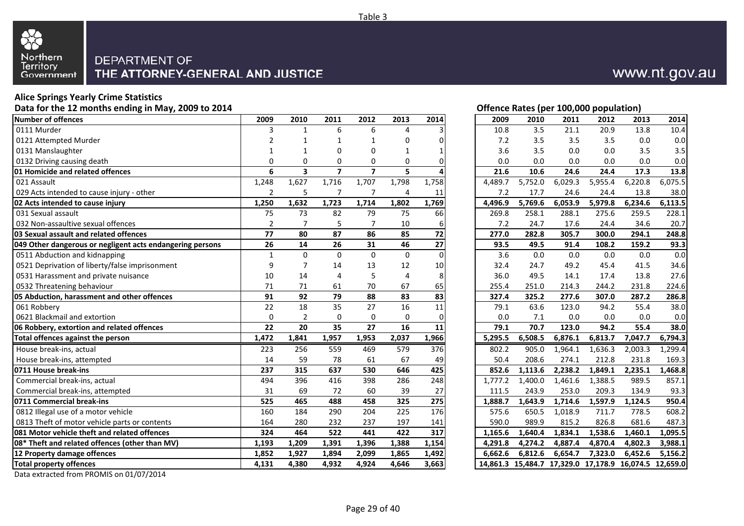

### **Alice Springs Yearly Crime Statistics**

**Data for the 12 months ending in May, 2009 to 2014**

| Number of offences                                        | 2009           | 2010           | 2011                    | 2012           | 2013        | 2014     | 2009    | 2010    | 2011    | 2012                                                  | 2013    | 2014    |
|-----------------------------------------------------------|----------------|----------------|-------------------------|----------------|-------------|----------|---------|---------|---------|-------------------------------------------------------|---------|---------|
| 0111 Murder                                               | 3              | $\mathbf{1}$   | 6                       | 6              | 4           |          | 10.8    | 3.5     | 21.1    | 20.9                                                  | 13.8    | 10.4    |
| 0121 Attempted Murder                                     | 2              | $\mathbf 1$    | 1                       | $\mathbf 1$    | 0           |          | 7.2     | 3.5     | 3.5     | 3.5                                                   | 0.0     | 0.0     |
| 0131 Manslaughter                                         | -1             | $\mathbf 1$    | 0                       | $\mathbf 0$    | 1           |          | 3.6     | 3.5     | 0.0     | 0.0                                                   | 3.5     | 3.5     |
| 0132 Driving causing death                                | $\Omega$       | $\mathbf 0$    | 0                       | $\mathbf 0$    | $\mathbf 0$ |          | 0.0     | 0.0     | 0.0     | 0.0                                                   | 0.0     | 0.0     |
| 01 Homicide and related offences                          | 6              | 3              | $\overline{\mathbf{z}}$ | $\overline{7}$ | 5           |          | 21.6    | 10.6    | 24.6    | 24.4                                                  | 17.3    | 13.8    |
| 021 Assault                                               | 1,248          | 1,627          | 1,716                   | 1,707          | 1,798       | 1,758    | 4,489.7 | 5,752.0 | 6,029.3 | 5,955.4                                               | 6,220.8 | 6,075.5 |
| 029 Acts intended to cause injury - other                 | $\overline{2}$ | 5              | 7                       | 7              | 4           | 11       | 7.2     | 17.7    | 24.6    | 24.4                                                  | 13.8    | 38.0    |
| 02 Acts intended to cause injury                          | 1,250          | 1,632          | 1,723                   | 1,714          | 1,802       | 1,769    | 4,496.9 | 5,769.6 | 6,053.9 | 5,979.8                                               | 6,234.6 | 6,113.5 |
| 031 Sexual assault                                        | 75             | 73             | 82                      | 79             | 75          | 66       | 269.8   | 258.1   | 288.1   | 275.6                                                 | 259.5   | 228.1   |
| 032 Non-assaultive sexual offences                        | $\overline{2}$ | $\overline{7}$ | 5                       | 7              | 10          |          | 7.2     | 24.7    | 17.6    | 24.4                                                  | 34.6    | 20.7    |
| 03 Sexual assault and related offences                    | 77             | 80             | 87                      | 86             | 85          | 72       | 277.0   | 282.8   | 305.7   | 300.0                                                 | 294.1   | 248.8   |
| 049 Other dangerous or negligent acts endangering persons | 26             | 14             | 26                      | 31             | 46          | 27       | 93.5    | 49.5    | 91.4    | 108.2                                                 | 159.2   | 93.3    |
| 0511 Abduction and kidnapping                             | $\mathbf{1}$   | $\mathbf{0}$   | $\Omega$                | $\Omega$       | $\mathbf 0$ | $\Omega$ | 3.6     | 0.0     | 0.0     | 0.0                                                   | 0.0     | 0.0     |
| 0521 Deprivation of liberty/false imprisonment            | 9              | $\overline{7}$ | 14                      | 13             | 12          | 10       | 32.4    | 24.7    | 49.2    | 45.4                                                  | 41.5    | 34.6    |
| 0531 Harassment and private nuisance                      | 10             | 14             | $\overline{4}$          | 5              | 4           | 8        | 36.0    | 49.5    | 14.1    | 17.4                                                  | 13.8    | 27.6    |
| 0532 Threatening behaviour                                | 71             | 71             | 61                      | 70             | 67          | 65       | 255.4   | 251.0   | 214.3   | 244.2                                                 | 231.8   | 224.6   |
| 05 Abduction, harassment and other offences               | 91             | 92             | 79                      | 88             | 83          | 83       | 327.4   | 325.2   | 277.6   | 307.0                                                 | 287.2   | 286.8   |
| 061 Robbery                                               | 22             | 18             | 35                      | 27             | 16          | 11       | 79.1    | 63.6    | 123.0   | 94.2                                                  | 55.4    | 38.0    |
| 0621 Blackmail and extortion                              | 0              | $\overline{2}$ | 0                       | $\mathbf 0$    | $\mathbf 0$ | $\Omega$ | 0.0     | 7.1     | 0.0     | 0.0                                                   | 0.0     | 0.0     |
| 06 Robbery, extortion and related offences                | 22             | 20             | 35                      | 27             | 16          | 11       | 79.1    | 70.7    | 123.0   | 94.2                                                  | 55.4    | 38.0    |
| Total offences against the person                         | 1,472          | 1,841          | 1,957                   | 1,953          | 2,037       | 1,966    | 5,295.5 | 6,508.5 | 6,876.1 | 6,813.7                                               | 7,047.7 | 6,794.3 |
| House break-ins, actual                                   | 223            | 256            | 559                     | 469            | 579         | 376      | 802.2   | 905.0   | 1,964.1 | 1,636.3                                               | 2,003.3 | 1,299.4 |
| House break-ins, attempted                                | 14             | 59             | 78                      | 61             | 67          | 49       | 50.4    | 208.6   | 274.1   | 212.8                                                 | 231.8   | 169.3   |
| 0711 House break-ins                                      | 237            | 315            | 637                     | 530            | 646         | 425      | 852.6   | 1,113.6 | 2,238.2 | 1,849.1                                               | 2,235.1 | 1,468.8 |
| Commercial break-ins, actual                              | 494            | 396            | 416                     | 398            | 286         | 248      | 1,777.2 | 1,400.0 | 1,461.6 | 1,388.5                                               | 989.5   | 857.1   |
| Commercial break-ins, attempted                           | 31             | 69             | 72                      | 60             | 39          | 27       | 111.5   | 243.9   | 253.0   | 209.3                                                 | 134.9   | 93.3    |
| 0711 Commercial break-ins                                 | 525            | 465            | 488                     | 458            | 325         | 275      | 1,888.7 | 1,643.9 | 1,714.6 | 1,597.9                                               | 1,124.5 | 950.4   |
| 0812 Illegal use of a motor vehicle                       | 160            | 184            | 290                     | 204            | 225         | 176      | 575.6   | 650.5   | 1,018.9 | 711.7                                                 | 778.5   | 608.2   |
| 0813 Theft of motor vehicle parts or contents             | 164            | 280            | 232                     | 237            | 197         | 141      | 590.0   | 989.9   | 815.2   | 826.8                                                 | 681.6   | 487.3   |
| 081 Motor vehicle theft and related offences              | 324            | 464            | 522                     | 441            | 422         | 317      | 1,165.6 | 1,640.4 | 1,834.1 | 1,538.6                                               | 1,460.1 | 1,095.5 |
| 08* Theft and related offences (other than MV)            | 1,193          | 1,209          | 1,391                   | 1,396          | 1,388       | 1,154    | 4,291.8 | 4,274.2 | 4,887.4 | 4,870.4                                               | 4,802.3 | 3,988.1 |
| 12 Property damage offences                               | 1,852          | 1,927          | 1,894                   | 2,099          | 1,865       | 1,492    | 6.662.6 | 6.812.6 | 6.654.7 | 7,323.0                                               | 6,452.6 | 5,156.2 |
| <b>Total property offences</b>                            | 4,131          | 4,380          | 4,932                   | 4,924          | 4,646       | 3,663    |         |         |         | 14,861.3 15,484.7 17,329.0 17,178.9 16,074.5 12,659.0 |         |         |
|                                                           |                |                |                         |                |             |          |         |         |         |                                                       |         |         |

| 4 |                |                |                |                |           |              |  |  |  |  |
|---|----------------|----------------|----------------|----------------|-----------|--------------|--|--|--|--|
|   | 2009           | 2010           | 2011           | 2012           | 2013      | 2014         |  |  |  |  |
|   | 3              | 1              | 6              | 6              | 4         | 3            |  |  |  |  |
|   | 2              | 1              | 1              | 1              | 0         | 0            |  |  |  |  |
|   | 1              | 1              | 0              | 0              | 1         | 1            |  |  |  |  |
|   | $\Omega$       | 0              | 0              | $\mathbf 0$    | $\Omega$  | 0            |  |  |  |  |
|   | 6              | 3              | $\overline{7}$ | $\overline{7}$ | 5         | 4            |  |  |  |  |
|   | 1,248          | 1,627          | 1,716          | 1,707          | 1,798     | 1,758        |  |  |  |  |
|   | 2              | 5              | 7              | 7              | 4         | 11           |  |  |  |  |
|   | 1,250          | 1,632          | 1,723          | 1,714          | 1,802     | 1,769        |  |  |  |  |
|   | 75             | 73             | 82             | 79             | 75        | 66           |  |  |  |  |
|   | $\overline{2}$ | $\overline{7}$ | 5              | $\overline{7}$ | 10        | 6            |  |  |  |  |
|   | 77             | 80             | 87             | 86             | 85        | 72           |  |  |  |  |
|   | 26             | 14             | 26             | 31             | 46        | 27           |  |  |  |  |
|   | $\mathbf{1}$   | 0              | $\pmb{0}$      | $\pmb{0}$      | $\pmb{0}$ | $\mathbf{0}$ |  |  |  |  |
|   | 9              | 7              | 14             | 13             | 12        | $10\,$       |  |  |  |  |
|   | 10             | 14             | 4              | 5              | 4         | 8            |  |  |  |  |
|   | 71             | 71             | 61             | 70             | 67        | 65           |  |  |  |  |
|   | 91             | 92             | 79             | 88             | 83        | 83           |  |  |  |  |
|   | 22             | 18             | 35             | 27             | 16        | 11           |  |  |  |  |
|   | 0              | $\overline{2}$ | 0              | $\mathbf 0$    | 0         | 0            |  |  |  |  |
|   | 22             | 20             | 35             | 27             | 16        | 11           |  |  |  |  |
|   | 1,472          | 1,841          | 1,957          | 1,953          | 2,037     | 1,966        |  |  |  |  |
|   | 223            | 256            | 559            | 469            | 579       | 376          |  |  |  |  |
|   | 14             | 59             | 78             | 61             | 67        | 49           |  |  |  |  |
|   | 237            | 315            | 637            | 530            | 646       | 425          |  |  |  |  |
|   | 494            | 396            | 416            | 398            | 286       | 248          |  |  |  |  |
|   | 31             | 69             | 72             | 60             | 39        | 27           |  |  |  |  |
|   | 525            | 465            | 488            | 458            | 325       | 275          |  |  |  |  |
|   | 160            | 184            | 290            | 204            | 225       | 176          |  |  |  |  |
|   | 164            | 280            | 232            | 237            | 197       | 141          |  |  |  |  |
|   | 324            | 464            | 522            | 441            | 422       | 317          |  |  |  |  |
|   | 1,193          | 1,209          | 1,391          | 1,396          | 1,388     | 1,154        |  |  |  |  |
|   | 1,852          | 1,927          | 1,894          | 2,099          | 1,865     | 1,492        |  |  |  |  |
|   | 4,131          | 4,380          | 4,932          | 4,924          | 4,646     | 3,663        |  |  |  |  |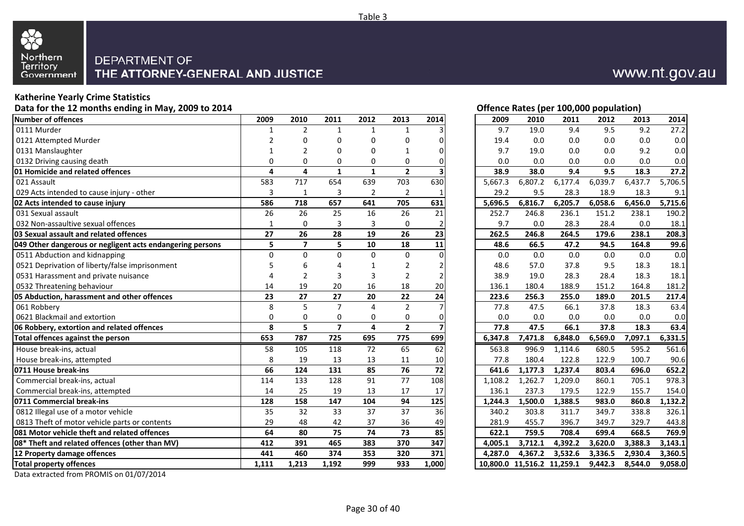

#### **Katherine Yearly Crime Statistics**

**Data for the 12 months ending in May, 2009 to 2014**

| <b>Number of offences</b>                                 | 2009         | 2010                    | 2011           | 2012                    | 2013            | 2014                    | 2009    | 2010                       | 2011    | 2012    | 2013    | 2014    |
|-----------------------------------------------------------|--------------|-------------------------|----------------|-------------------------|-----------------|-------------------------|---------|----------------------------|---------|---------|---------|---------|
| 0111 Murder                                               | 1            | $\overline{2}$          | 1              | 1                       | 1               |                         | 9.7     | 19.0                       | 9.4     | 9.5     | 9.2     | 27.2    |
| 0121 Attempted Murder                                     | 2            | $\Omega$                | 0              | $\Omega$                | 0               |                         | 19.4    | 0.0                        | 0.0     | 0.0     | 0.0     | 0.0     |
| 0131 Manslaughter                                         | 1            | 2                       | 0              | $\Omega$                | $\mathbf{1}$    | $\Omega$                | 9.7     | 19.0                       | 0.0     | 0.0     | 9.2     | 0.0     |
| 0132 Driving causing death                                | $\Omega$     | $\mathbf 0$             | 0              | $\mathbf 0$             | 0               |                         | 0.0     | 0.0                        | 0.0     | 0.0     | 0.0     | 0.0     |
| 01 Homicide and related offences                          | 4            | $\overline{a}$          | $\mathbf{1}$   | $\mathbf{1}$            | $\overline{2}$  |                         | 38.9    | 38.0                       | 9.4     | 9.5     | 18.3    | 27.2    |
| 021 Assault                                               | 583          | 717                     | 654            | 639                     | 703             | 630                     | 5.667.3 | 6,807.2                    | 6,177.4 | 6,039.7 | 6,437.7 | 5,706.5 |
| 029 Acts intended to cause injury - other                 | 3            | $\mathbf{1}$            | 3              | $\overline{2}$          | $\overline{2}$  |                         | 29.2    | 9.5                        | 28.3    | 18.9    | 18.3    | 9.1     |
| 02 Acts intended to cause injury                          | 586          | 718                     | 657            | 641                     | 705             | 631                     | 5,696.5 | 6,816.7                    | 6,205.7 | 6,058.6 | 6,456.0 | 5,715.6 |
| 031 Sexual assault                                        | 26           | 26                      | 25             | 16                      | 26              | 21                      | 252.7   | 246.8                      | 236.1   | 151.2   | 238.1   | 190.2   |
| 032 Non-assaultive sexual offences                        | $\mathbf{1}$ | $\Omega$                | 3              | 3                       | $\Omega$        |                         | 9.7     | 0.0                        | 28.3    | 28.4    | 0.0     | 18.1    |
| 03 Sexual assault and related offences                    | 27           | 26                      | 28             | 19                      | 26              | 23                      | 262.5   | 246.8                      | 264.5   | 179.6   | 238.1   | 208.3   |
| 049 Other dangerous or negligent acts endangering persons | 5            | $\overline{\mathbf{z}}$ | 5              | 10                      | 18              | 11                      | 48.6    | 66.5                       | 47.2    | 94.5    | 164.8   | 99.6    |
| 0511 Abduction and kidnapping                             | $\Omega$     | $\Omega$                | $\Omega$       | $\Omega$                | $\mathbf 0$     | $\Omega$                | 0.0     | 0.0                        | 0.0     | 0.0     | 0.0     | 0.0     |
| 0521 Deprivation of liberty/false imprisonment            |              | 6                       | $\Delta$       | 1                       | $\overline{2}$  |                         | 48.6    | 57.0                       | 37.8    | 9.5     | 18.3    | 18.1    |
| 0531 Harassment and private nuisance                      |              | $\overline{2}$          | 3              | 3                       | $\overline{2}$  |                         | 38.9    | 19.0                       | 28.3    | 28.4    | 18.3    | 18.1    |
| 0532 Threatening behaviour                                | 14           | 19                      | 20             | 16                      | 18              | 20                      | 136.1   | 180.4                      | 188.9   | 151.2   | 164.8   | 181.2   |
| 05 Abduction, harassment and other offences               | 23           | 27                      | 27             | 20                      | 22              | 24                      | 223.6   | 256.3                      | 255.0   | 189.0   | 201.5   | 217.4   |
| 061 Robbery                                               | 8            | 5                       | $\overline{7}$ | $\overline{4}$          | $\overline{2}$  |                         | 77.8    | 47.5                       | 66.1    | 37.8    | 18.3    | 63.4    |
| 0621 Blackmail and extortion                              | $\Omega$     | $\mathbf 0$             | 0              | $\mathbf 0$             | 0               | O                       | 0.0     | 0.0                        | 0.0     | 0.0     | 0.0     | 0.0     |
| 06 Robbery, extortion and related offences                | 8            | 5                       | $\overline{7}$ | $\overline{\mathbf{4}}$ | $\overline{2}$  | $\overline{\mathbf{z}}$ | 77.8    | 47.5                       | 66.1    | 37.8    | 18.3    | 63.4    |
| Total offences against the person                         | 653          | 787                     | 725            | 695                     | 775             | 699                     | 6,347.8 | 7,471.8                    | 6,848.0 | 6,569.0 | 7,097.1 | 6,331.5 |
| House break-ins, actual                                   | 58           | 105                     | 118            | 72                      | 65              | 62                      | 563.8   | 996.9                      | 1.114.6 | 680.5   | 595.2   | 561.6   |
| House break-ins, attempted                                | 8            | 19                      | 13             | 13                      | 11              | 10                      | 77.8    | 180.4                      | 122.8   | 122.9   | 100.7   | 90.6    |
| 0711 House break-ins                                      | 66           | 124                     | 131            | 85                      | 76              | 72                      | 641.6   | 1,177.3                    | 1,237.4 | 803.4   | 696.0   | 652.2   |
| Commercial break-ins, actual                              | 114          | 133                     | 128            | 91                      | $\overline{77}$ | 108                     | 1,108.2 | 1,262.7                    | 1,209.0 | 860.1   | 705.1   | 978.3   |
| Commercial break-ins, attempted                           | 14           | 25                      | 19             | 13                      | 17              | 17                      | 136.1   | 237.3                      | 179.5   | 122.9   | 155.7   | 154.0   |
| 0711 Commercial break-ins                                 | 128          | 158                     | 147            | 104                     | 94              | 125                     | 1,244.3 | 1,500.0                    | 1,388.5 | 983.0   | 860.8   | 1,132.2 |
| 0812 Illegal use of a motor vehicle                       | 35           | 32                      | 33             | 37                      | 37              | 36                      | 340.2   | 303.8                      | 311.7   | 349.7   | 338.8   | 326.1   |
| 0813 Theft of motor vehicle parts or contents             | 29           | 48                      | 42             | 37                      | 36              | 49                      | 281.9   | 455.7                      | 396.7   | 349.7   | 329.7   | 443.8   |
| 081 Motor vehicle theft and related offences              | 64           | 80                      | 75             | 74                      | 73              | 85                      | 622.1   | 759.5                      | 708.4   | 699.4   | 668.5   | 769.9   |
| 08* Theft and related offences (other than MV)            | 412          | 391                     | 465            | 383                     | 370             | 347                     | 4,005.1 | 3,712.1                    | 4,392.2 | 3,620.0 | 3,388.3 | 3,143.1 |
| 12 Property damage offences                               | 441          | 460                     | 374            | 353                     | 320             | 371                     | 4.287.0 | 4,367.2                    | 3,532.6 | 3,336.5 | 2,930.4 | 3,360.5 |
| <b>Total property offences</b>                            | 1,111        | 1,213                   | 1,192          | 999                     | 933             | 1,000                   |         | 10,800.0 11,516.2 11,259.1 |         | 9,442.3 | 8,544.0 | 9,058.0 |

Data extracted from PROMIS on 01/07/2014

| 2009           | 2010                    | 2011                    | 2012           | 2013                     | 2014     |
|----------------|-------------------------|-------------------------|----------------|--------------------------|----------|
| 1              | 2                       | 1                       | 1              | 1                        |          |
| 2              | 0                       | 0                       | 0              | 0                        | 0        |
| 1              | 2                       | 0                       | $\Omega$       | 1                        | U        |
| 0              | 0                       | 0                       | 0              | 0                        | 0        |
| 4              | 4                       | 1                       | 1              | $\overline{2}$           |          |
| 583            | 717                     | 654                     | 639            | 703                      | 630      |
| 3              | 1                       | 3                       | $\overline{2}$ | $\overline{2}$           |          |
| 586            | 718                     | 657                     | 641            | 705                      | 631      |
| 26             | 26                      | 25                      | 16             | 26                       | 21       |
| 1              | 0                       | 3                       | 3              | 0                        | 2        |
| 27             | 26                      | 28                      | 19             | 26                       | 23       |
| 5              | $\overline{\mathbf{z}}$ | 5                       | 10             | 18                       | 11       |
| 0              | 0                       | 0                       | $\Omega$       | 0                        | $\Omega$ |
| 5              | 6                       | 4                       | 1              | 2                        | 2        |
| 4              | 2                       | 3                       | 3              | 2                        |          |
| 14             | 19                      | 20                      | 16             | 18                       | 20       |
| 23             | 27                      | 27                      | 20             | 22                       | 24       |
| 8              | 5                       | 7                       | 4              | $\overline{2}$           | 7        |
| 0              | 0                       | 0                       | $\Omega$       | 0                        | 0        |
| 8              | 5                       | $\overline{\mathbf{z}}$ | 4              | 2                        |          |
| 653            | 787                     | 725                     | 695            | 775                      | 699      |
| 58             | 105                     | 118                     | 72             | 65                       | 62       |
| 8              | 19                      | 13                      | 13             | 11                       | 10       |
| $\overline{c}$ | $\ddot{\bullet}$        | 121                     | or.            | $\overline{\phantom{a}}$ | 72.      |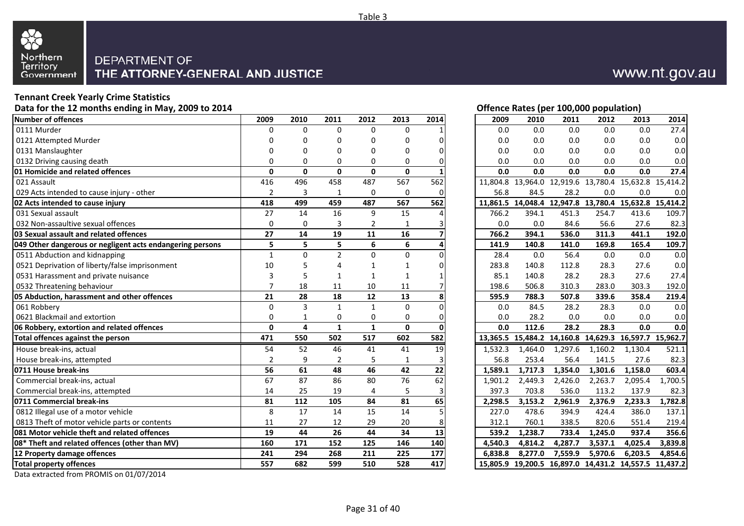

### **Tennant Creek Yearly Crime Statistics**

**Data for the 12 months ending in May, 2009 to 2014**

| <b>Number of offences</b>                                 | 2009           | 2010           | 2011           | 2012            | 2013         | 2014         | 2009    | 2010                                                  | 2011    | 2012    | 2013    | 2014    |
|-----------------------------------------------------------|----------------|----------------|----------------|-----------------|--------------|--------------|---------|-------------------------------------------------------|---------|---------|---------|---------|
| 0111 Murder                                               | 0              | $\Omega$       | $\Omega$       | $\mathbf 0$     | 0            |              | 0.0     | 0.0                                                   | 0.0     | 0.0     | 0.0     | 27.4    |
| 0121 Attempted Murder                                     |                | $\Omega$       | 0              | 0               | 0            |              | 0.0     | 0.0                                                   | 0.0     | 0.0     | 0.0     | 0.0     |
| 0131 Manslaughter                                         | $\Omega$       | 0              | 0              | $\mathbf 0$     | 0            |              | 0.0     | 0.0                                                   | 0.0     | 0.0     | 0.0     | 0.0     |
| 0132 Driving causing death                                | $\Omega$       | 0              | 0              | $\mathbf 0$     | 0            |              | 0.0     | 0.0                                                   | 0.0     | 0.0     | 0.0     | 0.0     |
| 01 Homicide and related offences                          | $\mathbf{0}$   | $\mathbf 0$    | $\mathbf{0}$   | $\mathbf{0}$    | $\mathbf{0}$ |              | 0.0     | 0.0                                                   | 0.0     | 0.0     | 0.0     | 27.4    |
| 021 Assault                                               | 416            | 496            | 458            | 487             | 567          | 562          |         | 11,804.8 13,964.0 12,919.6 13,780.4 15,632.8 15,414.2 |         |         |         |         |
| 029 Acts intended to cause injury - other                 | $\overline{2}$ | 3              | 1              | $\mathbf 0$     | $\Omega$     | $\bigcap$    | 56.8    | 84.5                                                  | 28.2    | 0.0     | 0.0     | 0.0     |
| 02 Acts intended to cause injury                          | 418            | 499            | 459            | 487             | 567          | 562          |         | 11,861.5 14,048.4 12,947.8 13,780.4 15,632.8 15,414.2 |         |         |         |         |
| 031 Sexual assault                                        | 27             | 14             | 16             | 9               | 15           |              | 766.2   | 394.1                                                 | 451.3   | 254.7   | 413.6   | 109.7   |
| 032 Non-assaultive sexual offences                        | $\Omega$       | $\Omega$       | 3              | $\overline{2}$  |              |              | 0.0     | 0.0                                                   | 84.6    | 56.6    | 27.6    | 82.3    |
| 03 Sexual assault and related offences                    | 27             | 14             | 19             | 11              | 16           |              | 766.2   | 394.1                                                 | 536.0   | 311.3   | 441.1   | 192.0   |
| 049 Other dangerous or negligent acts endangering persons | 5              | 5              | 5              | 6               | 6            |              | 141.9   | 140.8                                                 | 141.0   | 169.8   | 165.4   | 109.7   |
| 0511 Abduction and kidnapping                             | $\mathbf{1}$   | $\Omega$       | $\overline{2}$ | $\Omega$        | $\mathbf 0$  |              | 28.4    | 0.0                                                   | 56.4    | 0.0     | 0.0     | 0.0     |
| 0521 Deprivation of liberty/false imprisonment            | 10             | 5              | $\Delta$       | $\mathbf{1}$    | 1            |              | 283.8   | 140.8                                                 | 112.8   | 28.3    | 27.6    | 0.0     |
| 0531 Harassment and private nuisance                      | 3              | 5              | 1              | $\mathbf{1}$    | 1            |              | 85.1    | 140.8                                                 | 28.2    | 28.3    | 27.6    | 27.4    |
| 0532 Threatening behaviour                                |                | 18             | 11             | 10              | 11           |              | 198.6   | 506.8                                                 | 310.3   | 283.0   | 303.3   | 192.0   |
| 05 Abduction, harassment and other offences               | 21             | 28             | 18             | 12              | 13           |              | 595.9   | 788.3                                                 | 507.8   | 339.6   | 358.4   | 219.4   |
| 061 Robbery                                               | $\Omega$       | $\overline{3}$ | $\mathbf{1}$   | $\mathbf{1}$    | $\Omega$     |              | 0.0     | 84.5                                                  | 28.2    | 28.3    | 0.0     | 0.0     |
| 0621 Blackmail and extortion                              | $\Omega$       | $\mathbf{1}$   | $\mathbf 0$    | $\mathbf 0$     | 0            | O            | 0.0     | 28.2                                                  | 0.0     | 0.0     | 0.0     | 0.0     |
| 06 Robbery, extortion and related offences                | $\mathbf{0}$   | 4              | $\mathbf{1}$   | $\mathbf{1}$    | $\mathbf{0}$ | <sup>0</sup> | 0.0     | 112.6                                                 | 28.2    | 28.3    | 0.0     | 0.0     |
| Total offences against the person                         | 471            | 550            | 502            | 517             | 602          | 582          |         | 13,365.5 15,484.2 14,160.8 14,629.3 16,597.7 15,962.7 |         |         |         |         |
| House break-ins, actual                                   | 54             | 52             | 46             | 41              | 41           | 19           | 1,532.3 | 1,464.0                                               | 1,297.6 | 1,160.2 | 1,130.4 | 521.1   |
| House break-ins, attempted                                | $\overline{2}$ | 9              | $\overline{2}$ | 5               | 1            |              | 56.8    | 253.4                                                 | 56.4    | 141.5   | 27.6    | 82.3    |
| 0711 House break-ins                                      | 56             | 61             | 48             | 46              | 42           | 22           | 1.589.1 | 1.717.3                                               | 1,354.0 | 1,301.6 | 1.158.0 | 603.4   |
| Commercial break-ins, actual                              | 67             | 87             | 86             | 80              | 76           | 62           | 1,901.2 | 2,449.3                                               | 2,426.0 | 2,263.7 | 2,095.4 | 1,700.5 |
| Commercial break-ins, attempted                           | 14             | 25             | 19             | 4               | 5            | 3            | 397.3   | 703.8                                                 | 536.0   | 113.2   | 137.9   | 82.3    |
| 0711 Commercial break-ins                                 | 81             | 112            | 105            | 84              | 81           | 65           | 2,298.5 | 3,153.2                                               | 2,961.9 | 2,376.9 | 2,233.3 | 1,782.8 |
| 0812 Illegal use of a motor vehicle                       | 8              | 17             | 14             | $\overline{15}$ | 14           |              | 227.0   | 478.6                                                 | 394.9   | 424.4   | 386.0   | 137.1   |
| 0813 Theft of motor vehicle parts or contents             | 11             | 27             | 12             | 29              | 20           |              | 312.1   | 760.1                                                 | 338.5   | 820.6   | 551.4   | 219.4   |
| 081 Motor vehicle theft and related offences              | 19             | 44             | 26             | 44              | 34           | 13           | 539.2   | 1,238.7                                               | 733.4   | 1,245.0 | 937.4   | 356.6   |
| 08* Theft and related offences (other than MV)            | 160            | 171            | 152            | 125             | 146          | 140          | 4,540.3 | 4,814.2                                               | 4,287.7 | 3,537.1 | 4,025.4 | 3,839.8 |
| 12 Property damage offences                               | 241            | 294            | 268            | 211             | 225          | 177          | 6.838.8 | 8,277.0                                               | 7,559.9 | 5,970.6 | 6,203.5 | 4,854.6 |
| <b>Total property offences</b>                            | 557            | 682            | 599            | 510             | 528          | 417          |         | 15,805.9 19,200.5 16,897.0 14,431.2 14,557.5 11,437.2 |         |         |         |         |

Data extracted from PROMIS on 01/07/2014

**Offence Rates (per 100,000 population)**<br>2009 2010 2011 2012 2013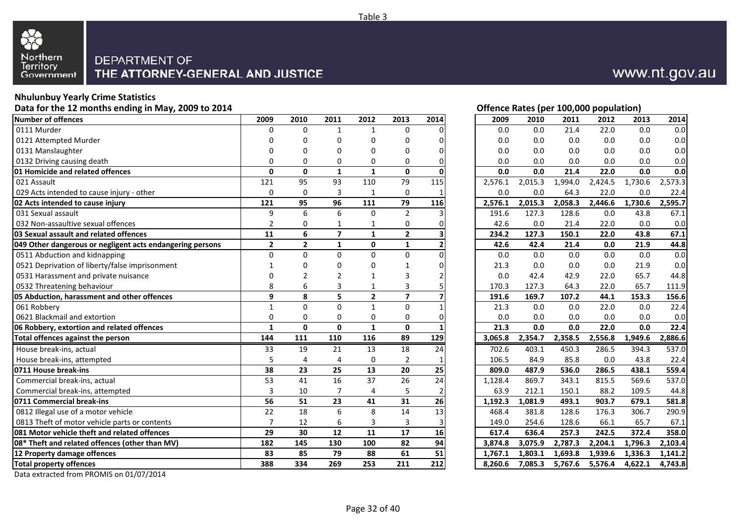

#### **Nhulunbuy Yearly Crime Statistics**

**Data for the 12 months ending in May, 2009 to 2014**

| Number of offences                                        | 2009           | 2010           | 2011            | 2012           | 2013                    | 2014            | 2009    | 2010    | 2011    | 2012    | 2013    | 2014    |
|-----------------------------------------------------------|----------------|----------------|-----------------|----------------|-------------------------|-----------------|---------|---------|---------|---------|---------|---------|
| 0111 Murder                                               | <sup>0</sup>   | $\Omega$       | 1               | 1              | 0                       |                 | 0.0     | 0.0     | 21.4    | 22.0    | 0.0     | 0.0     |
| 0121 Attempted Murder                                     |                | $\Omega$       | 0               | $\Omega$       | $\Omega$                |                 | 0.0     | 0.0     | 0.0     | 0.0     | 0.0     | 0.0     |
| 0131 Manslaughter                                         | n              | 0              | 0               | 0              | 0                       | $\Omega$        | 0.0     | 0.0     | 0.0     | 0.0     | 0.0     | 0.0     |
| 0132 Driving causing death                                | $\Omega$       | 0              | 0               | $\mathbf 0$    | $\mathbf 0$             | $\Omega$        | 0.0     | 0.0     | 0.0     | 0.0     | 0.0     | 0.0     |
| 01 Homicide and related offences                          | $\mathbf{0}$   | $\mathbf 0$    | $\mathbf{1}$    | $\mathbf{1}$   | $\mathbf{0}$            | $\mathbf{0}$    | 0.0     | 0.0     | 21.4    | 22.0    | 0.0     | 0.0     |
| 021 Assault                                               | 121            | 95             | 93              | 110            | 79                      | 115             | 2,576.1 | 2,015.3 | 1,994.0 | 2,424.5 | 1,730.6 | 2,573.3 |
| 029 Acts intended to cause injury - other                 | 0              | $\mathbf 0$    | 3               | $\mathbf{1}$   | $\mathbf 0$             |                 | 0.0     | 0.0     | 64.3    | 22.0    | 0.0     | 22.4    |
| 02 Acts intended to cause injury                          | 121            | 95             | $\overline{96}$ | 111            | $\overline{79}$         | 116             | 2,576.1 | 2,015.3 | 2,058.3 | 2,446.6 | 1,730.6 | 2,595.7 |
| 031 Sexual assault                                        | 9              | 6              | 6               | $\mathbf 0$    | $\overline{2}$          |                 | 191.6   | 127.3   | 128.6   | 0.0     | 43.8    | 67.1    |
| 032 Non-assaultive sexual offences                        | $\overline{2}$ | 0              | 1               | $\mathbf{1}$   | 0                       |                 | 42.6    | 0.0     | 21.4    | 22.0    | 0.0     | 0.0     |
| 03 Sexual assault and related offences                    | 11             | 6              | $\overline{7}$  | $\mathbf{1}$   | $\overline{2}$          |                 | 234.2   | 127.3   | 150.1   | 22.0    | 43.8    | 67.1    |
| 049 Other dangerous or negligent acts endangering persons | $\overline{2}$ | $\overline{2}$ | $\mathbf{1}$    | $\mathbf 0$    | $\mathbf{1}$            |                 | 42.6    | 42.4    | 21.4    | 0.0     | 21.9    | 44.8    |
| 0511 Abduction and kidnapping                             | $\Omega$       | $\Omega$       | $\Omega$        | $\Omega$       | $\mathbf 0$             | $\Omega$        | 0.0     | 0.0     | 0.0     | 0.0     | 0.0     | 0.0     |
| 0521 Deprivation of liberty/false imprisonment            |                | $\Omega$       | $\Omega$        | $\Omega$       | $\mathbf{1}$            | $\Omega$        | 21.3    | 0.0     | 0.0     | 0.0     | 21.9    | 0.0     |
| 0531 Harassment and private nuisance                      |                | $\overline{2}$ | $\overline{2}$  | $\mathbf{1}$   | 3                       |                 | 0.0     | 42.4    | 42.9    | 22.0    | 65.7    | 44.8    |
| 0532 Threatening behaviour                                | 8              | 6              | 3               | 1              | 3                       |                 | 170.3   | 127.3   | 64.3    | 22.0    | 65.7    | 111.9   |
| 05 Abduction, harassment and other offences               | 9              | 8              | 5               | $\overline{2}$ | $\overline{\mathbf{z}}$ |                 | 191.6   | 169.7   | 107.2   | 44.1    | 153.3   | 156.6   |
| 061 Robbery                                               | $\mathbf{1}$   | $\Omega$       | $\mathbf 0$     | $\mathbf{1}$   | $\mathbf 0$             |                 | 21.3    | 0.0     | 0.0     | 22.0    | 0.0     | 22.4    |
| 0621 Blackmail and extortion                              | $\Omega$       | $\mathbf 0$    | $\mathbf 0$     | $\mathbf 0$    | $\mathbf 0$             | O               | 0.0     | 0.0     | 0.0     | 0.0     | 0.0     | 0.0     |
| 06 Robbery, extortion and related offences                | 1              | $\mathbf{0}$   | $\mathbf{0}$    | $\mathbf{1}$   | $\mathbf{0}$            |                 | 21.3    | 0.0     | 0.0     | 22.0    | 0.0     | 22.4    |
| Total offences against the person                         | 144            | 111            | 110             | 116            | 89                      | 129             | 3,065.8 | 2,354.7 | 2,358.5 | 2,556.8 | 1,949.6 | 2,886.6 |
| House break-ins, actual                                   | 33             | 19             | 21              | 13             | 18                      | 24              | 702.6   | 403.1   | 450.3   | 286.5   | 394.3   | 537.0   |
| House break-ins, attempted                                | 5              | 4              | 4               | $\mathbf 0$    | $\overline{2}$          |                 | 106.5   | 84.9    | 85.8    | 0.0     | 43.8    | 22.4    |
| 0711 House break-ins                                      | 38             | 23             | 25              | 13             | 20                      | 25              | 809.0   | 487.9   | 536.0   | 286.5   | 438.1   | 559.4   |
| Commercial break-ins, actual                              | 53             | 41             | 16              | 37             | 26                      | 24              | 1,128.4 | 869.7   | 343.1   | 815.5   | 569.6   | 537.0   |
| Commercial break-ins, attempted                           | 3              | 10             | $\overline{7}$  | $\overline{4}$ | 5                       |                 | 63.9    | 212.1   | 150.1   | 88.2    | 109.5   | 44.8    |
| 0711 Commercial break-ins                                 | 56             | 51             | 23              | 41             | 31                      | 26              | 1,192.3 | 1,081.9 | 493.1   | 903.7   | 679.1   | 581.8   |
| 0812 Illegal use of a motor vehicle                       | 22             | 18             | 6               | 8              | 14                      | $\overline{13}$ | 468.4   | 381.8   | 128.6   | 176.3   | 306.7   | 290.9   |
| 0813 Theft of motor vehicle parts or contents             | $\overline{7}$ | 12             | 6               | 3              | 3                       |                 | 149.0   | 254.6   | 128.6   | 66.1    | 65.7    | 67.1    |
| 081 Motor vehicle theft and related offences              | 29             | 30             | 12              | 11             | 17                      | 16              | 617.4   | 636.4   | 257.3   | 242.5   | 372.4   | 358.0   |
| 08* Theft and related offences (other than MV)            | 182            | 145            | 130             | 100            | 82                      | 94              | 3,874.8 | 3,075.9 | 2,787.3 | 2,204.1 | 1,796.3 | 2,103.4 |
| 12 Property damage offences                               | 83             | 85             | 79              | 88             | 61                      | 51              | 1.767.1 | 1.803.1 | 1,693.8 | 1,939.6 | 1,336.3 | 1,141.2 |
| <b>Total property offences</b>                            | 388            | 334            | 269             | 253            | 211                     | 212             | 8,260.6 | 7,085.3 | 5,767.6 | 5,576.4 | 4,622.1 | 4,743.8 |

Data extracted from PROMIS on 01/07/2014

#### **Offence Rates (per 100,000 population)**

| 9                       | 2010         | 2011           | 2012         | 2013                    | 2014           | 2009    | 2010    | 2011    | 2012    | 2013    | 2014    |
|-------------------------|--------------|----------------|--------------|-------------------------|----------------|---------|---------|---------|---------|---------|---------|
| 0                       | 0            | $\mathbf{1}$   | $\mathbf{1}$ | $\pmb{0}$               | 0              | 0.0     | 0.0     | 21.4    | 22.0    | 0.0     | 0.0     |
| 0                       | 0            | 0              | 0            | 0                       | 0              | 0.0     | 0.0     | 0.0     | 0.0     | 0.0     | 0.0     |
| 0                       | 0            | 0              | 0            | 0                       | 0              | 0.0     | 0.0     | 0.0     | 0.0     | 0.0     | 0.0     |
| 0                       | 0            | 0              | 0            | 0                       | 0              | 0.0     | 0.0     | 0.0     | 0.0     | 0.0     | 0.0     |
| 0                       | 0            | $\mathbf{1}$   | $\mathbf{1}$ | $\mathbf 0$             | 0              | 0.0     | 0.0     | 21.4    | 22.0    | 0.0     | 0.0     |
| 1                       | 95           | 93             | 110          | 79                      | 115            | 2,576.1 | 2,015.3 | 1,994.0 | 2,424.5 | 1,730.6 | 2,573.3 |
| 0                       | 0            | 3              | $\mathbf 1$  | 0                       | 1              | 0.0     | 0.0     | 64.3    | 22.0    | 0.0     | 22.4    |
| 1                       | 95           | 96             | 111          | 79                      | 116            | 2,576.1 | 2,015.3 | 2,058.3 | 2,446.6 | 1,730.6 | 2,595.7 |
| 9                       | 6            | 6              | 0            | $\overline{2}$          | 3              | 191.6   | 127.3   | 128.6   | 0.0     | 43.8    | 67.1    |
| $\frac{2}{1}$           | 0            | 1              | 1            | $\mathbf 0$             | 0              | 42.6    | 0.0     | 21.4    | 22.0    | 0.0     | 0.0     |
|                         | 6            | $\overline{7}$ | $\mathbf{1}$ | $\overline{2}$          | 3              | 234.2   | 127.3   | 150.1   | 22.0    | 43.8    | 67.1    |
| $\overline{\mathbf{c}}$ | $\mathbf{2}$ | 1              | 0            | $\mathbf{1}$            | 2              | 42.6    | 42.4    | 21.4    | 0.0     | 21.9    | 44.8    |
| 0                       | 0            | $\mathbf 0$    | $\mathbf 0$  | $\mathbf 0$             | 0              | 0.0     | 0.0     | 0.0     | 0.0     | 0.0     | 0.0     |
| 1                       | 0            | 0              | 0            | 1                       | 0              | 21.3    | 0.0     | 0.0     | 0.0     | 21.9    | 0.0     |
| 0                       | 2            | 2              | $\mathbf 1$  | 3                       |                | 0.0     | 42.4    | 42.9    | 22.0    | 65.7    | 44.8    |
|                         | 6            | 3              | 1            | 3                       | 5              | 170.3   | 127.3   | 64.3    | 22.0    | 65.7    | 111.9   |
| $\frac{8}{9}$           | 8            | 5              | $\mathbf 2$  | $\overline{\mathbf{z}}$ | 7              | 191.6   | 169.7   | 107.2   | 44.1    | 153.3   | 156.6   |
| $\overline{1}$          | 0            | $\mathbf 0$    | $\mathbf{1}$ | $\Omega$                | $\mathbf{1}$   | 21.3    | 0.0     | 0.0     | 22.0    | 0.0     | 22.4    |
| 0                       | 0            | 0              | $\mathbf 0$  | $\mathbf 0$             | 0              | 0.0     | 0.0     | 0.0     | 0.0     | 0.0     | 0.0     |
| 1                       | 0            | $\mathbf 0$    | $\mathbf{1}$ | $\mathbf 0$             | 1              | 21.3    | 0.0     | 0.0     | 22.0    | 0.0     | 22.4    |
| 4                       | 111          | 110            | 116          | 89                      | 129            | 3,065.8 | 2,354.7 | 2,358.5 | 2,556.8 | 1,949.6 | 2,886.6 |
| 3                       | 19           | 21             | 13           | 18                      | 24             | 702.6   | 403.1   | 450.3   | 286.5   | 394.3   | 537.0   |
| 5                       | 4            | 4              | $\mathbf 0$  | 2                       | 1              | 106.5   | 84.9    | 85.8    | 0.0     | 43.8    | 22.4    |
| $\frac{8}{3}$           | 23           | 25             | 13           | 20                      | 25             | 809.0   | 487.9   | 536.0   | 286.5   | 438.1   | 559.4   |
|                         | 41           | 16             | 37           | 26                      | 24             | 1,128.4 | 869.7   | 343.1   | 815.5   | 569.6   | 537.0   |
| $\overline{\mathbf{3}}$ | 10           | $\overline{7}$ | 4            | 5                       | $\overline{2}$ | 63.9    | 212.1   | 150.1   | 88.2    | 109.5   | 44.8    |
| 6                       | 51           | 23             | 41           | 31                      | 26             | 1,192.3 | 1,081.9 | 493.1   | 903.7   | 679.1   | 581.8   |
| $\overline{\mathbf{2}}$ | 18           | 6              | 8            | 14                      | 13             | 468.4   | 381.8   | 128.6   | 176.3   | 306.7   | 290.9   |
| 7                       | 12           | 6              | 3            | 3                       | 3              | 149.0   | 254.6   | 128.6   | 66.1    | 65.7    | 67.1    |
| 9                       | 30           | 12             | 11           | 17                      | 16             | 617.4   | 636.4   | 257.3   | 242.5   | 372.4   | 358.0   |
| $\overline{\mathbf{c}}$ | 145          | 130            | 100          | 82                      | 94             | 3,874.8 | 3,075.9 | 2,787.3 | 2,204.1 | 1,796.3 | 2,103.4 |
| 3                       | 85           | 79             | 88           | 61                      | 51             | 1,767.1 | 1,803.1 | 1,693.8 | 1,939.6 | 1,336.3 | 1,141.2 |
| 8                       | 334          | 269            | 253          | 211                     | 212            | 8,260.6 | 7,085.3 | 5,767.6 | 5,576.4 | 4,622.1 | 4,743.8 |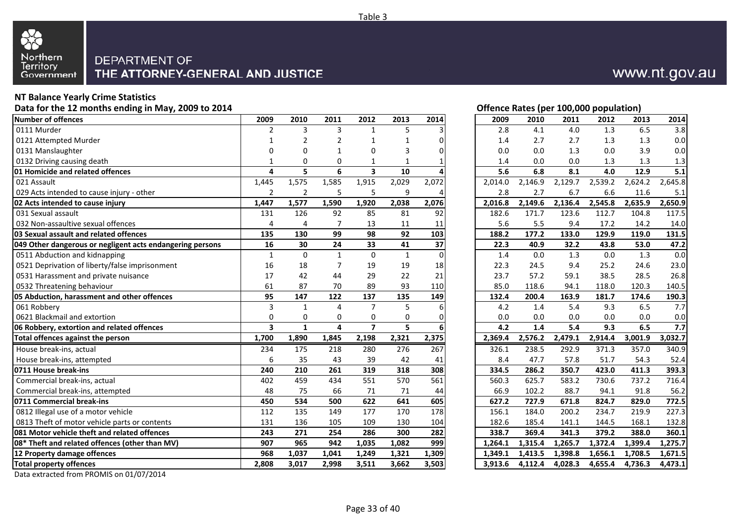

#### **NT Balance Yearly Crime Statistics**

**Data for the 12 months ending in May, 2009 to 2014**

| Number of offences                                        | 2009                    | 2010           | 2011           | 2012                    | 2013         | 2014     | 2009    | 2010    | 2011    | 2012    | 2013    | 2014    |
|-----------------------------------------------------------|-------------------------|----------------|----------------|-------------------------|--------------|----------|---------|---------|---------|---------|---------|---------|
| 0111 Murder                                               | 2                       | 3              | 3              | 1                       | 5            |          | 2.8     | 4.1     | 4.0     | 1.3     | 6.5     | 3.8     |
| 0121 Attempted Murder                                     |                         | $\overline{2}$ | $\overline{2}$ | $\mathbf{1}$            | $\mathbf{1}$ |          | 1.4     | 2.7     | 2.7     | 1.3     | 1.3     | 0.0     |
| 0131 Manslaughter                                         | O                       | $\Omega$       | 1              | $\mathbf 0$             | 3            |          | 0.0     | 0.0     | 1.3     | 0.0     | 3.9     | 0.0     |
| 0132 Driving causing death                                | 1                       | 0              | 0              | $\mathbf{1}$            | $\mathbf{1}$ |          | 1.4     | 0.0     | 0.0     | 1.3     | 1.3     | 1.3     |
| 01 Homicide and related offences                          | 4                       | 5              | 6              | $\overline{\mathbf{3}}$ | 10           |          | 5.6     | 6.8     | 8.1     | 4.0     | 12.9    | 5.1     |
| 021 Assault                                               | 1,445                   | 1,575          | 1,585          | 1,915                   | 2,029        | 2,072    | 2,014.0 | 2,146.9 | 2,129.7 | 2,539.2 | 2,624.2 | 2,645.8 |
| 029 Acts intended to cause injury - other                 | $\overline{2}$          | $\overline{2}$ | 5              | 5                       | 9            |          | 2.8     | 2.7     | 6.7     | 6.6     | 11.6    | 5.1     |
| 02 Acts intended to cause injury                          | 1,447                   | 1,577          | 1,590          | 1,920                   | 2,038        | 2,076    | 2,016.8 | 2,149.6 | 2,136.4 | 2,545.8 | 2,635.9 | 2,650.9 |
| 031 Sexual assault                                        | 131                     | 126            | 92             | 85                      | 81           | 92       | 182.6   | 171.7   | 123.6   | 112.7   | 104.8   | 117.5   |
| 032 Non-assaultive sexual offences                        | $\Delta$                | $\Delta$       | $\overline{7}$ | 13                      | 11           | 11       | 5.6     | 5.5     | 9.4     | 17.2    | 14.2    | 14.0    |
| 03 Sexual assault and related offences                    | 135                     | 130            | 99             | 98                      | 92           | 103      | 188.2   | 177.2   | 133.0   | 129.9   | 119.0   | 131.5   |
| 049 Other dangerous or negligent acts endangering persons | 16                      | 30             | 24             | 33                      | 41           | 37       | 22.3    | 40.9    | 32.2    | 43.8    | 53.0    | 47.2    |
| 0511 Abduction and kidnapping                             | $\mathbf{1}$            | $\mathbf{0}$   | $\mathbf{1}$   | $\Omega$                | $\mathbf{1}$ | $\Omega$ | 1.4     | 0.0     | 1.3     | 0.0     | 1.3     | 0.0     |
| 0521 Deprivation of liberty/false imprisonment            | 16                      | 18             | $\overline{7}$ | 19                      | 19           | 18       | 22.3    | 24.5    | 9.4     | 25.2    | 24.6    | 23.0    |
| 0531 Harassment and private nuisance                      | 17                      | 42             | 44             | 29                      | 22           | 21       | 23.7    | 57.2    | 59.1    | 38.5    | 28.5    | 26.8    |
| 0532 Threatening behaviour                                | 61                      | 87             | 70             | 89                      | 93           | 110      | 85.0    | 118.6   | 94.1    | 118.0   | 120.3   | 140.5   |
| 05 Abduction, harassment and other offences               | 95                      | 147            | 122            | 137                     | 135          | 149      | 132.4   | 200.4   | 163.9   | 181.7   | 174.6   | 190.3   |
| 061 Robbery                                               | 3                       | $\mathbf{1}$   | 4              | $\overline{7}$          | 5            |          | 4.2     | 1.4     | 5.4     | 9.3     | 6.5     | 7.7     |
| 0621 Blackmail and extortion                              | $\Omega$                | $\mathbf 0$    | $\mathbf 0$    | $\mathbf 0$             | $\mathbf 0$  | O        | 0.0     | 0.0     | 0.0     | 0.0     | 0.0     | 0.0     |
| 06 Robbery, extortion and related offences                | $\overline{\mathbf{3}}$ | $\mathbf{1}$   | $\overline{a}$ | $\overline{7}$          | 5            |          | 4.2     | 1.4     | 5.4     | 9.3     | 6.5     | 7.7     |
| Total offences against the person                         | 1,700                   | 1,890          | 1,845          | 2,198                   | 2,321        | 2,375    | 2,369.4 | 2,576.2 | 2,479.1 | 2,914.4 | 3,001.9 | 3,032.7 |
| House break-ins, actual                                   | 234                     | 175            | 218            | 280                     | 276          | 267      | 326.1   | 238.5   | 292.9   | 371.3   | 357.0   | 340.9   |
| House break-ins, attempted                                | 6                       | 35             | 43             | 39                      | 42           | 41       | 8.4     | 47.7    | 57.8    | 51.7    | 54.3    | 52.4    |
| 0711 House break-ins                                      | 240                     | 210            | 261            | 319                     | 318          | 308      | 334.5   | 286.2   | 350.7   | 423.0   | 411.3   | 393.3   |
| Commercial break-ins, actual                              | 402                     | 459            | 434            | 551                     | 570          | 561      | 560.3   | 625.7   | 583.2   | 730.6   | 737.2   | 716.4   |
| Commercial break-ins, attempted                           | 48                      | 75             | 66             | 71                      | 71           | 44       | 66.9    | 102.2   | 88.7    | 94.1    | 91.8    | 56.2    |
| 0711 Commercial break-ins                                 | 450                     | 534            | 500            | 622                     | 641          | 605      | 627.2   | 727.9   | 671.8   | 824.7   | 829.0   | 772.5   |
| 0812 Illegal use of a motor vehicle                       | 112                     | 135            | 149            | 177                     | 170          | 178      | 156.1   | 184.0   | 200.2   | 234.7   | 219.9   | 227.3   |
| 0813 Theft of motor vehicle parts or contents             | 131                     | 136            | 105            | 109                     | 130          | 104      | 182.6   | 185.4   | 141.1   | 144.5   | 168.1   | 132.8   |
| 081 Motor vehicle theft and related offences              | 243                     | 271            | 254            | 286                     | 300          | 282      | 338.7   | 369.4   | 341.3   | 379.2   | 388.0   | 360.1   |
| 08* Theft and related offences (other than MV)            | 907                     | 965            | 942            | 1,035                   | 1,082        | 999      | 1,264.1 | 1,315.4 | 1,265.7 | 1,372.4 | 1,399.4 | 1,275.7 |
| 12 Property damage offences                               | 968                     | 1,037          | 1.041          | 1,249                   | 1,321        | 1,309    | 1.349.1 | 1,413.5 | 1.398.8 | 1,656.1 | 1,708.5 | 1,671.5 |
| <b>Total property offences</b>                            | 2,808                   | 3,017          | 2,998          | 3,511                   | 3,662        | 3,503    | 3,913.6 | 4,112.4 | 4,028.3 | 4,655.4 | 4,736.3 | 4,473.1 |
|                                                           |                         |                |                |                         |              |          |         |         |         |         |         |         |

Data extracted from PROMIS on 01/07/2014

Page 33 of 40

#### **Offence Rates (per 100,000 population)**

| 9                       | 2010                    | 2011                    | 2012           | 2013         | 2014             | 2009    | 2010    | 2011    | 2012    | 2013    | 2014    |
|-------------------------|-------------------------|-------------------------|----------------|--------------|------------------|---------|---------|---------|---------|---------|---------|
| 2                       | 3                       | 3                       | $\mathbf 1$    | 5            | $\overline{3}$   | 2.8     | 4.1     | 4.0     | 1.3     | 6.5     | 3.8     |
| 1                       | $\overline{2}$          | $\overline{2}$          | 1              | 1            | 0                | 1.4     | 2.7     | 2.7     | 1.3     | 1.3     | $0.0\,$ |
| 0                       | 0                       | $\mathbf{1}$            | 0              | 3            | 0                | 0.0     | 0.0     | 1.3     | 0.0     | 3.9     | $0.0\,$ |
| 1                       | 0                       | 0                       | 1              | 1            |                  | 1.4     | 0.0     | 0.0     | 1.3     | 1.3     | 1.3     |
| 4                       | 5                       | 6                       | 3              | 10           | 4                | 5.6     | 6.8     | 8.1     | 4.0     | 12.9    | 5.1     |
| 5                       | 1,575                   | 1,585                   | 1,915          | 2,029        | 2,072            | 2,014.0 | 2,146.9 | 2,129.7 | 2,539.2 | 2,624.2 | 2,645.8 |
| 2                       | $\overline{2}$          | 5                       | 5              | 9            | 4                | 2.8     | 2.7     | 6.7     | 6.6     | 11.6    | 5.1     |
| 7                       | 1,577                   | 1,590                   | 1,920          | 2,038        | 2,076            | 2,016.8 | 2,149.6 | 2,136.4 | 2,545.8 | 2,635.9 | 2,650.9 |
| 1                       | 126                     | 92                      | 85             | 81           | 92               | 182.6   | 171.7   | 123.6   | 112.7   | 104.8   | 117.5   |
| 4                       | $\overline{\mathbf{4}}$ | $\overline{7}$          | 13             | 11           | 11               | 5.6     | 5.5     | 9.4     | 17.2    | 14.2    | 14.0    |
| $\frac{5}{6}$           | 130                     | 99                      | 98             | 92           | 103              | 188.2   | 177.2   | 133.0   | 129.9   | 119.0   | 131.5   |
|                         | 30                      | 24                      | 33             | 41           | 37               | 22.3    | 40.9    | 32.2    | 43.8    | 53.0    | 47.2    |
|                         | $\pmb{0}$               | $\mathbf{1}$            | $\mathbf 0$    | $\mathbf{1}$ | $\Omega$         | 1.4     | 0.0     | 1.3     | 0.0     | 1.3     | 0.0     |
| 6                       | 18                      | $\overline{7}$          | 19             | 19           | 18               | 22.3    | 24.5    | 9.4     | 25.2    | 24.6    | 23.0    |
| 7                       | 42                      | 44                      | 29             | 22           | 21               | 23.7    | 57.2    | 59.1    | 38.5    | 28.5    | 26.8    |
|                         | 87                      | 70                      | 89             | 93           | 110              | 85.0    | 118.6   | 94.1    | 118.0   | 120.3   | 140.5   |
| $\frac{1}{5}$           | 147                     | 122                     | 137            | 135          | 149              | 132.4   | 200.4   | 163.9   | 181.7   | 174.6   | 190.3   |
| 3                       | $\mathbf{1}$            | $\overline{\mathbf{4}}$ | $\overline{7}$ | 5            | $\boldsymbol{6}$ | 4.2     | 1.4     | 5.4     | 9.3     | 6.5     | 7.7     |
| 0                       | 0                       | $\mathbf 0$             | $\mathbf 0$    | 0            | 0                | 0.0     | 0.0     | 0.0     | 0.0     | 0.0     | $0.0\,$ |
| 3                       | $\mathbf{1}$            | $\overline{\mathbf{4}}$ | $\overline{7}$ | 5            | 6                | 4.2     | 1.4     | 5.4     | 9.3     | 6.5     | 7.7     |
| 0                       | 1,890                   | 1,845                   | 2,198          | 2,321        | 2,375            | 2,369.4 | 2,576.2 | 2,479.1 | 2,914.4 | 3,001.9 | 3,032.7 |
| 4                       | 175                     | 218                     | 280            | 276          | 267              | 326.1   | 238.5   | 292.9   | 371.3   | 357.0   | 340.9   |
| 6                       | 35                      | 43                      | 39             | 42           | 41               | 8.4     | 47.7    | 57.8    | 51.7    | 54.3    | 52.4    |
| $\overline{\mathbf{0}}$ | 210                     | 261                     | 319            | 318          | 308              | 334.5   | 286.2   | 350.7   | 423.0   | 411.3   | 393.3   |
| $\overline{\mathbf{2}}$ | 459                     | 434                     | 551            | 570          | 561              | 560.3   | 625.7   | 583.2   | 730.6   | 737.2   | 716.4   |
| 8                       | 75                      | 66                      | 71             | 71           | 44               | 66.9    | 102.2   | 88.7    | 94.1    | 91.8    | 56.2    |
| 0                       | 534                     | 500                     | 622            | 641          | 605              | 627.2   | 727.9   | 671.8   | 824.7   | 829.0   | 772.5   |
| $\overline{\mathbf{c}}$ | 135                     | 149                     | 177            | 170          | 178              | 156.1   | 184.0   | 200.2   | 234.7   | 219.9   | 227.3   |
| 1                       | 136                     | 105                     | 109            | 130          | 104              | 182.6   | 185.4   | 141.1   | 144.5   | 168.1   | 132.8   |
| 3                       | 271                     | 254                     | 286            | 300          | 282              | 338.7   | 369.4   | 341.3   | 379.2   | 388.0   | 360.1   |
| 7                       | 965                     | 942                     | 1,035          | 1,082        | 999              | 1,264.1 | 1,315.4 | 1,265.7 | 1,372.4 | 1,399.4 | 1,275.7 |
| 8                       | 1,037                   | 1,041                   | 1,249          | 1,321        | 1,309            | 1,349.1 | 1,413.5 | 1,398.8 | 1,656.1 | 1,708.5 | 1,671.5 |
| 8                       | 3,017                   | 2,998                   | 3,511          | 3,662        | 3,503            | 3,913.6 | 4,112.4 | 4,028.3 | 4,655.4 | 4,736.3 | 4,473.1 |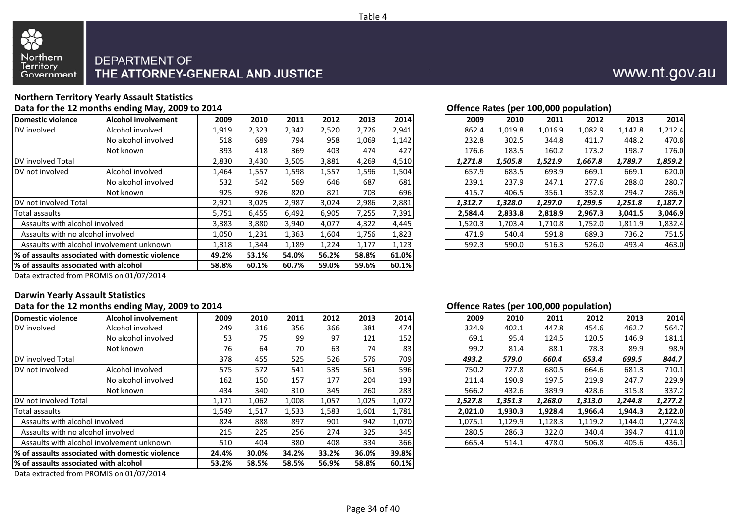

#### **Northern Territory Yearly Assault StatisticsData for the 12 months ending May, 2009 to 2014**

|                                       |                                                  |       |       |       |       |       |       |         | $\mathbf{v}$ | . . <i>.</i> | - - - <b>1</b> |         |         |
|---------------------------------------|--------------------------------------------------|-------|-------|-------|-------|-------|-------|---------|--------------|--------------|----------------|---------|---------|
| <b>Domestic violence</b>              | <b>Alcohol involvement</b>                       | 2009  | 2010  | 2011  | 2012  | 2013  | 2014  | 2009    | 2010         | 2011         | 2012           | 2013    | 2014    |
| DV involved                           | Alcohol involved                                 | 1,919 | 2,323 | 2,342 | 2,520 | 2,726 | 2,941 | 862.4   | 1,019.8      | 1,016.9      | 1,082.9        | 1,142.8 | 1,212.4 |
|                                       | No alcohol involved                              | 518   | 689   | 794   | 958   | 1,069 | 1,142 | 232.8   | 302.5        | 344.8        | 411.7          | 448.2   | 470.8   |
|                                       | Not known                                        | 393   | 418   | 369   | 403   | 474   | 427   | 176.6   | 183.5        | 160.2        | 173.2          | 198.7   | 176.0   |
| DV involved Total                     |                                                  | 2,830 | 3,430 | 3,505 | 3,881 | 4,269 | 4,510 | 1,271.8 | 1,505.8      | 1,521.9      | 1,667.8        | 1,789.7 | 1,859.2 |
| DV not involved                       | Alcohol involved                                 | 1,464 | 1,557 | 1,598 | 1,557 | 1,596 | 1,504 | 657.9   | 683.5        | 693.9        | 669.1          | 669.1   | 620.0   |
|                                       | No alcohol involved                              | 532   | 542   | 569   | 646   | 687   | 681   | 239.1   | 237.9        | 247.1        | 277.6          | 288.0   | 280.7   |
|                                       | Not known                                        | 925   | 926   | 820   | 821   | 703   | 696   | 415.7   | 406.5        | 356.1        | 352.8          | 294.7   | 286.9   |
| DV not involved Total                 |                                                  | 2,921 | 3,025 | 2,987 | 3,024 | 2,986 | 2,881 | 1,312.7 | 1,328.0      | 1,297.0      | 1,299.5        | 1,251.8 | 1,187.7 |
| Total assaults                        |                                                  | 5,751 | 6,455 | 6,492 | 6,905 | 7,255 | 7,391 | 2,584.4 | 2,833.8      | 2,818.9      | 2,967.3        | 3,041.5 | 3,046.9 |
| Assaults with alcohol involved        |                                                  | 3,383 | 3,880 | 3,940 | 4,077 | 4,322 | 4,445 | 1,520.3 | 1,703.4      | 1,710.8      | 1,752.0        | 1,811.9 | 1,832.4 |
| Assaults with no alcohol involved     |                                                  | 1,050 | L,231 | 1,363 | 1,604 | 1,756 | 1,823 | 471.9   | 540.4        | 591.8        | 689.3          | 736.2   | 751.5   |
|                                       | Assaults with alcohol involvement unknown        |       |       | 1,189 | 1,224 | 1,177 | 1,123 | 592.3   | 590.0        | 516.3        | 526.0          | 493.4   | 463.0   |
|                                       | 1% of assaults associated with domestic violence | 49.2% | 53.1% | 54.0% | 56.2% | 58.8% | 61.0% |         |              |              |                |         |         |
| % of assaults associated with alcohol |                                                  | 58.8% | 60.1% | 60.7% | 59.0% | 59.6% | 60.1% |         |              |              |                |         |         |
|                                       |                                                  |       |       |       |       |       |       |         |              |              |                |         |         |

**Offence Rates (per 100,000 population)**

| 2010  | 2011  | 2012  | 2013  | 2014  | 2009    | 2010    | 2011    | 2012    | 2013    | 2014    |
|-------|-------|-------|-------|-------|---------|---------|---------|---------|---------|---------|
| 2,323 | 2,342 | 2,520 | 2,726 | 2,941 | 862.4   | 1,019.8 | 1,016.9 | 1,082.9 | 1,142.8 | 1,212.4 |
| 689   | 794   | 958   | 1,069 | 1,142 | 232.8   | 302.5   | 344.8   | 411.7   | 448.2   | 470.8   |
| 418   | 369   | 403   | 474   | 427   | 176.6   | 183.5   | 160.2   | 173.2   | 198.7   | 176.0   |
| 3,430 | 3,505 | 3,881 | 4,269 | 4,510 | 1.271.8 | 1,505.8 | 1,521.9 | 1,667.8 | 1.789.7 | 1,859.2 |
| 1,557 | 1,598 | 1,557 | 1,596 | 1,504 | 657.9   | 683.5   | 693.9   | 669.1   | 669.1   | 620.0   |
| 542   | 569   | 646   | 687   | 681   | 239.1   | 237.9   | 247.1   | 277.6   | 288.0   | 280.7   |
| 926   | 820   | 821   | 703   | 696   | 415.7   | 406.5   | 356.1   | 352.8   | 294.7   | 286.9   |
| 3,025 | 2,987 | 3,024 | 2,986 | 2,881 | 1,312.7 | 1,328.0 | 1,297.0 | 1,299.5 | 1,251.8 | 1,187.7 |
| 6,455 | 6,492 | 6,905 | 7,255 | 7,391 | 2.584.4 | 2,833.8 | 2,818.9 | 2,967.3 | 3.041.5 | 3,046.9 |
| 3,880 | 3,940 | 4,077 | 4,322 | 4,445 | 1,520.3 | 1,703.4 | 1,710.8 | 1,752.0 | 1,811.9 | 1,832.4 |
| 1,231 | 1,363 | 1,604 | 1,756 | 1,823 | 471.9   | 540.4   | 591.8   | 689.3   | 736.2   | 751.5   |
| 1,344 | 1,189 | 1,224 | 1,177 | 1,123 | 592.3   | 590.0   | 516.3   | 526.0   | 493.4   | 463.0   |
|       |       |       |       |       |         |         |         |         |         |         |

Data extracted from PROMIS on 01/07/2014

### **Darwin Yearly Assault Statistics**

#### **Data for the 12 months ending May, 2009 to 2014 Offence Rates (per 100,000 population) Domestic violenceAlcohol involvement** 2009<br> **Alcohol involved** 249 DV involvedd ||Alcohol involved || 249 316 356 366 381 474 || 324.9 402.1 447.8 454.6 462.7 564.7 No alcohol involvedd | 53 75 99 97 121 152 | 69.1 95.4 124.5 120.5 146.9 181.1 Not known <sup>76</sup> <sup>64</sup> <sup>70</sup> <sup>63</sup> <sup>74</sup> <sup>83</sup> 99.2 81.4 88.1 78.3 89.9 98.9 DV involved Total 378DV not involvedd |Alcohol involved | 575 572 541 535 561 596 | 750.2 727.8 680.5 664.6 681.3 710.1 No alcohol involvedd | 162 150 157 177 204 193 || 211.4 190.9 197.5 219.9 247.7 229.9 Not known <sup>434</sup> <sup>340</sup> <sup>310</sup> <sup>345</sup> <sup>260</sup> <sup>283</sup> 566.2 432.6 389.9 428.6 315.8 337.2 DV not involved Total 1,171Total assaultss and  $1,549$ Assaults with alcohol involved <sup>824</sup> <sup>888</sup> <sup>897</sup> <sup>901</sup> <sup>942</sup> 1,070 1,075.1 1,129.9 1,128.3 1,119.2 1,144.0 1,274.8 Assaults with no alcohol involved <sup>215</sup> <sup>225</sup> <sup>256</sup> <sup>274</sup> <sup>325</sup> <sup>345</sup> 280.5 286.3 322.0 340.4 394.7 411.0 Assaults with alcohol involvement unknownn | 510 404 380 408 334 366 | 665.4 514.1 478.0 506.8 405.6 436.1 **% of assaults associated with domestic violence 24.4% 30.0% 34.2% 33.2% 36.0% 39.8% % of assaults associated with alcohol 53.2%58.5% 58.5% 56.9% 58.8% 60.1%**

Data extracted from PROMIS on 01/07/2014

| 9  | 2010  | 2011  | 2012  | 2013  | 2014  | 2009    | 2010    | 2011    | 2012    | 2013    | 2014    |
|----|-------|-------|-------|-------|-------|---------|---------|---------|---------|---------|---------|
| 9  | 316   | 356   | 366   | 381   | 474   | 324.9   | 402.1   | 447.8   | 454.6   | 462.7   | 564.7   |
| 3  | 75    | 99    | 97    | 121   | 152   | 69.1    | 95.4    | 124.5   | 120.5   | 146.9   | 181.1   |
| 6  | 64    | 70    | 63    | 74    | 83    | 99.2    | 81.4    | 88.1    | 78.3    | 89.9    | 98.9    |
| 8  | 455   | 525   | 526   | 576   | 709   | 493.2   | 579.0   | 660.4   | 653.4   | 699.5   | 844.7   |
| 5. | 572   | 541   | 535   | 561   | 596   | 750.2   | 727.8   | 680.5   | 664.6   | 681.3   | 710.1   |
| 2  | 150   | 157   | 177   | 204   | 193   | 211.4   | 190.9   | 197.5   | 219.9   | 247.7   | 229.9   |
| 4  | 340   | 310   | 345   | 260   | 283   | 566.2   | 432.6   | 389.9   | 428.6   | 315.8   | 337.2   |
|    | 1,062 | 1,008 | 1,057 | 1,025 | 1,072 | 1.527.8 | 1,351.3 | 1,268.0 | 1,313.0 | 1.244.8 | 1,277.2 |
| 9  | 1,517 | 1,533 | 1,583 | 1,601 | 1,781 | 2.021.0 | 1.930.3 | 1,928.4 | 1,966.4 | 1.944.3 | 2,122.0 |
|    | 888   | 897   | 901   | 942   | 1,070 | 1.075.1 | 1,129.9 | 1,128.3 | 1,119.2 | 1.144.0 | 1,274.8 |
| 5. | 225   | 256   | 274   | 325   | 345   | 280.5   | 286.3   | 322.0   | 340.4   | 394.7   | 411.0   |
|    | 404   | 380   | 408   | 334   | 366   | 665.4   | 514.1   | 478.0   | 506.8   | 405.6   | 436.1   |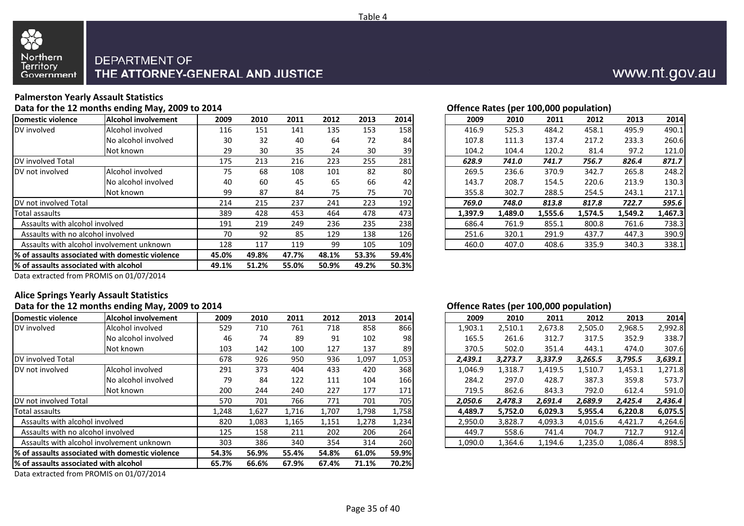

#### **Palmerston Yearly Assault Statistics**

**Data for the 12 months ending May, 2009 to 2014**

| Alcohol involved                                 | 116                 | 151   |       |       |       |     | 2014 | 2009                                                          | 2010    |         |         | 2013    |         |
|--------------------------------------------------|---------------------|-------|-------|-------|-------|-----|------|---------------------------------------------------------------|---------|---------|---------|---------|---------|
|                                                  |                     |       | 141   | 135   | 153   | 158 |      | 416.9                                                         | 525.3   | 484.2   | 458.1   | 495.9   | 490.1   |
|                                                  | 30                  | 32    | 40    | 64    | 72    | 84  |      | 107.8                                                         | 111.3   | 137.4   | 217.2   | 233.3   | 260.6   |
| Not known                                        | 29                  | 30    | 35    | 24    | 30    |     |      | 104.2                                                         | 104.4   | 120.2   | 81.4    | 97.2    | 121.0   |
|                                                  | 175                 | 213   | 216   | 223   | 255   | 281 |      | 628.9                                                         | 741.0   | 741.7   | 756.7   | 826.4   | 871.7   |
| Alcohol involved                                 | 75                  | 68    | 108   | 101   | 82    |     |      | 269.5                                                         | 236.6   | 370.9   | 342.7   | 265.8   | 248.2   |
| No alcohol involved                              | 40                  | 60    | 45    | 65    | 66    | 42  |      | 143.7                                                         | 208.7   | 154.5   | 220.6   | 213.9   | 130.3   |
| Not known                                        | 99                  | 87    | 84    | 75    | 75    |     |      | 355.8                                                         | 302.7   | 288.5   | 254.5   | 243.1   | 217.1   |
|                                                  | 214                 | 215   | 237   | 241   | 223   | 192 |      | 769.0                                                         | 748.0   | 813.8   | 817.8   | 722.7   | 595.6   |
|                                                  | 389                 | 428   | 453   | 464   | 478   |     |      | 1,397.9                                                       | 1,489.0 | 1,555.6 | 1,574.5 | 1,549.2 | 1,467.3 |
| Assaults with alcohol involved                   | 191                 | 219   | 249   | 236   | 235   |     |      | 686.4                                                         | 761.9   | 855.1   | 800.8   | 761.6   | 738.3   |
| Assaults with no alcohol involved                | 70                  | 92    | 85    | 129   | 138   |     |      | 251.6                                                         | 320.1   | 291.9   | 437.7   | 447.3   | 390.9   |
| Assaults with alcohol involvement unknown        | 128                 | 117   | 119   | 99    | 105   |     |      | 460.0                                                         | 407.0   | 408.6   | 335.9   | 340.3   | 338.1   |
| 1% of assaults associated with domestic violence | 45.0%               | 49.8% | 47.7% | 48.1% | 53.3% |     |      |                                                               |         |         |         |         |         |
| 1% of assaults associated with alcohol           | 49.1%               | 51.2% | 55.0% | 50.9% | 49.2% |     |      |                                                               |         |         |         |         |         |
|                                                  | No alcohol involved |       |       |       |       |     |      | 39<br>80<br>70I<br>473<br>238<br>126<br>109<br>59.4%<br>50.3% |         |         |         |         |         |

#### **Offence Rates (per 100,000 population)**

| 9  | 2010 | 2011 | 2012 | 2013 | 2014 | 2009    | 2010    | 2011    | 2012    | 2013    | 2014    |
|----|------|------|------|------|------|---------|---------|---------|---------|---------|---------|
| 6  | 151  | 141  | 135  | 153  | 158  | 416.9   | 525.3   | 484.2   | 458.1   | 495.9   | 490.1   |
|    | 32   | 40   | 64   | 72   | 84   | 107.8   | 111.3   | 137.4   | 217.2   | 233.3   | 260.6   |
| 9  | 30   | 35   | 24   | 30   | 39I  | 104.2   | 104.4   | 120.2   | 81.4    | 97.2    | 121.0   |
| 5. | 213  | 216  | 223  | 255  | 281  | 628.9   | 741.0   | 741.7   | 756.7   | 826.4   | 871.7   |
| 5. | 68   | 108  | 101  | 82   | 80   | 269.5   | 236.6   | 370.9   | 342.7   | 265.8   | 248.2   |
| 0  | 60   | 45   | 65   | 66   | 42   | 143.7   | 208.7   | 154.5   | 220.6   | 213.9   | 130.3   |
| 9  | 87   | 84   | 75   | 75   | 70   | 355.8   | 302.7   | 288.5   | 254.5   | 243.1   | 217.1   |
|    | 215  | 237  | 241  | 223  | 192  | 769.0   | 748.0   | 813.8   | 817.8   | 722.7   | 595.6   |
| 9  | 428  | 453  | 464  | 478  | 473  | 1.397.9 | 1,489.0 | 1,555.6 | 1.574.5 | 1,549.2 | 1,467.3 |
|    | 219  | 249  | 236  | 235  | 238  | 686.4   | 761.9   | 855.1   | 800.8   | 761.6   | 738.3   |
|    | 92   | 85   | 129  | 138  | 126  | 251.6   | 320.1   | 291.9   | 437.7   | 447.3   | 390.9   |
| 8  | 117  | 119  | 99   | 105  | 109  | 460.0   | 407.0   | 408.6   | 335.9   | 340.3   | 338.1   |
|    |      |      |      |      |      |         |         |         |         |         |         |

Data extracted from PROMIS on 01/07/2014

### **Alice Springs Yearly Assault Statistics**

|                                        | Data for the 12 months ending May, 2009 to 2014  |       |       |       |       |       |       |         | Offence Rates (per 100,000 population) |         |         |         |         |
|----------------------------------------|--------------------------------------------------|-------|-------|-------|-------|-------|-------|---------|----------------------------------------|---------|---------|---------|---------|
| Domestic violence                      | <b>Alcohol involvement</b>                       | 2009  | 2010  | 2011  | 2012  | 2013  | 2014  | 2009    | 2010                                   | 2011    | 2012    | 2013    | 2014    |
| DV involved                            | Alcohol involved                                 | 529   | 710   | 761   | 718   | 858   | 866   | 1,903.1 | 2,510.1                                | 2,673.8 | 2,505.0 | 2,968.5 | 2,992.8 |
|                                        | No alcohol involved                              | 46    | 74    | 89    | 91    | 102   | 98    | 165.5   | 261.6                                  | 312.7   | 317.5   | 352.9   | 338.7   |
|                                        | Not known                                        | 103   | 142   | 100   | 127   | 137   | 89    | 370.5   | 502.0                                  | 351.4   | 443.1   | 474.0   | 307.6   |
| DV involved Total                      |                                                  | 678   | 926   | 950   | 936   | 1,097 | 1,053 | 2,439.1 | 3,273.7                                | 3,337.9 | 3,265.5 | 3,795.5 | 3,639.1 |
| DV not involved                        | Alcohol involved                                 | 291   | 373   | 404   | 433   | 420   | 368   | 1,046.9 | 1,318.7                                | 1,419.5 | 1,510.7 | 1,453.1 | 1,271.8 |
|                                        | No alcohol involved                              | 79    | 84    | 122   | 111   | 104   | 166   | 284.2   | 297.0                                  | 428.7   | 387.3   | 359.8   | 573.7   |
|                                        | Not known                                        | 200   | 244   | 240   | 227   | 177   | 171   | 719.5   | 862.6                                  | 843.3   | 792.0   | 612.4   | 591.0   |
| DV not involved Total                  |                                                  | 570   | 701   | 766   | 771   | 701   | 705   | 2,050.6 | 2,478.3                                | 2,691.4 | 2,689.9 | 2,425.4 | 2,436.4 |
| Total assaults                         |                                                  | L,248 | 1,627 | 1,716 | 1,707 | 1,798 | 1,758 | 4,489.7 | 5,752.0                                | 6,029.3 | 5,955.4 | 6,220.8 | 6,075.5 |
| Assaults with alcohol involved         |                                                  | 820   | 1,083 | 1,165 | 1,151 | 1,278 | 1,234 | 2,950.0 | 3,828.7                                | 4,093.3 | 4,015.6 | 4,421.7 | 4,264.6 |
| Assaults with no alcohol involved      |                                                  | 125   | 158   | 211   | 202   | 206   | 264   | 449.7   | 558.6                                  | 741.4   | 704.7   | 712.7   | 912.4   |
|                                        | Assaults with alcohol involvement unknown        | 303   | 386   | 340   | 354   | 314   | 260   | 1,090.0 | 1,364.6                                | 1,194.6 | 1,235.0 | 1,086.4 | 898.5   |
|                                        | 1% of assaults associated with domestic violence | 54.3% | 56.9% | 55.4% | 54.8% | 61.0% | 59.9% |         |                                        |         |         |         |         |
| 1% of assaults associated with alcohol |                                                  | 65.7% | 66.6% | 67.9% | 67.4% | 71.1% | 70.2% |         |                                        |         |         |         |         |
|                                        |                                                  |       |       |       |       |       |       |         |                                        |         |         |         |         |

Data extracted from PROMIS on 01/07/2014

#### **Offence Rates (per 100,000 population)**

| 9  | 2010  | 2011  | 2012  | 2013  | 2014  | 2009    | 2010    | 2011    | 2012    | 2013    | 2014    |
|----|-------|-------|-------|-------|-------|---------|---------|---------|---------|---------|---------|
| 9  | 710   | 761   | 718   | 858   | 866   | 1,903.1 | 2,510.1 | 2,673.8 | 2,505.0 | 2,968.5 | 2,992.8 |
| 6  | 74    | 89    | 91    | 102   | 98    | 165.5   | 261.6   | 312.7   | 317.5   | 352.9   | 338.7   |
| 3  | 142   | 100   | 127   | 137   | 89    | 370.5   | 502.0   | 351.4   | 443.1   | 474.0   | 307.6   |
| 8  | 926   | 950   | 936   | 1,097 | 1,053 | 2.439.1 | 3,273.7 | 3,337.9 | 3,265.5 | 3,795.5 | 3,639.1 |
|    | 373   | 404   | 433   | 420   | 368   | 1.046.9 | 1,318.7 | 1,419.5 | 1,510.7 | 1,453.1 | 1,271.8 |
| 9  | 84    | 122   | 111   | 104   | 166   | 284.2   | 297.0   | 428.7   | 387.3   | 359.8   | 573.7   |
| 0  | 244   | 240   | 227   | 177   | 171   | 719.5   | 862.6   | 843.3   | 792.0   | 612.4   | 591.0   |
|    | 701   | 766   | 771   | 701   | 705   | 2.050.6 | 2.478.3 | 2.691.4 | 2,689.9 | 2.425.4 | 2,436.4 |
| 8  | 1,627 | 1,716 | 1,707 | 1,798 | 1,758 | 4.489.7 | 5.752.0 | 6.029.3 | 5,955.4 | 6.220.8 | 6,075.5 |
|    | 1,083 | 1,165 | 1,151 | 1,278 | 1,234 | 2,950.0 | 3,828.7 | 4,093.3 | 4,015.6 | 4,421.7 | 4,264.6 |
| 5. | 158   | 211   | 202   | 206   | 264   | 449.7   | 558.6   | 741.4   | 704.7   | 712.7   | 912.4   |
|    | 386   | 340   | 354   | 314   | 260   | 1.090.0 | 1,364.6 | 1,194.6 | 1,235.0 | 1,086.4 | 898.5   |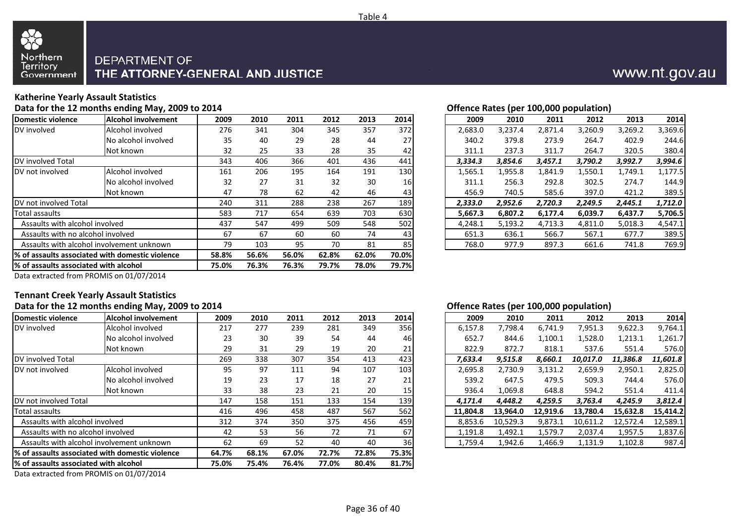

#### **Katherine Yearly Assault Statistics**

**Data for the 12 months ending May, 2009 to 2014**

| Domestic violence                      | <b>Alcohol involvement</b>                       | 2009  | 2010  | 2011  | 2012  | 2013  | 2014  | 2009    | 2010    | 2011    | 2012    | 2013    | 2014    |
|----------------------------------------|--------------------------------------------------|-------|-------|-------|-------|-------|-------|---------|---------|---------|---------|---------|---------|
| DV involved                            | Alcohol involved                                 | 276   | 341   | 304   | 345   | 357   | 372   | 2,683.0 | 3,237.4 | 2,871.4 | 3,260.9 | 3,269.2 | 3,369.6 |
|                                        | No alcohol involved                              | 35    | 40    | 29    | 28    | 44    | 27    | 340.2   | 379.8   | 273.9   | 264.7   | 402.9   | 244.6   |
|                                        | Not known                                        | 32    | 25    | 33    | 28    | 35    | 42    | 311.1   | 237.3   | 311.7   | 264.7   | 320.5   | 380.4   |
| DV involved Total                      |                                                  | 343   | 406   | 366   | 401   | 436   | 441   | 3,334.3 | 3,854.6 | 3,457.1 | 3,790.2 | 3,992.7 | 3,994.6 |
| <b>IDV</b> not involved                | Alcohol involved                                 | 161   | 206   | 195   | 164   | 191   | 130   | 1,565.1 | 1,955.8 | 1,841.9 | 1,550.1 | 1,749.1 | 1,177.5 |
|                                        | No alcohol involved                              | 32    | 27    | 31    | 32    | 30    | 16    | 311.1   | 256.3   | 292.8   | 302.5   | 274.7   | 144.9   |
|                                        | Not known                                        | 47    | 78    | 62    | 42    | 46    | 43    | 456.9   | 740.5   | 585.6   | 397.0   | 421.2   | 389.5   |
| <b>IDV</b> not involved Total          |                                                  | 240   | 311   | 288   | 238   | 267   | 189   | 2,333.0 | 2,952.6 | 2,720.3 | 2,249.5 | 2,445.1 | 1,712.0 |
| Total assaults                         |                                                  | 583   | 717   | 654   | 639   | 703   | 630   | 5,667.3 | 6,807.2 | 6,177.4 | 6,039.7 | 6,437.7 | 5,706.5 |
| Assaults with alcohol involved         |                                                  | 437   | 547   | 499   | 509   | 548   | 502   | 4,248.1 | 5,193.2 | 4,713.3 | 4,811.0 | 5,018.3 | 4,547.1 |
| Assaults with no alcohol involved      |                                                  | 67    | 67    | 60    | 60    | 74    | 43    | 651.3   | 636.1   | 566.7   | 567.1   | 677.7   | 389.5   |
|                                        | Assaults with alcohol involvement unknown        | 79    | 103   | 95    | 70    | 81    | 85    | 768.0   | 977.9   | 897.3   | 661.6   | 741.8   | 769.9   |
|                                        | 1% of assaults associated with domestic violence | 58.8% | 56.6% | 56.0% | 62.8% | 62.0% | 70.0% |         |         |         |         |         |         |
| 1% of assaults associated with alcohol |                                                  | 75.0% | 76.3% | 76.3% | 79.7% | 78.0% | 79.7% |         |         |         |         |         |         |
|                                        |                                                  |       |       |       |       |       |       |         |         |         |         |         |         |

#### **Offence Rates (per 100,000 population)**

| 9 | 2010 | 2011 | 2012 | 2013 | 2014 |
|---|------|------|------|------|------|
| 6 | 341  | 304  | 345  | 357  | 372  |
| 5 | 40   | 29   | 28   | 44   | 27   |
|   | 25   | 33   | 28   | 35   | 42   |
| 3 | 406  | 366  | 401  | 436  | 441  |
|   | 206  | 195  | 164  | 191  | 130  |
|   | 27   | 31   | 32   | 30   | 16   |
|   | 78   | 62   | 42   | 46   | 43   |
|   | 311  | 288  | 238  | 267  | 189  |
|   | 717  | 654  | 639  | 703  | 630  |
|   | 547  | 499  | 509  | 548  | 502  |
|   | 67   | 60   | 60   | 74   | 43   |
|   | 103  | 95   | 70   | 81   | 85   |
|   |      |      |      |      |      |

Data extracted from PROMIS on 01/07/2014

### **Tennant Creek Yearly Assault Statistics**

|                                        | Data for the 12 months ending May, 2009 to 2014  |       |       |       |       |       |       |          |         |          | Offence Rates (per 100,000 population) |          |          |          |
|----------------------------------------|--------------------------------------------------|-------|-------|-------|-------|-------|-------|----------|---------|----------|----------------------------------------|----------|----------|----------|
| Domestic violence                      | Alcohol involvement                              | 2009  | 2010  | 2011  | 2012  | 2013  | 2014  |          | 2009    | 2010     | 2011                                   | 2012     | 2013     | 2014     |
| DV involved                            | Alcohol involved                                 | 217   | 277   | 239   | 281   | 349   | 356   | 6,157.8  |         | 7,798.4  | 6,741.9                                | 7,951.3  | 9,622.3  | 9,764.1  |
|                                        | No alcohol involved                              | 23    | 30    | 39    | 54    | 44    | 46    |          | 652.7   | 844.6    | 1,100.1                                | 1,528.0  | 1,213.1  | 1,261.7  |
|                                        | Not known                                        | 29    | 31    | 29    | 19    | 20    | 21    |          | 822.9   | 872.7    | 818.1                                  | 537.6    | 551.4    | 576.0    |
| <b>IDV</b> involved Total              |                                                  | 269   | 338   | 307   | 354   | 413   | 423   | 7,633.4  |         | 9,515.8  | 8,660.1                                | 10,017.0 | 11,386.8 | 11,601.8 |
| DV not involved                        | Alcohol involved                                 | 95    | 97    | 111   | 94    | 107   | 103   | 2,695.8  |         | 2,730.9  | 3,131.2                                | 2,659.9  | 2,950.1  | 2,825.0  |
|                                        | No alcohol involved                              | 19    | 23    | 17    | 18    | 27    | 21    |          | 539.2   | 647.5    | 479.5                                  | 509.3    | 744.4    | 576.0    |
|                                        | Not known                                        | 33    | 38    | 23    | 21    | 20    | 15    |          | 936.4   | 1,069.8  | 648.8                                  | 594.2    | 551.4    | 411.4    |
| DV not involved Total                  |                                                  | 147   | 158   | 151   | 133   | 154   | 139   | 4,171.4  |         | 4.448.2  | 4,259.5                                | 3,763.4  | 4,245.9  | 3,812.4  |
| Total assaults                         |                                                  | 416   | 496   | 458   | 487   | 567   | 562   | 11,804.8 |         | 13.964.0 | 12,919.6                               | 13.780.4 | 15,632.8 | 15,414.2 |
| Assaults with alcohol involved         |                                                  | 312   | 374   | 350   | 375   | 456   | 459   | 8,853.6  |         | 10,529.3 | 9,873.1                                | 10,611.2 | 12,572.4 | 12,589.1 |
| Assaults with no alcohol involved      |                                                  | 42    | 53    | 56    | 72    | 71    | 67    | 1,191.8  |         | 1,492.1  | 1,579.7                                | 2,037.4  | 1,957.5  | 1,837.6  |
|                                        | Assaults with alcohol involvement unknown        | 62    | 69    | 52    | 40    | 40    | 36    |          | 1,759.4 | 1,942.6  | 1,466.9                                | 1,131.9  | 1,102.8  | 987.4    |
|                                        | 1% of assaults associated with domestic violence | 64.7% | 68.1% | 67.0% | 72.7% | 72.8% | 75.3% |          |         |          |                                        |          |          |          |
| 1% of assaults associated with alcohol |                                                  | 75.0% | 75.4% | 76.4% | 77.0% | 80.4% | 81.7% |          |         |          |                                        |          |          |          |
|                                        | <b>PRAISE RIGHTHOUSE</b>                         |       |       |       |       |       |       |          |         |          |                                        |          |          |          |

Data extracted from PROMIS on 01/07/2014

#### **Offence Rates (per 100,000 population)**

| 9  | 2010 | 2011 | 2012 | 2013 | 2014 | 2009     | 2010     | 2011     | 2012     | 2013     | 2014     |
|----|------|------|------|------|------|----------|----------|----------|----------|----------|----------|
|    | 277  | 239  | 281  | 349  | 356  | 6,157.8  | 7,798.4  | 6.741.9  | 7,951.3  | 9,622.3  | 9,764.1  |
| 3  | 30   | 39   | 54   | 44   | 46   | 652.7    | 844.6    | 1,100.1  | 1,528.0  | 1,213.1  | 1,261.7  |
|    | 31   | 29   | 19   | 20   | 21   | 822.9    | 872.7    | 818.1    | 537.6    | 551.4    | 576.0    |
| 9  | 338  | 307  | 354  | 413  | 423  | 7.633.4  | 9,515.8  | 8,660.1  | 10.017.0 | 11,386.8 | 11,601.8 |
| 5. | 97   | 111  | 94   | 107  | 103  | 2,695.8  | 2,730.9  | 3,131.2  | 2,659.9  | 2,950.1  | 2,825.0  |
| 9  | 23   | 17   | 18   | 27   | 21   | 539.2    | 647.5    | 479.5    | 509.3    | 744.4    | 576.0    |
| 3  | 38   | 23   | 21   | 20   | 15   | 936.4    | 1,069.8  | 648.8    | 594.2    | 551.4    | 411.4    |
|    | 158  | 151  | 133  | 154  | 139  | 4.171.4  | 4,448.2  | 4.259.5  | 3,763.4  | 4,245.9  | 3,812.4  |
| 6  | 496  | 458  | 487  | 567  | 562  | 11.804.8 | 13.964.0 | 12,919.6 | 13,780.4 | 15,632.8 | 15,414.2 |
|    | 374  | 350  | 375  | 456  | 459  | 8.853.6  | 10.529.3 | 9,873.1  | 10,611.2 | 12.572.4 | 12,589.1 |
|    | 53   | 56   | 72   | 71   | 67   | 1,191.8  | 1,492.1  | 1,579.7  | 2,037.4  | 1,957.5  | 1,837.6  |
|    | 69   | 52   | 40   | 40   | 36   | 1.759.4  | 1.942.6  | 1,466.9  | 1,131.9  | 1,102.8  | 987.4    |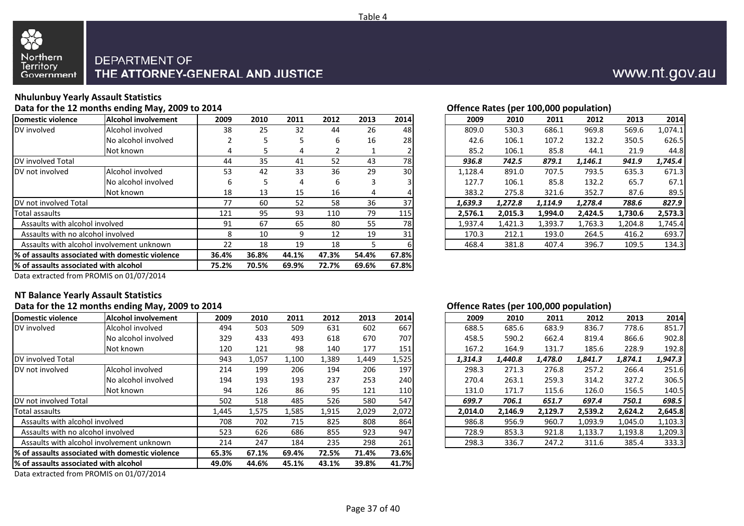



### **Nhulunbuy Yearly Assault Statistics**

**Data for the 12 months ending May, 2009 to 2014**

| Domestic violence                      | <b>Alcohol involvement</b>                       | 2009  | 2010  | 2011  | 2012  | 2013  | 2014      | 2009    | 2010    | 2011    | 2012    | 2013    | 2014    |
|----------------------------------------|--------------------------------------------------|-------|-------|-------|-------|-------|-----------|---------|---------|---------|---------|---------|---------|
| DV involved                            | Alcohol involved                                 | 38    | 25    | 32    | 44    | 26    | 48        | 809.0   | 530.3   | 686.1   | 969.8   | 569.6   | 1,074.1 |
|                                        | No alcohol involved                              |       |       |       | 6     | 16    | 28        | 42.6    | 106.1   | 107.2   | 132.2   | 350.5   | 626.5   |
|                                        | Not known                                        | 4     |       | 4     |       | $\pm$ |           | 85.2    | 106.1   | 85.8    | 44.1    | 21.9    | 44.8    |
| DV involved Total                      |                                                  | 44    | 35    | 41    | 52    | 43    | <b>78</b> | 936.8   | 742.5   | 879.1   | 1,146.1 | 941.9   | 1,745.4 |
| DV not involved                        | Alcohol involved                                 | 53    | 42    | 33    | 36    | 29    | 30        | 1,128.4 | 891.0   | 707.5   | 793.5   | 635.3   | 671.3   |
|                                        | No alcohol involved                              | ь     |       | 4     | 6     | 3     |           | 127.7   | 106.1   | 85.8    | 132.2   | 65.7    | 67.1    |
|                                        | Not known                                        | 18    | 13    | 15    | 16    | 4     |           | 383.2   | 275.8   | 321.6   | 352.7   | 87.6    | 89.5    |
| DV not involved Total                  |                                                  | 77    | 60    | 52    | 58    | 36    | 37        | 1,639.3 | 1,272.8 | 1,114.9 | 1,278.4 | 788.6   | 827.9   |
| Total assaults                         |                                                  | 121   | 95    | 93    | 110   | 79    | 115       | 2,576.1 | 2,015.3 | 1,994.0 | 2,424.5 | 1,730.6 | 2,573.3 |
| Assaults with alcohol involved         |                                                  | 91    | 67    | 65    | 80    | 55    | <b>78</b> | 1,937.4 | 1,421.3 | 1,393.7 | 1,763.3 | 1,204.8 | 1,745.4 |
| Assaults with no alcohol involved      |                                                  | 8     | 10    | 9     | 12    | 19    | 31        | 170.3   | 212.1   | 193.0   | 264.5   | 416.2   | 693.7   |
|                                        | Assaults with alcohol involvement unknown        | 22    | 18    | 19    | 18    |       |           | 468.4   | 381.8   | 407.4   | 396.7   | 109.5   | 134.3   |
|                                        | 1% of assaults associated with domestic violence | 36.4% | 36.8% | 44.1% | 47.3% | 54.4% | 67.8%     |         |         |         |         |         |         |
| 1% of assaults associated with alcohol |                                                  | 75.2% | 70.5% | 69.9% | 72.7% | 69.6% | 67.8%     |         |         |         |         |         |         |
|                                        |                                                  |       |       |       |       |       |           |         |         |         |         |         |         |

| Offence Rates (per 100,000 population) |
|----------------------------------------|
|                                        |

| 9 | 2010 | 2011 | 2012 | 2013 | 2014      | 2009    | 2010    | 2011    | 2012    | 2013    | 2014    |
|---|------|------|------|------|-----------|---------|---------|---------|---------|---------|---------|
| 8 | 25   | 32   | 44   | 26   | 48        | 809.0   | 530.3   | 686.1   | 969.8   | 569.6   | 1,074.1 |
|   | 5    | 5.   | 6    | 16   | 28        | 42.6    | 106.1   | 107.2   | 132.2   | 350.5   | 626.5   |
|   | 5.   | 4    |      |      |           | 85.2    | 106.1   | 85.8    | 44.1    | 21.9    | 44.8    |
|   | 35   | 41   | 52   | 43   | <b>78</b> | 936.8   | 742.5   | 879.1   | 1.146.1 | 941.9   | 1,745.4 |
| 3 | 42   | 33   | 36   | 29   | 30        | 1,128.4 | 891.0   | 707.5   | 793.5   | 635.3   | 671.3   |
| 6 | 5.   | 4    | 6    | 3    |           | 127.7   | 106.1   | 85.8    | 132.2   | 65.7    | 67.1    |
| 8 | 13   | 15   | 16   | 4    |           | 383.2   | 275.8   | 321.6   | 352.7   | 87.6    | 89.5    |
|   | 60   | 52   | 58   | 36   | 37        | 1,639.3 | 1,272.8 | 1,114.9 | 1,278.4 | 788.6   | 827.9   |
|   | 95   | 93   | 110  | 79   | 115       | 2.576.1 | 2.015.3 | 1,994.0 | 2.424.5 | 1.730.6 | 2,573.3 |
|   | 67   | 65   | 80   | 55   | 78        | 1,937.4 | 1,421.3 | 1,393.7 | 1,763.3 | 1,204.8 | 1,745.4 |
| 8 | 10   | 9    | 12   | 19   | 31        | 170.3   | 212.1   | 193.0   | 264.5   | 416.2   | 693.7   |
|   | 18   | 19   | 18   | 5    | 6         | 468.4   | 381.8   | 407.4   | 396.7   | 109.5   | 134.3   |
|   |      |      |      |      |           |         |         |         |         |         |         |

Data extracted from PROMIS on 01/07/2014

#### **NT Balance Yearly Assault Statistics**

#### **Data for the 12 months ending May, 2009 to 2014**

| Domestic violence                                | <b>Alcohol involvement</b>                                   | 2009  | 2010  | 2011  | 2012  | 2013  | 2014  | 2009    | 2010    | 2011    | 2012    | 2013    | 2014    |
|--------------------------------------------------|--------------------------------------------------------------|-------|-------|-------|-------|-------|-------|---------|---------|---------|---------|---------|---------|
| DV involved                                      | Alcohol involved                                             | 494   | 503   | 509   | 631   | 602   | 667   | 688.5   | 685.6   | 683.9   | 836.7   | 778.6   | 851.7   |
|                                                  | No alcohol involved                                          | 329   | 433   | 493   | 618   | 670   | 707   | 458.5   | 590.2   | 662.4   | 819.4   | 866.6   | 902.8   |
|                                                  | Not known                                                    | 120   | 121   | 98    | 140   | 177   | 151   | 167.2   | 164.9   | 131.7   | 185.6   | 228.9   | 192.8   |
| DV involved Total                                |                                                              | 943   | 1,057 | 1,100 | 1,389 | 1,449 | 1,525 | 1,314.3 | 1,440.8 | 1,478.0 | 1,841.7 | 1,874.1 | 1,947.3 |
| DV not involved                                  | Alcohol involved                                             | 214   | 199   | 206   | 194   | 206   | 197   | 298.3   | 271.3   | 276.8   | 257.2   | 266.4   | 251.6   |
|                                                  | No alcohol involved                                          | 194   | 193   | 193   | 237   | 253   | 240   | 270.4   | 263.1   | 259.3   | 314.2   | 327.2   | 306.5   |
|                                                  | Not known                                                    | 94    | 126   | 86    | 95    | 121   | 110   | 131.0   | 171.7   | 115.6   | 126.0   | 156.5   | 140.5   |
| DV not involved Total                            |                                                              | 502   | 518   | 485   | 526   | 580   | 547   | 699.7   | 706.1   | 651.7   | 697.4   | 750.1   | 698.5   |
| Total assaults                                   |                                                              | 1,445 | 1,575 | 1,585 | 1,915 | 2,029 | 2,072 | 2,014.0 | 2,146.9 | 2,129.7 | 2,539.2 | 2,624.2 | 2,645.8 |
| Assaults with alcohol involved                   |                                                              | 708   | 702   | 715   | 825   | 808   | 864   | 986.8   | 956.9   | 960.7   | 1,093.9 | 1,045.0 | 1,103.3 |
| Assaults with no alcohol involved                |                                                              | 523   | 626   | 686   | 855   | 923   | 947   | 728.9   | 853.3   | 921.8   | 1,133.7 | 1,193.8 | 1,209.3 |
| Assaults with alcohol involvement unknown        | 214                                                          | 247   | 184   | 235   | 298   | 261   | 298.3 | 336.7   | 247.2   | 311.6   | 385.4   | 333.3   |         |
| 1% of assaults associated with domestic violence | 65.3%                                                        | 67.1% | 69.4% | 72.5% | 71.4% | 73.6% |       |         |         |         |         |         |         |
| 1% of assaults associated with alcohol           | 49.0%                                                        | 44.6% | 45.1% | 43.1% | 39.8% | 41.7% |       |         |         |         |         |         |         |
|                                                  | $     -$<br>$\sim$ $\sim$ $\sim$ $\sim$ $\sim$ $\sim$ $\sim$ |       |       |       |       |       |       |         |         |         |         |         |         |

Data extracted from PROMIS on 01/07/2014

#### **Offence Rates (per 100,000 population)**

| 9  | 2010  | 2011  | 2012  | 2013  | 2014  | 2009    | 2010    | 2011    | 2012    | 2013    | 2014    |
|----|-------|-------|-------|-------|-------|---------|---------|---------|---------|---------|---------|
| 4  | 503   | 509   | 631   | 602   | 667   | 688.5   | 685.6   | 683.9   | 836.7   | 778.6   | 851.7   |
| 9  | 433   | 493   | 618   | 670   | 707   | 458.5   | 590.2   | 662.4   | 819.4   | 866.6   | 902.8   |
| 0  | 121   | 98    | 140   | 177   | 151   | 167.2   | 164.9   | 131.7   | 185.6   | 228.9   | 192.8   |
| 3  | 1,057 | 1,100 | 1,389 | 1,449 | 1,525 | 1.314.3 | 1,440.8 | 1,478.0 | 1.841.7 | 1.874.1 | 1,947.3 |
| 4  | 199   | 206   | 194   | 206   | 197   | 298.3   | 271.3   | 276.8   | 257.2   | 266.4   | 251.6   |
| 4  | 193   | 193   | 237   | 253   | 240   | 270.4   | 263.1   | 259.3   | 314.2   | 327.2   | 306.5   |
| 4  | 126   | 86    | 95    | 121   | 110   | 131.0   | 171.7   | 115.6   | 126.0   | 156.5   | 140.5   |
|    | 518   | 485   | 526   | 580   | 547   | 699.7   | 706.1   | 651.7   | 697.4   | 750.1   | 698.5   |
| 5. | 1,575 | 1,585 | 1,915 | 2.029 | 2,072 | 2.014.0 | 2.146.9 | 2.129.7 | 2.539.2 | 2.624.2 | 2,645.8 |
| 8  | 702   | 715   | 825   | 808   | 864   | 986.8   | 956.9   | 960.7   | 1,093.9 | 1.045.0 | 1,103.3 |
| 3  | 626   | 686   | 855   | 923   | 947   | 728.9   | 853.3   | 921.8   | 1,133.7 | 1,193.8 | 1,209.3 |
| 4  | 247   | 184   | 235   | 298   | 261   | 298.3   | 336.7   | 247.2   | 311.6   | 385.4   | 333.3   |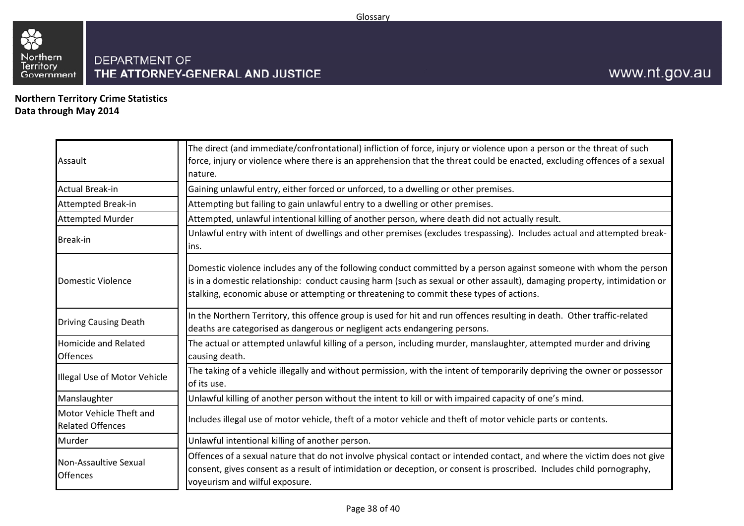

**Northern Territory Crime StatisticsData through May 2014**

| Assault                                            | The direct (and immediate/confrontational) infliction of force, injury or violence upon a person or the threat of such<br>force, injury or violence where there is an apprehension that the threat could be enacted, excluding offences of a sexual<br>nature.                                                                             |
|----------------------------------------------------|--------------------------------------------------------------------------------------------------------------------------------------------------------------------------------------------------------------------------------------------------------------------------------------------------------------------------------------------|
| <b>Actual Break-in</b>                             | Gaining unlawful entry, either forced or unforced, to a dwelling or other premises.                                                                                                                                                                                                                                                        |
| <b>Attempted Break-in</b>                          | Attempting but failing to gain unlawful entry to a dwelling or other premises.                                                                                                                                                                                                                                                             |
| <b>Attempted Murder</b>                            | Attempted, unlawful intentional killing of another person, where death did not actually result.                                                                                                                                                                                                                                            |
| <b>Break-in</b>                                    | Unlawful entry with intent of dwellings and other premises (excludes trespassing). Includes actual and attempted break-<br>lins.                                                                                                                                                                                                           |
| Domestic Violence                                  | Domestic violence includes any of the following conduct committed by a person against someone with whom the person<br>is in a domestic relationship: conduct causing harm (such as sexual or other assault), damaging property, intimidation or<br>stalking, economic abuse or attempting or threatening to commit these types of actions. |
| <b>Driving Causing Death</b>                       | In the Northern Territory, this offence group is used for hit and run offences resulting in death. Other traffic-related<br>deaths are categorised as dangerous or negligent acts endangering persons.                                                                                                                                     |
| <b>Homicide and Related</b><br><b>Offences</b>     | The actual or attempted unlawful killing of a person, including murder, manslaughter, attempted murder and driving<br>causing death.                                                                                                                                                                                                       |
| Illegal Use of Motor Vehicle                       | The taking of a vehicle illegally and without permission, with the intent of temporarily depriving the owner or possessor<br>of its use.                                                                                                                                                                                                   |
| Manslaughter                                       | Unlawful killing of another person without the intent to kill or with impaired capacity of one's mind.                                                                                                                                                                                                                                     |
| Motor Vehicle Theft and<br><b>Related Offences</b> | Includes illegal use of motor vehicle, theft of a motor vehicle and theft of motor vehicle parts or contents.                                                                                                                                                                                                                              |
| Murder                                             | Unlawful intentional killing of another person.                                                                                                                                                                                                                                                                                            |
| Non-Assaultive Sexual<br><b>Offences</b>           | Offences of a sexual nature that do not involve physical contact or intended contact, and where the victim does not give<br>consent, gives consent as a result of intimidation or deception, or consent is proscribed. Includes child pornography,<br>voyeurism and wilful exposure.                                                       |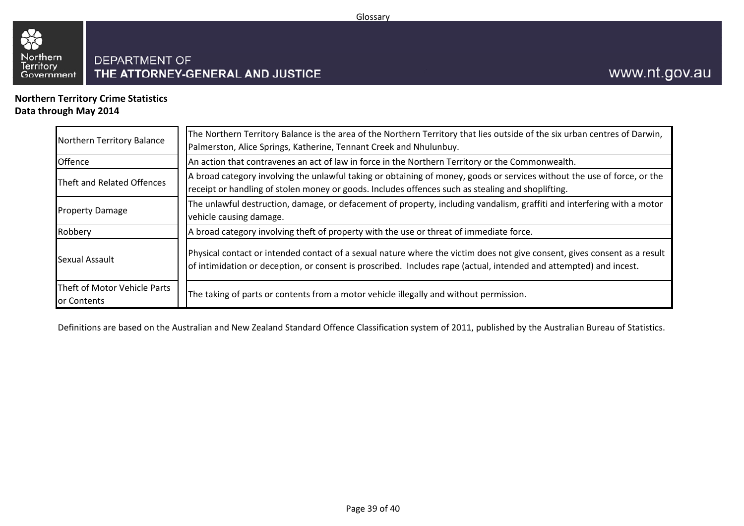

**Northern Territory Crime StatisticsData through May 2014**

| Northern Territory Balance                  | The Northern Territory Balance is the area of the Northern Territory that lies outside of the six urban centres of Darwin,<br>Palmerston, Alice Springs, Katherine, Tennant Creek and Nhulunbuy.                                                |
|---------------------------------------------|-------------------------------------------------------------------------------------------------------------------------------------------------------------------------------------------------------------------------------------------------|
| <b>Offence</b>                              | An action that contravenes an act of law in force in the Northern Territory or the Commonwealth.                                                                                                                                                |
| Theft and Related Offences                  | A broad category involving the unlawful taking or obtaining of money, goods or services without the use of force, or the<br>receipt or handling of stolen money or goods. Includes offences such as stealing and shoplifting.                   |
| <b>Property Damage</b>                      | The unlawful destruction, damage, or defacement of property, including vandalism, graffiti and interfering with a motor<br>vehicle causing damage.                                                                                              |
| Robbery                                     | A broad category involving theft of property with the use or threat of immediate force.                                                                                                                                                         |
| Sexual Assault                              | Physical contact or intended contact of a sexual nature where the victim does not give consent, gives consent as a result<br>of intimidation or deception, or consent is proscribed. Includes rape (actual, intended and attempted) and incest. |
| Theft of Motor Vehicle Parts<br>or Contents | The taking of parts or contents from a motor vehicle illegally and without permission.                                                                                                                                                          |

Definitions are based on the Australian and New Zealand Standard Offence Classification system of 2011, published by the Australian Bureau of Statistics.